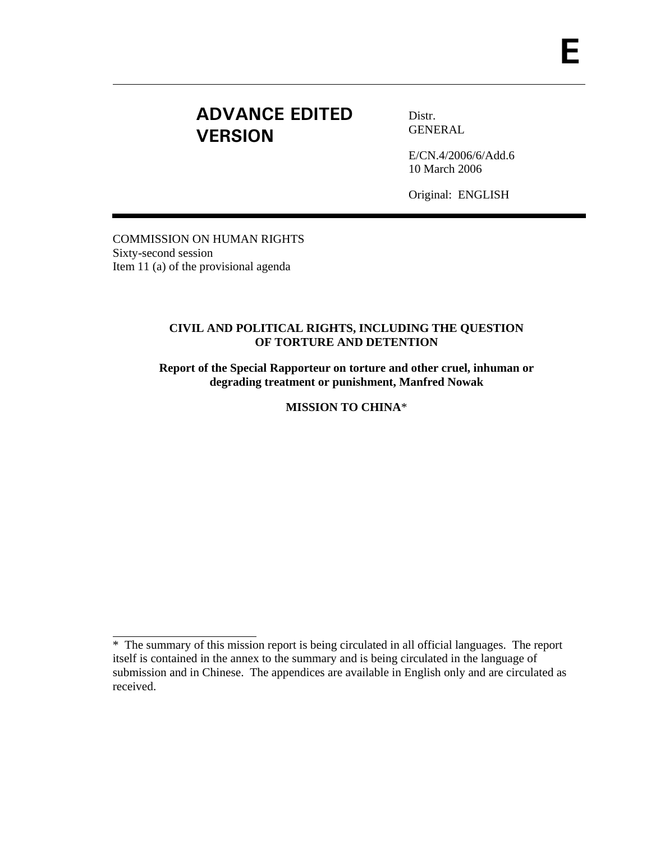# **ADVANCE EDITED VERSION**

Distr. GENERAL

E/CN.4/2006/6/Add.6 10 March 2006

Original: ENGLISH

COMMISSION ON HUMAN RIGHTS Sixty-second session Item 11 (a) of the provisional agenda

 $\overline{a}$ 

# **CIVIL AND POLITICAL RIGHTS, INCLUDING THE QUESTION OF TORTURE AND DETENTION**

**Report of the Special Rapporteur on torture and other cruel, inhuman or degrading treatment or punishment, Manfred Nowak** 

**MISSION TO CHINA**\*

<sup>\*</sup> The summary of this mission report is being circulated in all official languages. The report itself is contained in the annex to the summary and is being circulated in the language of submission and in Chinese. The appendices are available in English only and are circulated as received.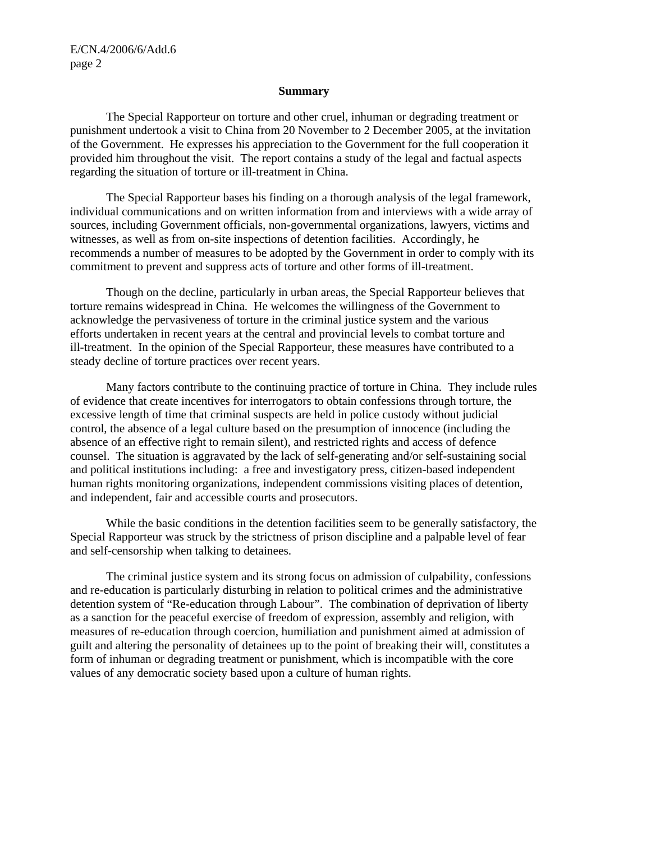#### **Summary**

 The Special Rapporteur on torture and other cruel, inhuman or degrading treatment or punishment undertook a visit to China from 20 November to 2 December 2005, at the invitation of the Government. He expresses his appreciation to the Government for the full cooperation it provided him throughout the visit. The report contains a study of the legal and factual aspects regarding the situation of torture or ill-treatment in China.

 The Special Rapporteur bases his finding on a thorough analysis of the legal framework, individual communications and on written information from and interviews with a wide array of sources, including Government officials, non-governmental organizations, lawyers, victims and witnesses, as well as from on-site inspections of detention facilities. Accordingly, he recommends a number of measures to be adopted by the Government in order to comply with its commitment to prevent and suppress acts of torture and other forms of ill-treatment.

 Though on the decline, particularly in urban areas, the Special Rapporteur believes that torture remains widespread in China. He welcomes the willingness of the Government to acknowledge the pervasiveness of torture in the criminal justice system and the various efforts undertaken in recent years at the central and provincial levels to combat torture and ill-treatment. In the opinion of the Special Rapporteur, these measures have contributed to a steady decline of torture practices over recent years.

 Many factors contribute to the continuing practice of torture in China. They include rules of evidence that create incentives for interrogators to obtain confessions through torture, the excessive length of time that criminal suspects are held in police custody without judicial control, the absence of a legal culture based on the presumption of innocence (including the absence of an effective right to remain silent), and restricted rights and access of defence counsel. The situation is aggravated by the lack of self-generating and/or self-sustaining social and political institutions including: a free and investigatory press, citizen-based independent human rights monitoring organizations, independent commissions visiting places of detention, and independent, fair and accessible courts and prosecutors.

 While the basic conditions in the detention facilities seem to be generally satisfactory, the Special Rapporteur was struck by the strictness of prison discipline and a palpable level of fear and self-censorship when talking to detainees.

 The criminal justice system and its strong focus on admission of culpability, confessions and re-education is particularly disturbing in relation to political crimes and the administrative detention system of "Re-education through Labour". The combination of deprivation of liberty as a sanction for the peaceful exercise of freedom of expression, assembly and religion, with measures of re-education through coercion, humiliation and punishment aimed at admission of guilt and altering the personality of detainees up to the point of breaking their will, constitutes a form of inhuman or degrading treatment or punishment, which is incompatible with the core values of any democratic society based upon a culture of human rights.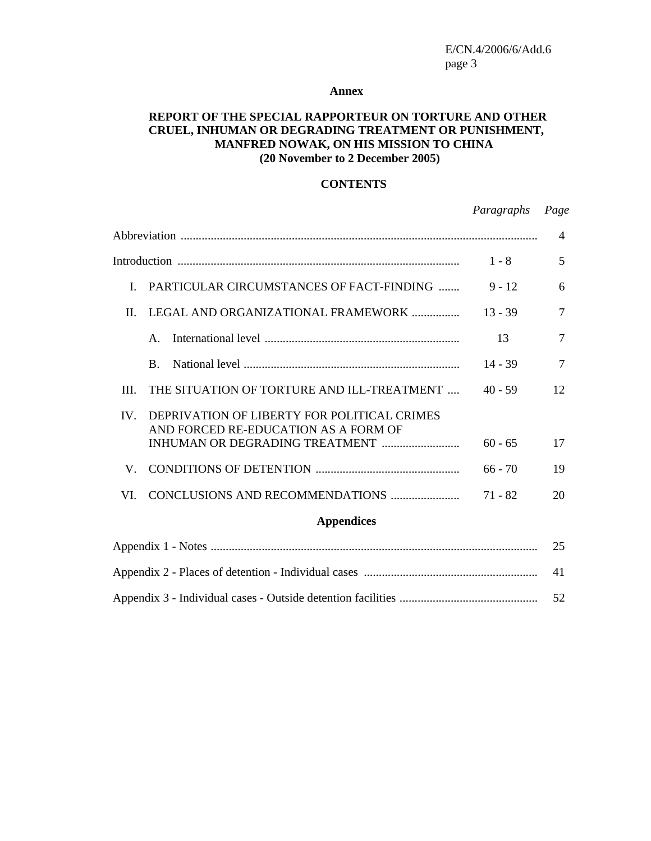#### **Annex**

# **REPORT OF THE SPECIAL RAPPORTEUR ON TORTURE AND OTHER CRUEL, INHUMAN OR DEGRADING TREATMENT OR PUNISHMENT, MANFRED NOWAK, ON HIS MISSION TO CHINA (20 November to 2 December 2005)**

### **CONTENTS**

*Paragraphs Page*

|          |                                                                                     |           | $\overline{4}$ |
|----------|-------------------------------------------------------------------------------------|-----------|----------------|
|          |                                                                                     | $1 - 8$   | 5              |
| L        | PARTICULAR CIRCUMSTANCES OF FACT-FINDING                                            | $9 - 12$  | 6              |
| $\Pi$    | LEGAL AND ORGANIZATIONAL FRAMEWORK                                                  | $13 - 39$ | 7              |
|          | $\mathsf{A}$ .                                                                      | 13        | 7              |
|          | $\mathbf{B}$ .                                                                      | $14 - 39$ | 7              |
| III.     | THE SITUATION OF TORTURE AND ILL-TREATMENT                                          | $40 - 59$ | 12             |
| $IV_{-}$ | DEPRIVATION OF LIBERTY FOR POLITICAL CRIMES<br>AND FORCED RE-EDUCATION AS A FORM OF |           |                |
|          |                                                                                     | $60 - 65$ | 17             |
| V        |                                                                                     | $66 - 70$ | 19             |
| VI.      |                                                                                     | $71 - 82$ | 20             |
|          | <b>Appendices</b>                                                                   |           |                |
|          |                                                                                     |           | 25             |
|          |                                                                                     |           | 41             |
|          |                                                                                     |           | 52             |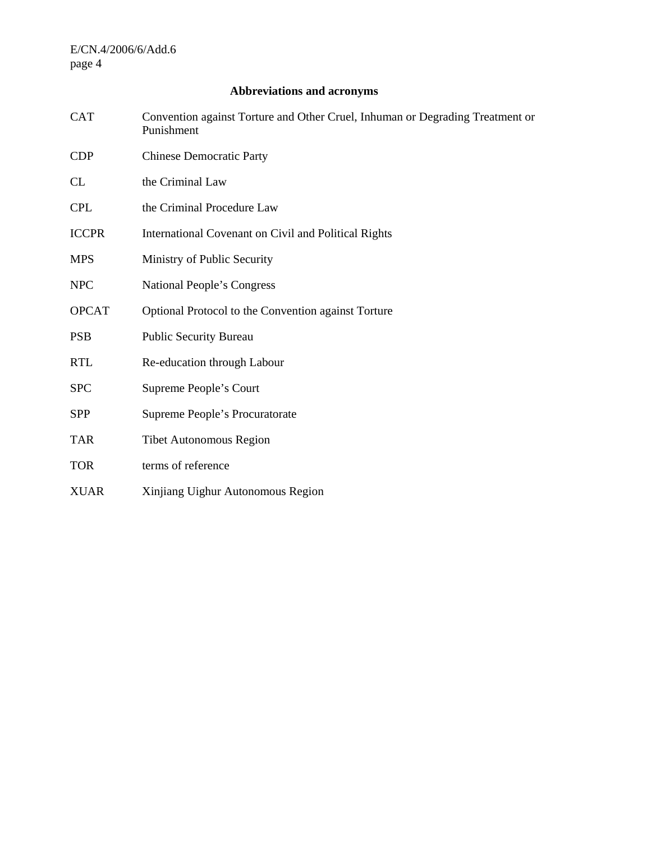#### **Abbreviations and acronyms**

- CAT Convention against Torture and Other Cruel, Inhuman or Degrading Treatment or Punishment
- CDP Chinese Democratic Party
- CL the Criminal Law
- CPL the Criminal Procedure Law
- ICCPR International Covenant on Civil and Political Rights
- MPS Ministry of Public Security
- NPC National People's Congress
- OPCAT Optional Protocol to the Convention against Torture
- PSB Public Security Bureau
- RTL Re-education through Labour
- SPC Supreme People's Court
- SPP Supreme People's Procuratorate
- TAR Tibet Autonomous Region
- TOR terms of reference
- XUAR Xinjiang Uighur Autonomous Region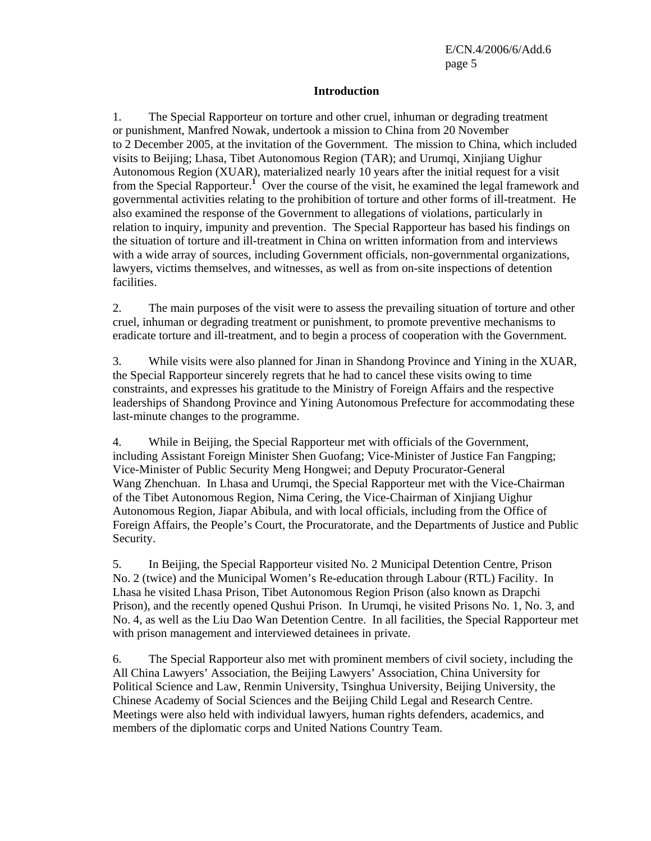#### **Introduction**

1. The Special Rapporteur on torture and other cruel, inhuman or degrading treatment or punishment, Manfred Nowak, undertook a mission to China from 20 November to 2 December 2005, at the invitation of the Government. The mission to China, which included visits to Beijing; Lhasa, Tibet Autonomous Region (TAR); and Urumqi, Xinjiang Uighur Autonomous Region (XUAR), materialized nearly 10 years after the initial request for a visit from the Special Rapporteur.<sup>1</sup> Over the course of the visit, he examined the legal framework and governmental activities relating to the prohibition of torture and other forms of ill-treatment. He also examined the response of the Government to allegations of violations, particularly in relation to inquiry, impunity and prevention. The Special Rapporteur has based his findings on the situation of torture and ill-treatment in China on written information from and interviews with a wide array of sources, including Government officials, non-governmental organizations, lawyers, victims themselves, and witnesses, as well as from on-site inspections of detention facilities.

2. The main purposes of the visit were to assess the prevailing situation of torture and other cruel, inhuman or degrading treatment or punishment, to promote preventive mechanisms to eradicate torture and ill-treatment, and to begin a process of cooperation with the Government.

3. While visits were also planned for Jinan in Shandong Province and Yining in the XUAR, the Special Rapporteur sincerely regrets that he had to cancel these visits owing to time constraints, and expresses his gratitude to the Ministry of Foreign Affairs and the respective leaderships of Shandong Province and Yining Autonomous Prefecture for accommodating these last-minute changes to the programme.

4. While in Beijing, the Special Rapporteur met with officials of the Government, including Assistant Foreign Minister Shen Guofang; Vice-Minister of Justice Fan Fangping; Vice-Minister of Public Security Meng Hongwei; and Deputy Procurator-General Wang Zhenchuan. In Lhasa and Urumqi, the Special Rapporteur met with the Vice-Chairman of the Tibet Autonomous Region, Nima Cering, the Vice-Chairman of Xinjiang Uighur Autonomous Region, Jiapar Abibula, and with local officials, including from the Office of Foreign Affairs, the People's Court, the Procuratorate, and the Departments of Justice and Public Security.

5. In Beijing, the Special Rapporteur visited No. 2 Municipal Detention Centre, Prison No. 2 (twice) and the Municipal Women's Re-education through Labour (RTL) Facility. In Lhasa he visited Lhasa Prison, Tibet Autonomous Region Prison (also known as Drapchi Prison), and the recently opened Qushui Prison. In Urumqi, he visited Prisons No. 1, No. 3, and No. 4, as well as the Liu Dao Wan Detention Centre. In all facilities, the Special Rapporteur met with prison management and interviewed detainees in private.

6. The Special Rapporteur also met with prominent members of civil society, including the All China Lawyers' Association, the Beijing Lawyers' Association, China University for Political Science and Law, Renmin University, Tsinghua University, Beijing University, the Chinese Academy of Social Sciences and the Beijing Child Legal and Research Centre. Meetings were also held with individual lawyers, human rights defenders, academics, and members of the diplomatic corps and United Nations Country Team.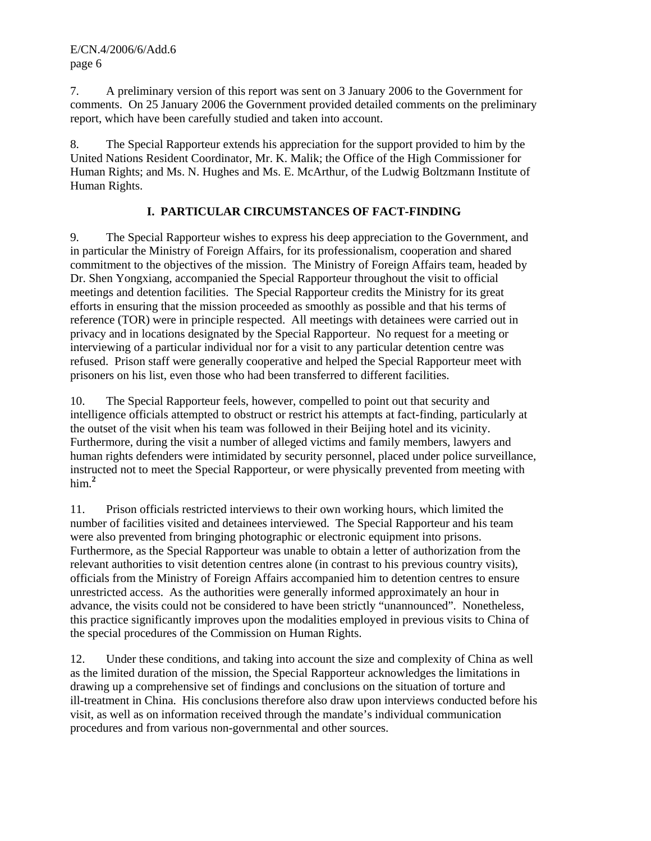7. A preliminary version of this report was sent on 3 January 2006 to the Government for comments. On 25 January 2006 the Government provided detailed comments on the preliminary report, which have been carefully studied and taken into account.

8. The Special Rapporteur extends his appreciation for the support provided to him by the United Nations Resident Coordinator, Mr. K. Malik; the Office of the High Commissioner for Human Rights; and Ms. N. Hughes and Ms. E. McArthur, of the Ludwig Boltzmann Institute of Human Rights.

# **I. PARTICULAR CIRCUMSTANCES OF FACT-FINDING**

9. The Special Rapporteur wishes to express his deep appreciation to the Government, and in particular the Ministry of Foreign Affairs, for its professionalism, cooperation and shared commitment to the objectives of the mission. The Ministry of Foreign Affairs team, headed by Dr. Shen Yongxiang, accompanied the Special Rapporteur throughout the visit to official meetings and detention facilities. The Special Rapporteur credits the Ministry for its great efforts in ensuring that the mission proceeded as smoothly as possible and that his terms of reference (TOR) were in principle respected. All meetings with detainees were carried out in privacy and in locations designated by the Special Rapporteur. No request for a meeting or interviewing of a particular individual nor for a visit to any particular detention centre was refused. Prison staff were generally cooperative and helped the Special Rapporteur meet with prisoners on his list, even those who had been transferred to different facilities.

10. The Special Rapporteur feels, however, compelled to point out that security and intelligence officials attempted to obstruct or restrict his attempts at fact-finding, particularly at the outset of the visit when his team was followed in their Beijing hotel and its vicinity. Furthermore, during the visit a number of alleged victims and family members, lawyers and human rights defenders were intimidated by security personnel, placed under police surveillance, instructed not to meet the Special Rapporteur, or were physically prevented from meeting with him.**<sup>2</sup>**

11. Prison officials restricted interviews to their own working hours, which limited the number of facilities visited and detainees interviewed. The Special Rapporteur and his team were also prevented from bringing photographic or electronic equipment into prisons. Furthermore, as the Special Rapporteur was unable to obtain a letter of authorization from the relevant authorities to visit detention centres alone (in contrast to his previous country visits), officials from the Ministry of Foreign Affairs accompanied him to detention centres to ensure unrestricted access. As the authorities were generally informed approximately an hour in advance, the visits could not be considered to have been strictly "unannounced". Nonetheless, this practice significantly improves upon the modalities employed in previous visits to China of the special procedures of the Commission on Human Rights.

12. Under these conditions, and taking into account the size and complexity of China as well as the limited duration of the mission, the Special Rapporteur acknowledges the limitations in drawing up a comprehensive set of findings and conclusions on the situation of torture and ill-treatment in China. His conclusions therefore also draw upon interviews conducted before his visit, as well as on information received through the mandate's individual communication procedures and from various non-governmental and other sources.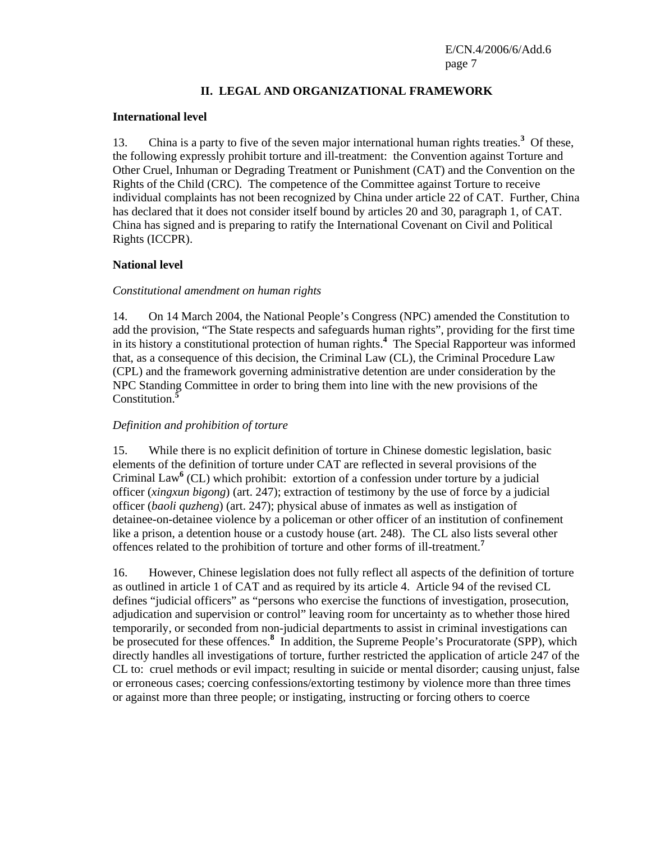# **II. LEGAL AND ORGANIZATIONAL FRAMEWORK**

#### **International level**

13. China is a party to five of the seven major international human rights treaties.**<sup>3</sup>** Of these, the following expressly prohibit torture and ill-treatment: the Convention against Torture and Other Cruel, Inhuman or Degrading Treatment or Punishment (CAT) and the Convention on the Rights of the Child (CRC). The competence of the Committee against Torture to receive individual complaints has not been recognized by China under article 22 of CAT. Further, China has declared that it does not consider itself bound by articles 20 and 30, paragraph 1, of CAT. China has signed and is preparing to ratify the International Covenant on Civil and Political Rights (ICCPR).

# **National level**

#### *Constitutional amendment on human rights*

14. On 14 March 2004, the National People's Congress (NPC) amended the Constitution to add the provision, "The State respects and safeguards human rights", providing for the first time in its history a constitutional protection of human rights.**<sup>4</sup>** The Special Rapporteur was informed that, as a consequence of this decision, the Criminal Law (CL), the Criminal Procedure Law (CPL) and the framework governing administrative detention are under consideration by the NPC Standing Committee in order to bring them into line with the new provisions of the Constitution.**<sup>5</sup>**

### *Definition and prohibition of torture*

15. While there is no explicit definition of torture in Chinese domestic legislation, basic elements of the definition of torture under CAT are reflected in several provisions of the Criminal Law<sup>6</sup> (CL) which prohibit: extortion of a confession under torture by a judicial officer (*xingxun bigong*) (art. 247); extraction of testimony by the use of force by a judicial officer (*baoli quzheng*) (art. 247); physical abuse of inmates as well as instigation of detainee-on-detainee violence by a policeman or other officer of an institution of confinement like a prison, a detention house or a custody house (art. 248). The CL also lists several other offences related to the prohibition of torture and other forms of ill-treatment.**<sup>7</sup>**

16. However, Chinese legislation does not fully reflect all aspects of the definition of torture as outlined in article 1 of CAT and as required by its article 4. Article 94 of the revised CL defines "judicial officers" as "persons who exercise the functions of investigation, prosecution, adjudication and supervision or control" leaving room for uncertainty as to whether those hired temporarily, or seconded from non-judicial departments to assist in criminal investigations can be prosecuted for these offences.<sup>8</sup> In addition, the Supreme People's Procuratorate (SPP), which directly handles all investigations of torture, further restricted the application of article 247 of the CL to: cruel methods or evil impact; resulting in suicide or mental disorder; causing unjust, false or erroneous cases; coercing confessions/extorting testimony by violence more than three times or against more than three people; or instigating, instructing or forcing others to coerce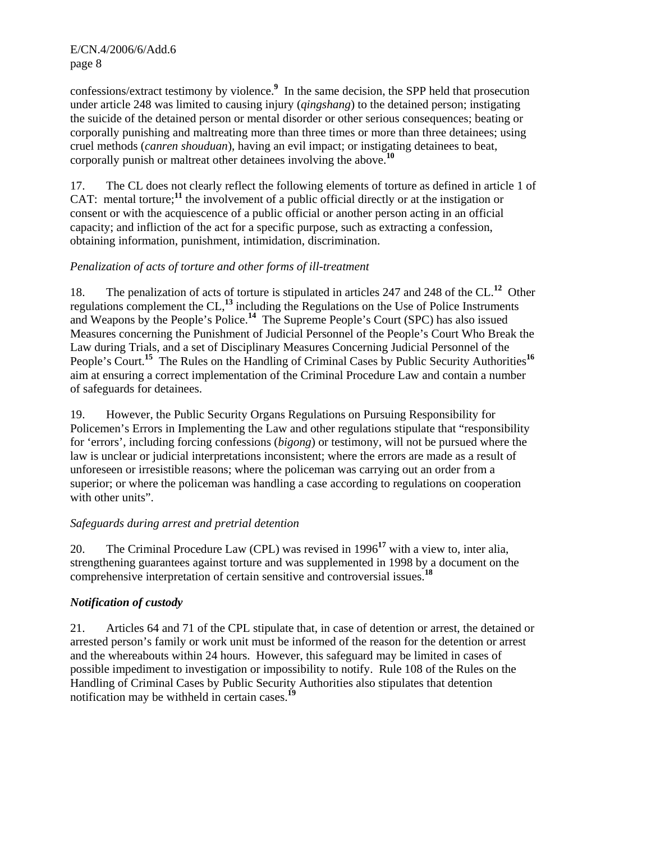confessions/extract testimony by violence.**<sup>9</sup>** In the same decision, the SPP held that prosecution under article 248 was limited to causing injury (*qingshang*) to the detained person; instigating the suicide of the detained person or mental disorder or other serious consequences; beating or corporally punishing and maltreating more than three times or more than three detainees; using cruel methods (*canren shouduan*), having an evil impact; or instigating detainees to beat, corporally punish or maltreat other detainees involving the above.**<sup>10</sup>**

17. The CL does not clearly reflect the following elements of torture as defined in article 1 of CAT: mental torture;**<sup>11</sup>** the involvement of a public official directly or at the instigation or consent or with the acquiescence of a public official or another person acting in an official capacity; and infliction of the act for a specific purpose, such as extracting a confession, obtaining information, punishment, intimidation, discrimination.

# *Penalization of acts of torture and other forms of ill-treatment*

18. The penalization of acts of torture is stipulated in articles 247 and 248 of the CL.**<sup>12</sup>** Other regulations complement the CL,**<sup>13</sup>** including the Regulations on the Use of Police Instruments and Weapons by the People's Police.**<sup>14</sup>** The Supreme People's Court (SPC) has also issued Measures concerning the Punishment of Judicial Personnel of the People's Court Who Break the Law during Trials, and a set of Disciplinary Measures Concerning Judicial Personnel of the People's Court.**<sup>15</sup>** The Rules on the Handling of Criminal Cases by Public Security Authorities**<sup>16</sup>** aim at ensuring a correct implementation of the Criminal Procedure Law and contain a number of safeguards for detainees.

19. However, the Public Security Organs Regulations on Pursuing Responsibility for Policemen's Errors in Implementing the Law and other regulations stipulate that "responsibility for 'errors', including forcing confessions (*bigong*) or testimony, will not be pursued where the law is unclear or judicial interpretations inconsistent; where the errors are made as a result of unforeseen or irresistible reasons; where the policeman was carrying out an order from a superior; or where the policeman was handling a case according to regulations on cooperation with other units".

# *Safeguards during arrest and pretrial detention*

20. The Criminal Procedure Law (CPL) was revised in 1996**<sup>17</sup>** with a view to, inter alia, strengthening guarantees against torture and was supplemented in 1998 by a document on the comprehensive interpretation of certain sensitive and controversial issues.**<sup>18</sup>**

# *Notification of custody*

21. Articles 64 and 71 of the CPL stipulate that, in case of detention or arrest, the detained or arrested person's family or work unit must be informed of the reason for the detention or arrest and the whereabouts within 24 hours. However, this safeguard may be limited in cases of possible impediment to investigation or impossibility to notify. Rule 108 of the Rules on the Handling of Criminal Cases by Public Security Authorities also stipulates that detention notification may be withheld in certain cases.**<sup>19</sup>**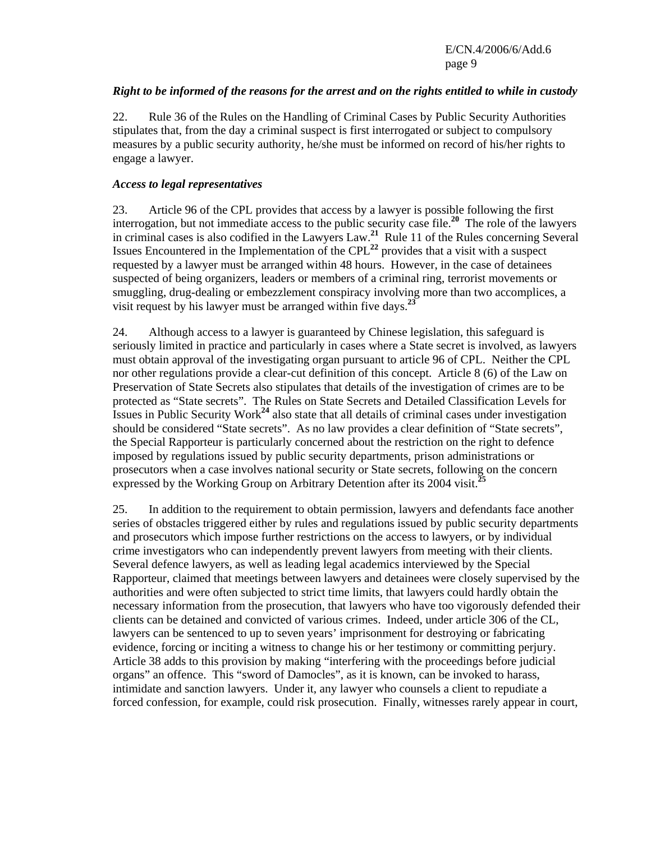#### *Right to be informed of the reasons for the arrest and on the rights entitled to while in custody*

22. Rule 36 of the Rules on the Handling of Criminal Cases by Public Security Authorities stipulates that, from the day a criminal suspect is first interrogated or subject to compulsory measures by a public security authority, he/she must be informed on record of his/her rights to engage a lawyer.

### *Access to legal representatives*

23. Article 96 of the CPL provides that access by a lawyer is possible following the first interrogation, but not immediate access to the public security case file.**<sup>20</sup>** The role of the lawyers in criminal cases is also codified in the Lawyers Law.**<sup>21</sup>** Rule 11 of the Rules concerning Several Issues Encountered in the Implementation of the CPL**<sup>22</sup>** provides that a visit with a suspect requested by a lawyer must be arranged within 48 hours. However, in the case of detainees suspected of being organizers, leaders or members of a criminal ring, terrorist movements or smuggling, drug-dealing or embezzlement conspiracy involving more than two accomplices, a visit request by his lawyer must be arranged within five days.**<sup>23</sup>**

24. Although access to a lawyer is guaranteed by Chinese legislation, this safeguard is seriously limited in practice and particularly in cases where a State secret is involved, as lawyers must obtain approval of the investigating organ pursuant to article 96 of CPL. Neither the CPL nor other regulations provide a clear-cut definition of this concept. Article 8 (6) of the Law on Preservation of State Secrets also stipulates that details of the investigation of crimes are to be protected as "State secrets". The Rules on State Secrets and Detailed Classification Levels for Issues in Public Security Work**<sup>24</sup>** also state that all details of criminal cases under investigation should be considered "State secrets". As no law provides a clear definition of "State secrets", the Special Rapporteur is particularly concerned about the restriction on the right to defence imposed by regulations issued by public security departments, prison administrations or prosecutors when a case involves national security or State secrets, following on the concern expressed by the Working Group on Arbitrary Detention after its 2004 visit.<sup>2</sup>

25. In addition to the requirement to obtain permission, lawyers and defendants face another series of obstacles triggered either by rules and regulations issued by public security departments and prosecutors which impose further restrictions on the access to lawyers, or by individual crime investigators who can independently prevent lawyers from meeting with their clients. Several defence lawyers, as well as leading legal academics interviewed by the Special Rapporteur, claimed that meetings between lawyers and detainees were closely supervised by the authorities and were often subjected to strict time limits, that lawyers could hardly obtain the necessary information from the prosecution, that lawyers who have too vigorously defended their clients can be detained and convicted of various crimes. Indeed, under article 306 of the CL, lawyers can be sentenced to up to seven years' imprisonment for destroying or fabricating evidence, forcing or inciting a witness to change his or her testimony or committing perjury. Article 38 adds to this provision by making "interfering with the proceedings before judicial organs" an offence. This "sword of Damocles", as it is known, can be invoked to harass, intimidate and sanction lawyers. Under it, any lawyer who counsels a client to repudiate a forced confession, for example, could risk prosecution. Finally, witnesses rarely appear in court,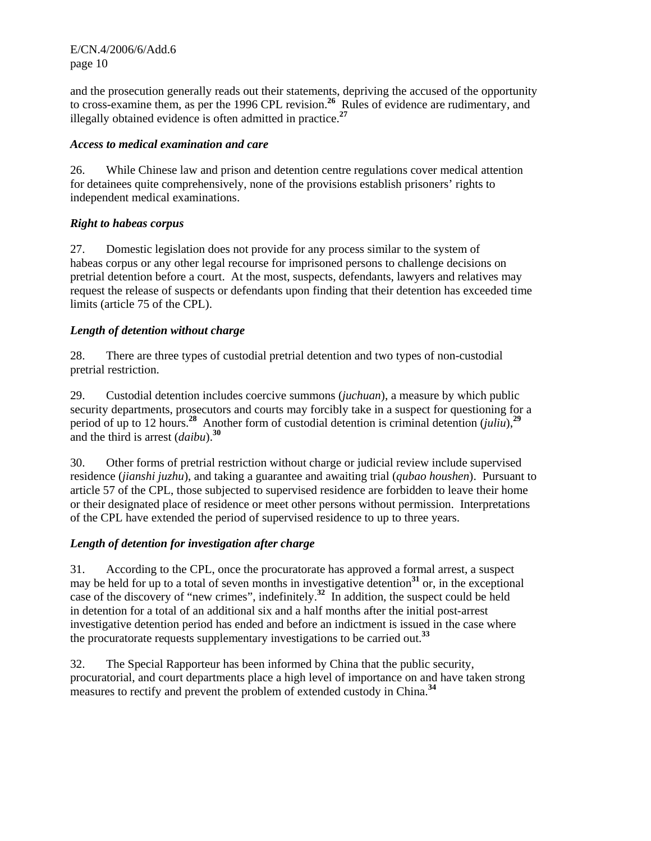and the prosecution generally reads out their statements, depriving the accused of the opportunity to cross-examine them, as per the 1996 CPL revision.**<sup>26</sup>** Rules of evidence are rudimentary, and illegally obtained evidence is often admitted in practice.**<sup>27</sup>**

# *Access to medical examination and care*

26. While Chinese law and prison and detention centre regulations cover medical attention for detainees quite comprehensively, none of the provisions establish prisoners' rights to independent medical examinations.

# *Right to habeas corpus*

27. Domestic legislation does not provide for any process similar to the system of habeas corpus or any other legal recourse for imprisoned persons to challenge decisions on pretrial detention before a court. At the most, suspects, defendants, lawyers and relatives may request the release of suspects or defendants upon finding that their detention has exceeded time limits (article 75 of the CPL).

# *Length of detention without charge*

28. There are three types of custodial pretrial detention and two types of non-custodial pretrial restriction.

29. Custodial detention includes coercive summons (*juchuan*), a measure by which public security departments, prosecutors and courts may forcibly take in a suspect for questioning for a period of up to 12 hours.**<sup>28</sup>** Another form of custodial detention is criminal detention (*juliu*),**<sup>29</sup>** and the third is arrest (*daibu*).**<sup>30</sup>**

30. Other forms of pretrial restriction without charge or judicial review include supervised residence (*jianshi juzhu*), and taking a guarantee and awaiting trial (*qubao houshen*). Pursuant to article 57 of the CPL, those subjected to supervised residence are forbidden to leave their home or their designated place of residence or meet other persons without permission. Interpretations of the CPL have extended the period of supervised residence to up to three years.

# *Length of detention for investigation after charge*

31. According to the CPL, once the procuratorate has approved a formal arrest, a suspect may be held for up to a total of seven months in investigative detention**<sup>31</sup>** or, in the exceptional case of the discovery of "new crimes", indefinitely.**<sup>32</sup>** In addition, the suspect could be held in detention for a total of an additional six and a half months after the initial post-arrest investigative detention period has ended and before an indictment is issued in the case where the procuratorate requests supplementary investigations to be carried out.**<sup>33</sup>**

32. The Special Rapporteur has been informed by China that the public security, procuratorial, and court departments place a high level of importance on and have taken strong measures to rectify and prevent the problem of extended custody in China.**<sup>34</sup>**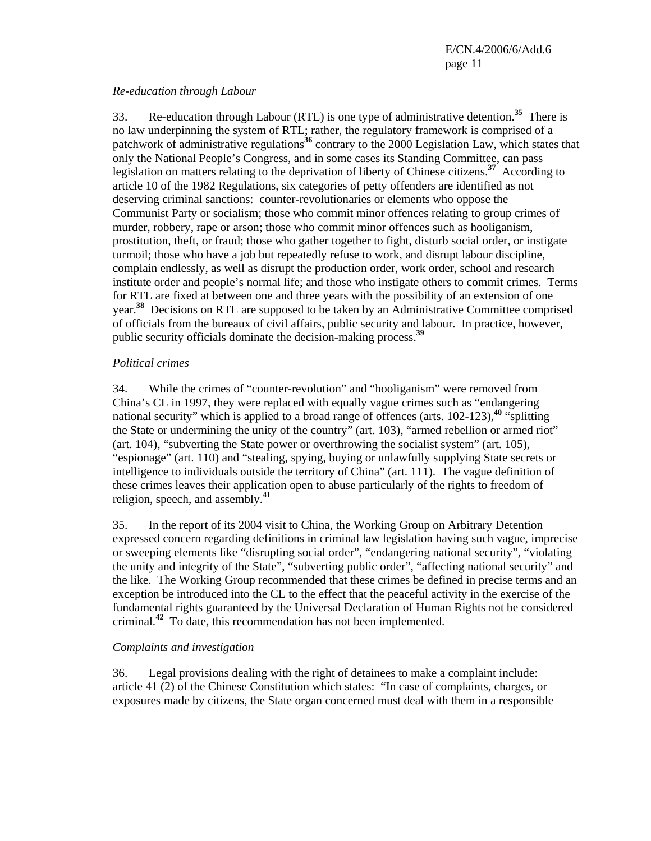#### *Re-education through Labour*

33. Re-education through Labour (RTL) is one type of administrative detention.**<sup>35</sup>** There is no law underpinning the system of RTL; rather, the regulatory framework is comprised of a patchwork of administrative regulations<sup>36</sup> contrary to the 2000 Legislation Law, which states that only the National People's Congress, and in some cases its Standing Committee, can pass legislation on matters relating to the deprivation of liberty of Chinese citizens.**<sup>37</sup>** According to article 10 of the 1982 Regulations, six categories of petty offenders are identified as not deserving criminal sanctions: counter-revolutionaries or elements who oppose the Communist Party or socialism; those who commit minor offences relating to group crimes of murder, robbery, rape or arson; those who commit minor offences such as hooliganism, prostitution, theft, or fraud; those who gather together to fight, disturb social order, or instigate turmoil; those who have a job but repeatedly refuse to work, and disrupt labour discipline, complain endlessly, as well as disrupt the production order, work order, school and research institute order and people's normal life; and those who instigate others to commit crimes. Terms for RTL are fixed at between one and three years with the possibility of an extension of one year.**<sup>38</sup>** Decisions on RTL are supposed to be taken by an Administrative Committee comprised of officials from the bureaux of civil affairs, public security and labour. In practice, however, public security officials dominate the decision-making process.**<sup>39</sup>**

#### *Political crimes*

34. While the crimes of "counter-revolution" and "hooliganism" were removed from China's CL in 1997, they were replaced with equally vague crimes such as "endangering national security" which is applied to a broad range of offences (arts. 102-123),**<sup>40</sup>** "splitting the State or undermining the unity of the country" (art. 103), "armed rebellion or armed riot" (art. 104), "subverting the State power or overthrowing the socialist system" (art. 105), "espionage" (art. 110) and "stealing, spying, buying or unlawfully supplying State secrets or intelligence to individuals outside the territory of China" (art. 111). The vague definition of these crimes leaves their application open to abuse particularly of the rights to freedom of religion, speech, and assembly.**<sup>41</sup>**

35. In the report of its 2004 visit to China, the Working Group on Arbitrary Detention expressed concern regarding definitions in criminal law legislation having such vague, imprecise or sweeping elements like "disrupting social order", "endangering national security", "violating the unity and integrity of the State", "subverting public order", "affecting national security" and the like. The Working Group recommended that these crimes be defined in precise terms and an exception be introduced into the CL to the effect that the peaceful activity in the exercise of the fundamental rights guaranteed by the Universal Declaration of Human Rights not be considered criminal.**<sup>42</sup>** To date, this recommendation has not been implemented.

#### *Complaints and investigation*

36. Legal provisions dealing with the right of detainees to make a complaint include: article 41 (2) of the Chinese Constitution which states: "In case of complaints, charges, or exposures made by citizens, the State organ concerned must deal with them in a responsible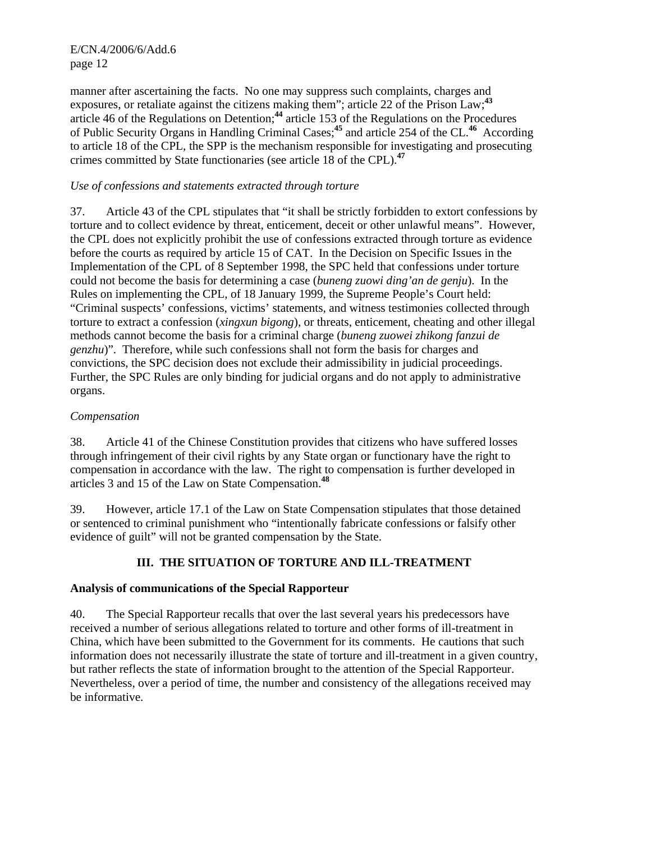manner after ascertaining the facts. No one may suppress such complaints, charges and exposures, or retaliate against the citizens making them"; article 22 of the Prison Law;**<sup>43</sup>** article 46 of the Regulations on Detention;**<sup>44</sup>** article 153 of the Regulations on the Procedures of Public Security Organs in Handling Criminal Cases;**<sup>45</sup>** and article 254 of the CL.**<sup>46</sup>** According to article 18 of the CPL, the SPP is the mechanism responsible for investigating and prosecuting crimes committed by State functionaries (see article 18 of the CPL).**<sup>47</sup>**

# *Use of confessions and statements extracted through torture*

37. Article 43 of the CPL stipulates that "it shall be strictly forbidden to extort confessions by torture and to collect evidence by threat, enticement, deceit or other unlawful means". However, the CPL does not explicitly prohibit the use of confessions extracted through torture as evidence before the courts as required by article 15 of CAT. In the Decision on Specific Issues in the Implementation of the CPL of 8 September 1998, the SPC held that confessions under torture could not become the basis for determining a case (*buneng zuowi ding'an de genju*). In the Rules on implementing the CPL, of 18 January 1999, the Supreme People's Court held: "Criminal suspects' confessions, victims' statements, and witness testimonies collected through torture to extract a confession (*xingxun bigong*), or threats, enticement, cheating and other illegal methods cannot become the basis for a criminal charge (*buneng zuowei zhikong fanzui de genzhu*)". Therefore, while such confessions shall not form the basis for charges and convictions, the SPC decision does not exclude their admissibility in judicial proceedings. Further, the SPC Rules are only binding for judicial organs and do not apply to administrative organs.

# *Compensation*

38. Article 41 of the Chinese Constitution provides that citizens who have suffered losses through infringement of their civil rights by any State organ or functionary have the right to compensation in accordance with the law. The right to compensation is further developed in articles 3 and 15 of the Law on State Compensation.**<sup>48</sup>**

39. However, article 17.1 of the Law on State Compensation stipulates that those detained or sentenced to criminal punishment who "intentionally fabricate confessions or falsify other evidence of guilt" will not be granted compensation by the State.

# **III. THE SITUATION OF TORTURE AND ILL-TREATMENT**

#### **Analysis of communications of the Special Rapporteur**

40. The Special Rapporteur recalls that over the last several years his predecessors have received a number of serious allegations related to torture and other forms of ill-treatment in China, which have been submitted to the Government for its comments. He cautions that such information does not necessarily illustrate the state of torture and ill-treatment in a given country, but rather reflects the state of information brought to the attention of the Special Rapporteur. Nevertheless, over a period of time, the number and consistency of the allegations received may be informative.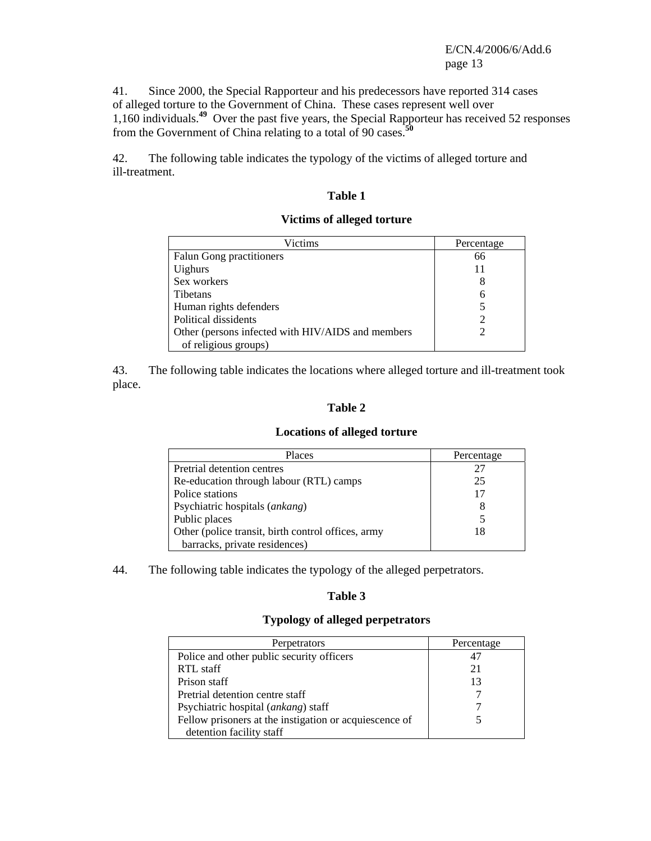41. Since 2000, the Special Rapporteur and his predecessors have reported 314 cases of alleged torture to the Government of China. These cases represent well over 1,160 individuals.**<sup>49</sup>** Over the past five years, the Special Rapporteur has received 52 responses from the Government of China relating to a total of 90 cases.<sup>5</sup>

42. The following table indicates the typology of the victims of alleged torture and ill-treatment.

# **Table 1**

#### **Victims of alleged torture**

| Victims                                           | Percentage     |
|---------------------------------------------------|----------------|
| Falun Gong practitioners                          | 66             |
| <b>Uighurs</b>                                    |                |
| Sex workers                                       |                |
| Tibetans                                          | 6              |
| Human rights defenders                            | 5              |
| Political dissidents                              | $\mathfrak{D}$ |
| Other (persons infected with HIV/AIDS and members |                |
| of religious groups)                              |                |

43. The following table indicates the locations where alleged torture and ill-treatment took place.

# **Table 2**

#### **Locations of alleged torture**

| <b>Places</b>                                      | Percentage |
|----------------------------------------------------|------------|
| Pretrial detention centres                         |            |
| Re-education through labour (RTL) camps            | 25         |
| Police stations                                    | 17         |
| Psychiatric hospitals (ankang)                     | 8          |
| Public places                                      |            |
| Other (police transit, birth control offices, army | 18         |
| barracks, private residences)                      |            |

44. The following table indicates the typology of the alleged perpetrators.

#### **Table 3**

#### **Typology of alleged perpetrators**

| Perpetrators                                           | Percentage  |  |
|--------------------------------------------------------|-------------|--|
| Police and other public security officers              | $4^{\circ}$ |  |
| RTL staff                                              | 21          |  |
| Prison staff                                           | 13          |  |
| Pretrial detention centre staff                        |             |  |
| Psychiatric hospital (ankang) staff                    |             |  |
| Fellow prisoners at the instigation or acquiescence of |             |  |
| detention facility staff                               |             |  |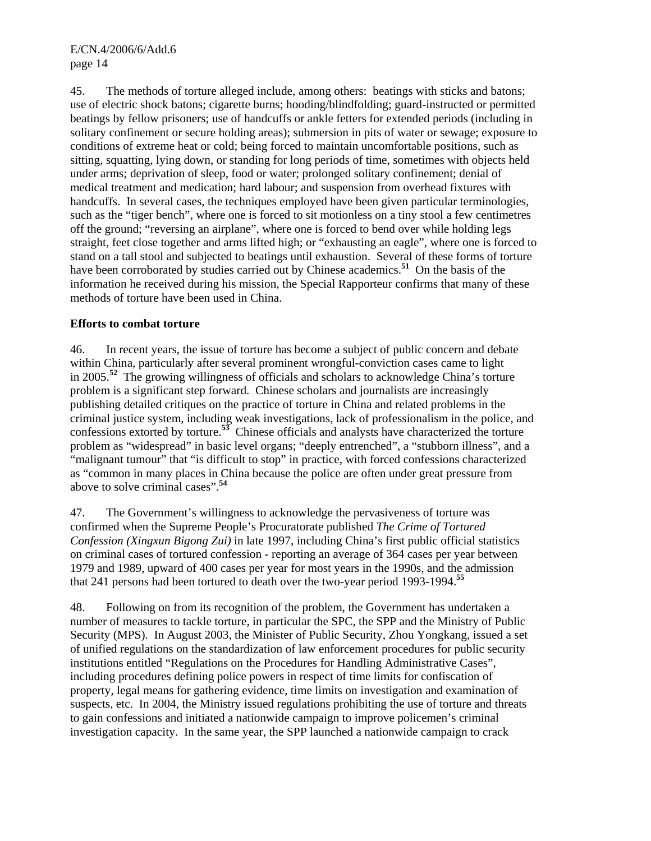45. The methods of torture alleged include, among others: beatings with sticks and batons; use of electric shock batons; cigarette burns; hooding/blindfolding; guard-instructed or permitted beatings by fellow prisoners; use of handcuffs or ankle fetters for extended periods (including in solitary confinement or secure holding areas); submersion in pits of water or sewage; exposure to conditions of extreme heat or cold; being forced to maintain uncomfortable positions, such as sitting, squatting, lying down, or standing for long periods of time, sometimes with objects held under arms; deprivation of sleep, food or water; prolonged solitary confinement; denial of medical treatment and medication; hard labour; and suspension from overhead fixtures with handcuffs. In several cases, the techniques employed have been given particular terminologies, such as the "tiger bench", where one is forced to sit motionless on a tiny stool a few centimetres off the ground; "reversing an airplane", where one is forced to bend over while holding legs straight, feet close together and arms lifted high; or "exhausting an eagle", where one is forced to stand on a tall stool and subjected to beatings until exhaustion. Several of these forms of torture have been corroborated by studies carried out by Chinese academics.**<sup>51</sup>** On the basis of the information he received during his mission, the Special Rapporteur confirms that many of these methods of torture have been used in China.

#### **Efforts to combat torture**

46. In recent years, the issue of torture has become a subject of public concern and debate within China, particularly after several prominent wrongful-conviction cases came to light in 2005.**<sup>52</sup>** The growing willingness of officials and scholars to acknowledge China's torture problem is a significant step forward. Chinese scholars and journalists are increasingly publishing detailed critiques on the practice of torture in China and related problems in the criminal justice system, including weak investigations, lack of professionalism in the police, and confessions extorted by torture.**<sup>53</sup>** Chinese officials and analysts have characterized the torture problem as "widespread" in basic level organs; "deeply entrenched", a "stubborn illness", and a "malignant tumour" that "is difficult to stop" in practice, with forced confessions characterized as "common in many places in China because the police are often under great pressure from above to solve criminal cases".**<sup>54</sup>**

47. The Government's willingness to acknowledge the pervasiveness of torture was confirmed when the Supreme People's Procuratorate published *The Crime of Tortured Confession (Xingxun Bigong Zui)* in late 1997, including China's first public official statistics on criminal cases of tortured confession - reporting an average of 364 cases per year between 1979 and 1989, upward of 400 cases per year for most years in the 1990s, and the admission that 241 persons had been tortured to death over the two-year period 1993-1994.**<sup>55</sup>**

48. Following on from its recognition of the problem, the Government has undertaken a number of measures to tackle torture, in particular the SPC, the SPP and the Ministry of Public Security (MPS). In August 2003, the Minister of Public Security, Zhou Yongkang, issued a set of unified regulations on the standardization of law enforcement procedures for public security institutions entitled "Regulations on the Procedures for Handling Administrative Cases", including procedures defining police powers in respect of time limits for confiscation of property, legal means for gathering evidence, time limits on investigation and examination of suspects, etc. In 2004, the Ministry issued regulations prohibiting the use of torture and threats to gain confessions and initiated a nationwide campaign to improve policemen's criminal investigation capacity. In the same year, the SPP launched a nationwide campaign to crack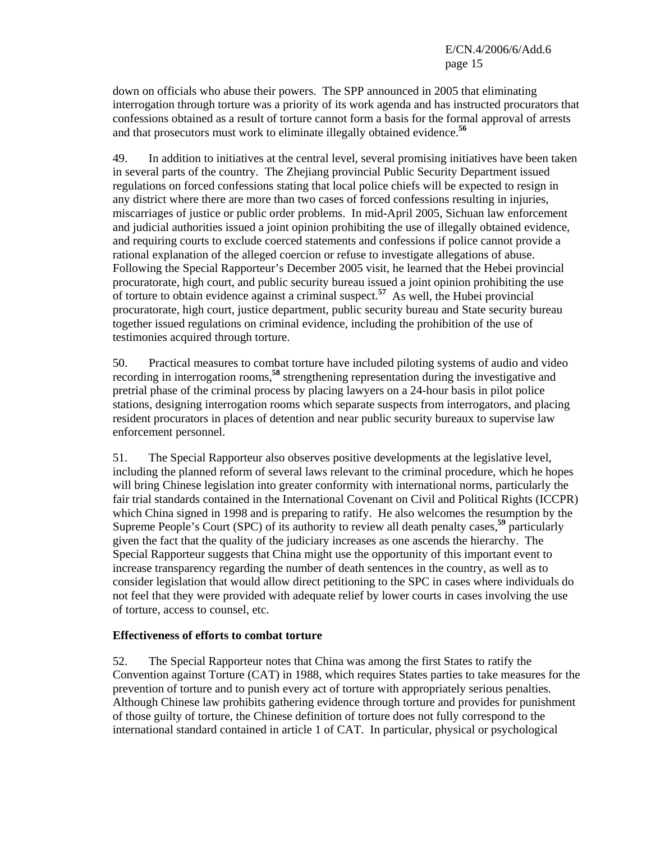down on officials who abuse their powers. The SPP announced in 2005 that eliminating interrogation through torture was a priority of its work agenda and has instructed procurators that confessions obtained as a result of torture cannot form a basis for the formal approval of arrests and that prosecutors must work to eliminate illegally obtained evidence.**<sup>56</sup>**

49. In addition to initiatives at the central level, several promising initiatives have been taken in several parts of the country. The Zhejiang provincial Public Security Department issued regulations on forced confessions stating that local police chiefs will be expected to resign in any district where there are more than two cases of forced confessions resulting in injuries, miscarriages of justice or public order problems. In mid-April 2005, Sichuan law enforcement and judicial authorities issued a joint opinion prohibiting the use of illegally obtained evidence, and requiring courts to exclude coerced statements and confessions if police cannot provide a rational explanation of the alleged coercion or refuse to investigate allegations of abuse. Following the Special Rapporteur's December 2005 visit, he learned that the Hebei provincial procuratorate, high court, and public security bureau issued a joint opinion prohibiting the use of torture to obtain evidence against a criminal suspect.**<sup>57</sup>** As well, the Hubei provincial procuratorate, high court, justice department, public security bureau and State security bureau together issued regulations on criminal evidence, including the prohibition of the use of testimonies acquired through torture.

50. Practical measures to combat torture have included piloting systems of audio and video recording in interrogation rooms,**<sup>58</sup>** strengthening representation during the investigative and pretrial phase of the criminal process by placing lawyers on a 24-hour basis in pilot police stations, designing interrogation rooms which separate suspects from interrogators, and placing resident procurators in places of detention and near public security bureaux to supervise law enforcement personnel.

51. The Special Rapporteur also observes positive developments at the legislative level, including the planned reform of several laws relevant to the criminal procedure, which he hopes will bring Chinese legislation into greater conformity with international norms, particularly the fair trial standards contained in the International Covenant on Civil and Political Rights (ICCPR) which China signed in 1998 and is preparing to ratify. He also welcomes the resumption by the Supreme People's Court (SPC) of its authority to review all death penalty cases,**<sup>59</sup>** particularly given the fact that the quality of the judiciary increases as one ascends the hierarchy. The Special Rapporteur suggests that China might use the opportunity of this important event to increase transparency regarding the number of death sentences in the country, as well as to consider legislation that would allow direct petitioning to the SPC in cases where individuals do not feel that they were provided with adequate relief by lower courts in cases involving the use of torture, access to counsel, etc.

#### **Effectiveness of efforts to combat torture**

52. The Special Rapporteur notes that China was among the first States to ratify the Convention against Torture (CAT) in 1988, which requires States parties to take measures for the prevention of torture and to punish every act of torture with appropriately serious penalties. Although Chinese law prohibits gathering evidence through torture and provides for punishment of those guilty of torture, the Chinese definition of torture does not fully correspond to the international standard contained in article 1 of CAT. In particular, physical or psychological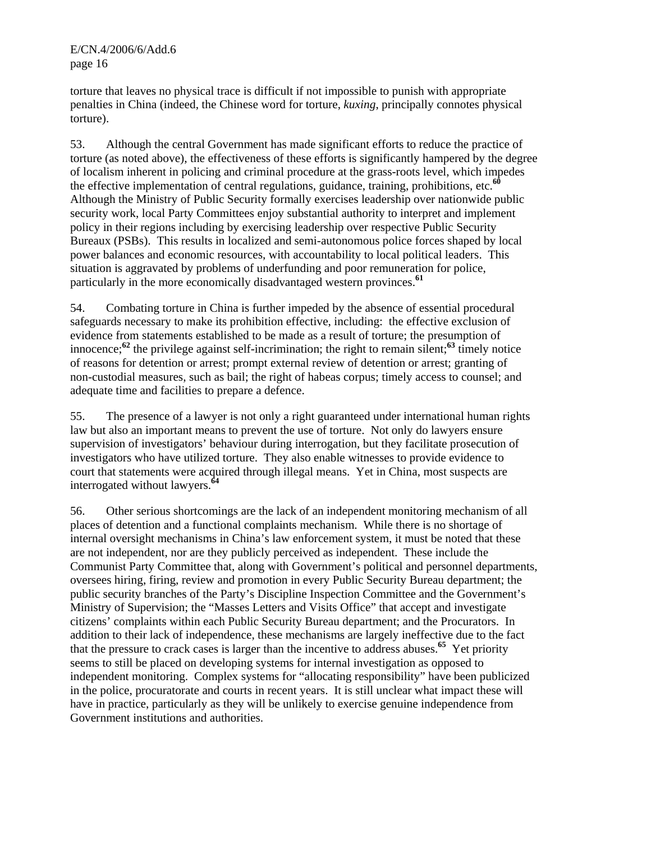torture that leaves no physical trace is difficult if not impossible to punish with appropriate penalties in China (indeed, the Chinese word for torture, *kuxing*, principally connotes physical torture).

53. Although the central Government has made significant efforts to reduce the practice of torture (as noted above), the effectiveness of these efforts is significantly hampered by the degree of localism inherent in policing and criminal procedure at the grass-roots level, which impedes the effective implementation of central regulations, guidance, training, prohibitions, etc.**<sup>60</sup>** Although the Ministry of Public Security formally exercises leadership over nationwide public security work, local Party Committees enjoy substantial authority to interpret and implement policy in their regions including by exercising leadership over respective Public Security Bureaux (PSBs). This results in localized and semi-autonomous police forces shaped by local power balances and economic resources, with accountability to local political leaders. This situation is aggravated by problems of underfunding and poor remuneration for police, particularly in the more economically disadvantaged western provinces.**<sup>61</sup>**

54. Combating torture in China is further impeded by the absence of essential procedural safeguards necessary to make its prohibition effective, including: the effective exclusion of evidence from statements established to be made as a result of torture; the presumption of innocence;**<sup>62</sup>** the privilege against self-incrimination; the right to remain silent;**<sup>63</sup>** timely notice of reasons for detention or arrest; prompt external review of detention or arrest; granting of non-custodial measures, such as bail; the right of habeas corpus; timely access to counsel; and adequate time and facilities to prepare a defence.

55. The presence of a lawyer is not only a right guaranteed under international human rights law but also an important means to prevent the use of torture. Not only do lawyers ensure supervision of investigators' behaviour during interrogation, but they facilitate prosecution of investigators who have utilized torture. They also enable witnesses to provide evidence to court that statements were acquired through illegal means. Yet in China, most suspects are interrogated without lawyers.**<sup>64</sup>**

56. Other serious shortcomings are the lack of an independent monitoring mechanism of all places of detention and a functional complaints mechanism. While there is no shortage of internal oversight mechanisms in China's law enforcement system, it must be noted that these are not independent, nor are they publicly perceived as independent. These include the Communist Party Committee that, along with Government's political and personnel departments, oversees hiring, firing, review and promotion in every Public Security Bureau department; the public security branches of the Party's Discipline Inspection Committee and the Government's Ministry of Supervision; the "Masses Letters and Visits Office" that accept and investigate citizens' complaints within each Public Security Bureau department; and the Procurators. In addition to their lack of independence, these mechanisms are largely ineffective due to the fact that the pressure to crack cases is larger than the incentive to address abuses.**<sup>65</sup>** Yet priority seems to still be placed on developing systems for internal investigation as opposed to independent monitoring. Complex systems for "allocating responsibility" have been publicized in the police, procuratorate and courts in recent years. It is still unclear what impact these will have in practice, particularly as they will be unlikely to exercise genuine independence from Government institutions and authorities.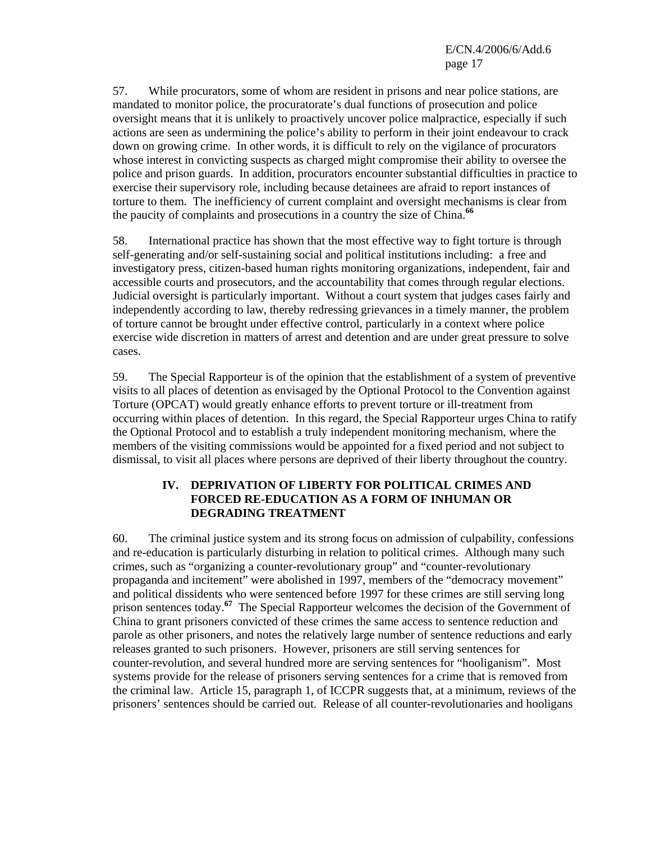57. While procurators, some of whom are resident in prisons and near police stations, are mandated to monitor police, the procuratorate's dual functions of prosecution and police oversight means that it is unlikely to proactively uncover police malpractice, especially if such actions are seen as undermining the police's ability to perform in their joint endeavour to crack down on growing crime. In other words, it is difficult to rely on the vigilance of procurators whose interest in convicting suspects as charged might compromise their ability to oversee the police and prison guards. In addition, procurators encounter substantial difficulties in practice to exercise their supervisory role, including because detainees are afraid to report instances of torture to them. The inefficiency of current complaint and oversight mechanisms is clear from the paucity of complaints and prosecutions in a country the size of China.**<sup>66</sup>**

58. International practice has shown that the most effective way to fight torture is through self-generating and/or self-sustaining social and political institutions including: a free and investigatory press, citizen-based human rights monitoring organizations, independent, fair and accessible courts and prosecutors, and the accountability that comes through regular elections. Judicial oversight is particularly important. Without a court system that judges cases fairly and independently according to law, thereby redressing grievances in a timely manner, the problem of torture cannot be brought under effective control, particularly in a context where police exercise wide discretion in matters of arrest and detention and are under great pressure to solve cases.

59. The Special Rapporteur is of the opinion that the establishment of a system of preventive visits to all places of detention as envisaged by the Optional Protocol to the Convention against Torture (OPCAT) would greatly enhance efforts to prevent torture or ill-treatment from occurring within places of detention. In this regard, the Special Rapporteur urges China to ratify the Optional Protocol and to establish a truly independent monitoring mechanism, where the members of the visiting commissions would be appointed for a fixed period and not subject to dismissal, to visit all places where persons are deprived of their liberty throughout the country.

# **IV. DEPRIVATION OF LIBERTY FOR POLITICAL CRIMES AND FORCED RE-EDUCATION AS A FORM OF INHUMAN OR DEGRADING TREATMENT**

60. The criminal justice system and its strong focus on admission of culpability, confessions and re-education is particularly disturbing in relation to political crimes. Although many such crimes, such as "organizing a counter-revolutionary group" and "counter-revolutionary propaganda and incitement" were abolished in 1997, members of the "democracy movement" and political dissidents who were sentenced before 1997 for these crimes are still serving long prison sentences today.**<sup>67</sup>** The Special Rapporteur welcomes the decision of the Government of China to grant prisoners convicted of these crimes the same access to sentence reduction and parole as other prisoners, and notes the relatively large number of sentence reductions and early releases granted to such prisoners. However, prisoners are still serving sentences for counter-revolution, and several hundred more are serving sentences for "hooliganism". Most systems provide for the release of prisoners serving sentences for a crime that is removed from the criminal law. Article 15, paragraph 1, of ICCPR suggests that, at a minimum, reviews of the prisoners' sentences should be carried out. Release of all counter-revolutionaries and hooligans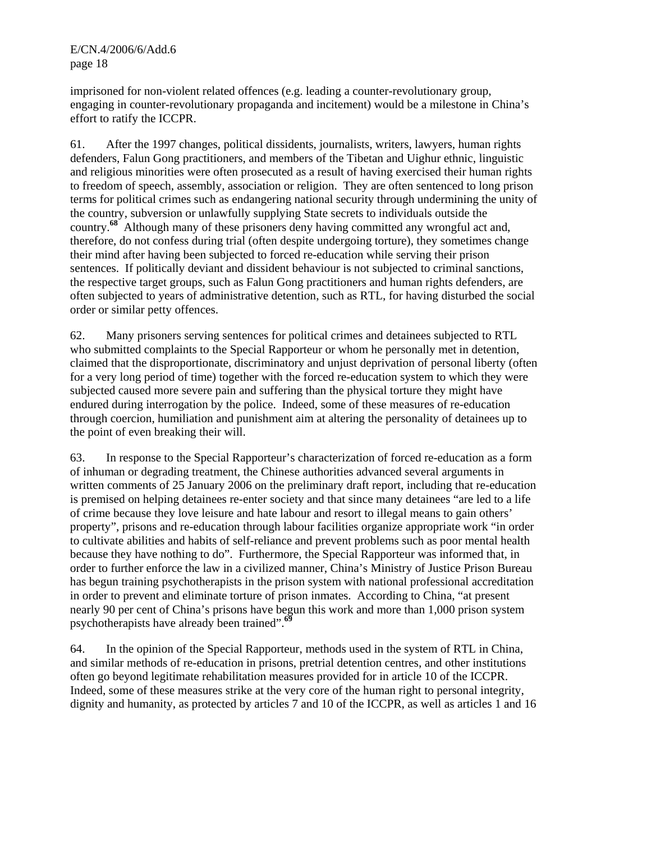imprisoned for non-violent related offences (e.g. leading a counter-revolutionary group, engaging in counter-revolutionary propaganda and incitement) would be a milestone in China's effort to ratify the ICCPR.

61. After the 1997 changes, political dissidents, journalists, writers, lawyers, human rights defenders, Falun Gong practitioners, and members of the Tibetan and Uighur ethnic, linguistic and religious minorities were often prosecuted as a result of having exercised their human rights to freedom of speech, assembly, association or religion. They are often sentenced to long prison terms for political crimes such as endangering national security through undermining the unity of the country, subversion or unlawfully supplying State secrets to individuals outside the country.**<sup>68</sup>** Although many of these prisoners deny having committed any wrongful act and, therefore, do not confess during trial (often despite undergoing torture), they sometimes change their mind after having been subjected to forced re-education while serving their prison sentences. If politically deviant and dissident behaviour is not subjected to criminal sanctions, the respective target groups, such as Falun Gong practitioners and human rights defenders, are often subjected to years of administrative detention, such as RTL, for having disturbed the social order or similar petty offences.

62. Many prisoners serving sentences for political crimes and detainees subjected to RTL who submitted complaints to the Special Rapporteur or whom he personally met in detention, claimed that the disproportionate, discriminatory and unjust deprivation of personal liberty (often for a very long period of time) together with the forced re-education system to which they were subjected caused more severe pain and suffering than the physical torture they might have endured during interrogation by the police. Indeed, some of these measures of re-education through coercion, humiliation and punishment aim at altering the personality of detainees up to the point of even breaking their will.

63. In response to the Special Rapporteur's characterization of forced re-education as a form of inhuman or degrading treatment, the Chinese authorities advanced several arguments in written comments of 25 January 2006 on the preliminary draft report, including that re-education is premised on helping detainees re-enter society and that since many detainees "are led to a life of crime because they love leisure and hate labour and resort to illegal means to gain others' property", prisons and re-education through labour facilities organize appropriate work "in order to cultivate abilities and habits of self-reliance and prevent problems such as poor mental health because they have nothing to do". Furthermore, the Special Rapporteur was informed that, in order to further enforce the law in a civilized manner, China's Ministry of Justice Prison Bureau has begun training psychotherapists in the prison system with national professional accreditation in order to prevent and eliminate torture of prison inmates. According to China, "at present nearly 90 per cent of China's prisons have begun this work and more than 1,000 prison system psychotherapists have already been trained".**<sup>69</sup>**

64. In the opinion of the Special Rapporteur, methods used in the system of RTL in China, and similar methods of re-education in prisons, pretrial detention centres, and other institutions often go beyond legitimate rehabilitation measures provided for in article 10 of the ICCPR. Indeed, some of these measures strike at the very core of the human right to personal integrity, dignity and humanity, as protected by articles 7 and 10 of the ICCPR, as well as articles 1 and 16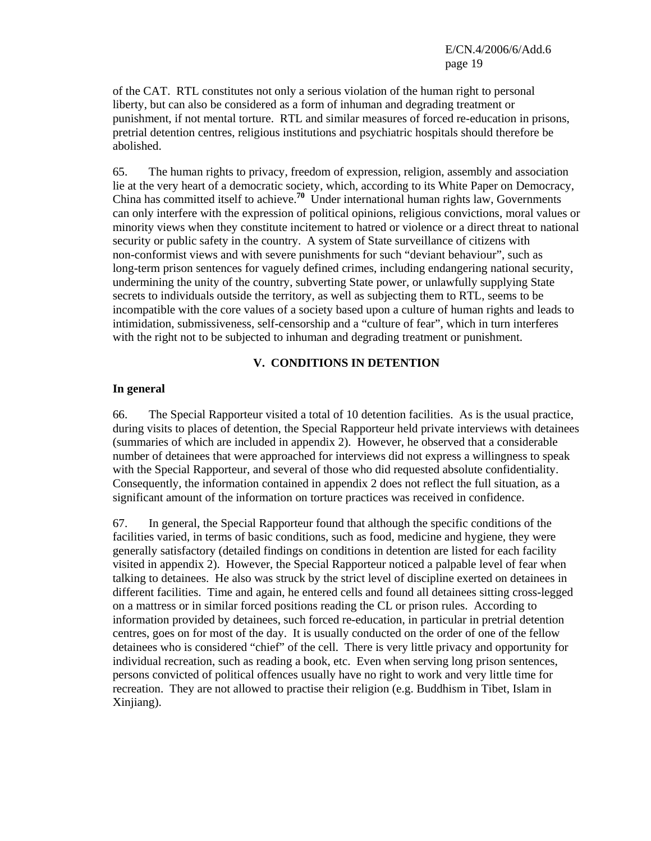of the CAT. RTL constitutes not only a serious violation of the human right to personal liberty, but can also be considered as a form of inhuman and degrading treatment or punishment, if not mental torture. RTL and similar measures of forced re-education in prisons, pretrial detention centres, religious institutions and psychiatric hospitals should therefore be abolished.

65. The human rights to privacy, freedom of expression, religion, assembly and association lie at the very heart of a democratic society, which, according to its White Paper on Democracy, China has committed itself to achieve.**<sup>70</sup>** Under international human rights law, Governments can only interfere with the expression of political opinions, religious convictions, moral values or minority views when they constitute incitement to hatred or violence or a direct threat to national security or public safety in the country. A system of State surveillance of citizens with non-conformist views and with severe punishments for such "deviant behaviour", such as long-term prison sentences for vaguely defined crimes, including endangering national security, undermining the unity of the country, subverting State power, or unlawfully supplying State secrets to individuals outside the territory, as well as subjecting them to RTL, seems to be incompatible with the core values of a society based upon a culture of human rights and leads to intimidation, submissiveness, self-censorship and a "culture of fear", which in turn interferes with the right not to be subjected to inhuman and degrading treatment or punishment.

#### **V. CONDITIONS IN DETENTION**

# **In general**

66. The Special Rapporteur visited a total of 10 detention facilities. As is the usual practice, during visits to places of detention, the Special Rapporteur held private interviews with detainees (summaries of which are included in appendix 2). However, he observed that a considerable number of detainees that were approached for interviews did not express a willingness to speak with the Special Rapporteur, and several of those who did requested absolute confidentiality. Consequently, the information contained in appendix 2 does not reflect the full situation, as a significant amount of the information on torture practices was received in confidence.

67. In general, the Special Rapporteur found that although the specific conditions of the facilities varied, in terms of basic conditions, such as food, medicine and hygiene, they were generally satisfactory (detailed findings on conditions in detention are listed for each facility visited in appendix 2). However, the Special Rapporteur noticed a palpable level of fear when talking to detainees. He also was struck by the strict level of discipline exerted on detainees in different facilities. Time and again, he entered cells and found all detainees sitting cross-legged on a mattress or in similar forced positions reading the CL or prison rules. According to information provided by detainees, such forced re-education, in particular in pretrial detention centres, goes on for most of the day. It is usually conducted on the order of one of the fellow detainees who is considered "chief" of the cell. There is very little privacy and opportunity for individual recreation, such as reading a book, etc. Even when serving long prison sentences, persons convicted of political offences usually have no right to work and very little time for recreation. They are not allowed to practise their religion (e.g. Buddhism in Tibet, Islam in Xinjiang).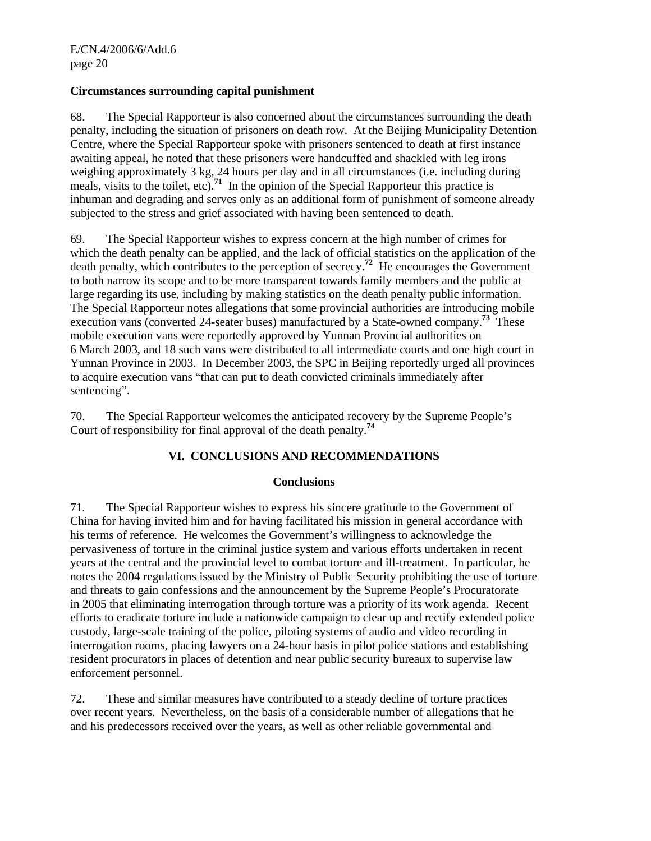#### **Circumstances surrounding capital punishment**

68. The Special Rapporteur is also concerned about the circumstances surrounding the death penalty, including the situation of prisoners on death row. At the Beijing Municipality Detention Centre, where the Special Rapporteur spoke with prisoners sentenced to death at first instance awaiting appeal, he noted that these prisoners were handcuffed and shackled with leg irons weighing approximately 3 kg, 24 hours per day and in all circumstances (i.e. including during meals, visits to the toilet, etc).<sup>71</sup> In the opinion of the Special Rapporteur this practice is inhuman and degrading and serves only as an additional form of punishment of someone already subjected to the stress and grief associated with having been sentenced to death.

69. The Special Rapporteur wishes to express concern at the high number of crimes for which the death penalty can be applied, and the lack of official statistics on the application of the death penalty, which contributes to the perception of secrecy.**<sup>72</sup>** He encourages the Government to both narrow its scope and to be more transparent towards family members and the public at large regarding its use, including by making statistics on the death penalty public information. The Special Rapporteur notes allegations that some provincial authorities are introducing mobile execution vans (converted 24-seater buses) manufactured by a State-owned company.**<sup>73</sup>** These mobile execution vans were reportedly approved by Yunnan Provincial authorities on 6 March 2003, and 18 such vans were distributed to all intermediate courts and one high court in Yunnan Province in 2003. In December 2003, the SPC in Beijing reportedly urged all provinces to acquire execution vans "that can put to death convicted criminals immediately after sentencing".

70. The Special Rapporteur welcomes the anticipated recovery by the Supreme People's Court of responsibility for final approval of the death penalty.**<sup>74</sup>**

# **VI. CONCLUSIONS AND RECOMMENDATIONS**

#### **Conclusions**

71. The Special Rapporteur wishes to express his sincere gratitude to the Government of China for having invited him and for having facilitated his mission in general accordance with his terms of reference. He welcomes the Government's willingness to acknowledge the pervasiveness of torture in the criminal justice system and various efforts undertaken in recent years at the central and the provincial level to combat torture and ill-treatment. In particular, he notes the 2004 regulations issued by the Ministry of Public Security prohibiting the use of torture and threats to gain confessions and the announcement by the Supreme People's Procuratorate in 2005 that eliminating interrogation through torture was a priority of its work agenda. Recent efforts to eradicate torture include a nationwide campaign to clear up and rectify extended police custody, large-scale training of the police, piloting systems of audio and video recording in interrogation rooms, placing lawyers on a 24-hour basis in pilot police stations and establishing resident procurators in places of detention and near public security bureaux to supervise law enforcement personnel.

72. These and similar measures have contributed to a steady decline of torture practices over recent years. Nevertheless, on the basis of a considerable number of allegations that he and his predecessors received over the years, as well as other reliable governmental and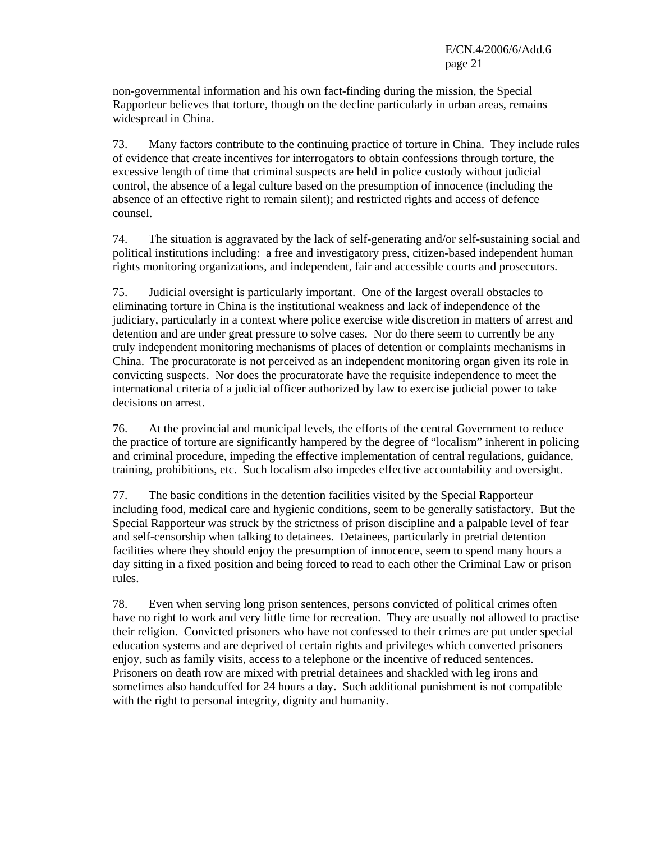non-governmental information and his own fact-finding during the mission, the Special Rapporteur believes that torture, though on the decline particularly in urban areas, remains widespread in China.

73. Many factors contribute to the continuing practice of torture in China. They include rules of evidence that create incentives for interrogators to obtain confessions through torture, the excessive length of time that criminal suspects are held in police custody without judicial control, the absence of a legal culture based on the presumption of innocence (including the absence of an effective right to remain silent); and restricted rights and access of defence counsel.

74. The situation is aggravated by the lack of self-generating and/or self-sustaining social and political institutions including: a free and investigatory press, citizen-based independent human rights monitoring organizations, and independent, fair and accessible courts and prosecutors.

75. Judicial oversight is particularly important. One of the largest overall obstacles to eliminating torture in China is the institutional weakness and lack of independence of the judiciary, particularly in a context where police exercise wide discretion in matters of arrest and detention and are under great pressure to solve cases. Nor do there seem to currently be any truly independent monitoring mechanisms of places of detention or complaints mechanisms in China. The procuratorate is not perceived as an independent monitoring organ given its role in convicting suspects. Nor does the procuratorate have the requisite independence to meet the international criteria of a judicial officer authorized by law to exercise judicial power to take decisions on arrest.

76. At the provincial and municipal levels, the efforts of the central Government to reduce the practice of torture are significantly hampered by the degree of "localism" inherent in policing and criminal procedure, impeding the effective implementation of central regulations, guidance, training, prohibitions, etc. Such localism also impedes effective accountability and oversight.

77. The basic conditions in the detention facilities visited by the Special Rapporteur including food, medical care and hygienic conditions, seem to be generally satisfactory. But the Special Rapporteur was struck by the strictness of prison discipline and a palpable level of fear and self-censorship when talking to detainees. Detainees, particularly in pretrial detention facilities where they should enjoy the presumption of innocence, seem to spend many hours a day sitting in a fixed position and being forced to read to each other the Criminal Law or prison rules.

78. Even when serving long prison sentences, persons convicted of political crimes often have no right to work and very little time for recreation. They are usually not allowed to practise their religion. Convicted prisoners who have not confessed to their crimes are put under special education systems and are deprived of certain rights and privileges which converted prisoners enjoy, such as family visits, access to a telephone or the incentive of reduced sentences. Prisoners on death row are mixed with pretrial detainees and shackled with leg irons and sometimes also handcuffed for 24 hours a day. Such additional punishment is not compatible with the right to personal integrity, dignity and humanity.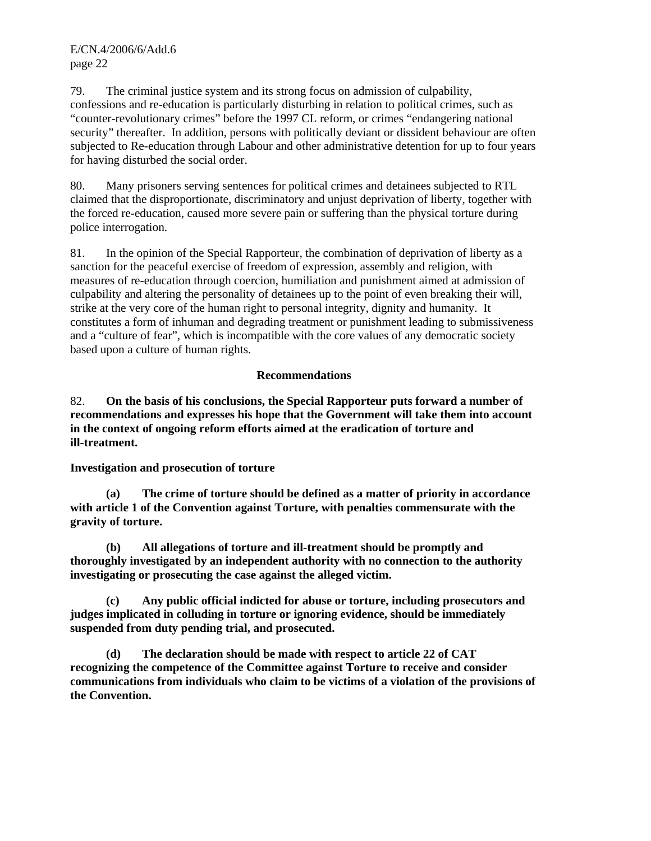79. The criminal justice system and its strong focus on admission of culpability, confessions and re-education is particularly disturbing in relation to political crimes, such as "counter-revolutionary crimes" before the 1997 CL reform, or crimes "endangering national security" thereafter. In addition, persons with politically deviant or dissident behaviour are often subjected to Re-education through Labour and other administrative detention for up to four years for having disturbed the social order.

80. Many prisoners serving sentences for political crimes and detainees subjected to RTL claimed that the disproportionate, discriminatory and unjust deprivation of liberty, together with the forced re-education, caused more severe pain or suffering than the physical torture during police interrogation.

81. In the opinion of the Special Rapporteur, the combination of deprivation of liberty as a sanction for the peaceful exercise of freedom of expression, assembly and religion, with measures of re-education through coercion, humiliation and punishment aimed at admission of culpability and altering the personality of detainees up to the point of even breaking their will, strike at the very core of the human right to personal integrity, dignity and humanity. It constitutes a form of inhuman and degrading treatment or punishment leading to submissiveness and a "culture of fear", which is incompatible with the core values of any democratic society based upon a culture of human rights.

# **Recommendations**

82. **On the basis of his conclusions, the Special Rapporteur puts forward a number of recommendations and expresses his hope that the Government will take them into account in the context of ongoing reform efforts aimed at the eradication of torture and ill-treatment.**

**Investigation and prosecution of torture** 

 **(a) The crime of torture should be defined as a matter of priority in accordance with article 1 of the Convention against Torture, with penalties commensurate with the gravity of torture.** 

 **(b) All allegations of torture and ill-treatment should be promptly and thoroughly investigated by an independent authority with no connection to the authority investigating or prosecuting the case against the alleged victim.** 

 **(c) Any public official indicted for abuse or torture, including prosecutors and judges implicated in colluding in torture or ignoring evidence, should be immediately suspended from duty pending trial, and prosecuted.** 

 **(d) The declaration should be made with respect to article 22 of CAT recognizing the competence of the Committee against Torture to receive and consider communications from individuals who claim to be victims of a violation of the provisions of the Convention.**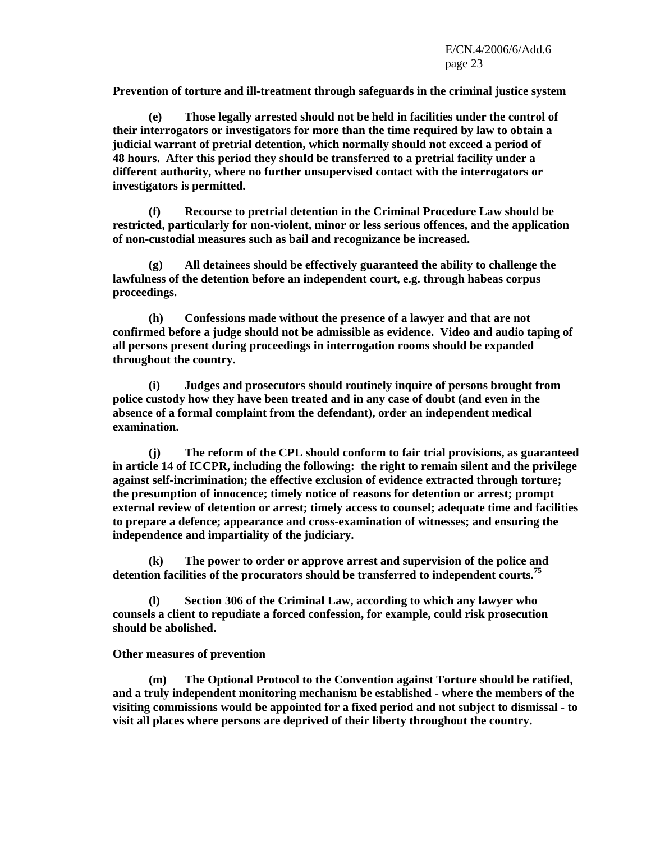**Prevention of torture and ill-treatment through safeguards in the criminal justice system** 

 **(e) Those legally arrested should not be held in facilities under the control of their interrogators or investigators for more than the time required by law to obtain a judicial warrant of pretrial detention, which normally should not exceed a period of 48 hours. After this period they should be transferred to a pretrial facility under a different authority, where no further unsupervised contact with the interrogators or investigators is permitted.** 

 **(f) Recourse to pretrial detention in the Criminal Procedure Law should be restricted, particularly for non-violent, minor or less serious offences, and the application of non-custodial measures such as bail and recognizance be increased.** 

 **(g) All detainees should be effectively guaranteed the ability to challenge the lawfulness of the detention before an independent court, e.g. through habeas corpus proceedings.** 

 **(h) Confessions made without the presence of a lawyer and that are not confirmed before a judge should not be admissible as evidence. Video and audio taping of all persons present during proceedings in interrogation rooms should be expanded throughout the country.** 

 **(i) Judges and prosecutors should routinely inquire of persons brought from police custody how they have been treated and in any case of doubt (and even in the absence of a formal complaint from the defendant), order an independent medical examination.** 

 **(j) The reform of the CPL should conform to fair trial provisions, as guaranteed in article 14 of ICCPR, including the following: the right to remain silent and the privilege against self-incrimination; the effective exclusion of evidence extracted through torture; the presumption of innocence; timely notice of reasons for detention or arrest; prompt external review of detention or arrest; timely access to counsel; adequate time and facilities to prepare a defence; appearance and cross-examination of witnesses; and ensuring the independence and impartiality of the judiciary.** 

 **(k) The power to order or approve arrest and supervision of the police and detention facilities of the procurators should be transferred to independent courts.<sup>75</sup>**

 **(l) Section 306 of the Criminal Law, according to which any lawyer who counsels a client to repudiate a forced confession, for example, could risk prosecution should be abolished.** 

#### **Other measures of prevention**

 **(m) The Optional Protocol to the Convention against Torture should be ratified, and a truly independent monitoring mechanism be established - where the members of the visiting commissions would be appointed for a fixed period and not subject to dismissal - to visit all places where persons are deprived of their liberty throughout the country.**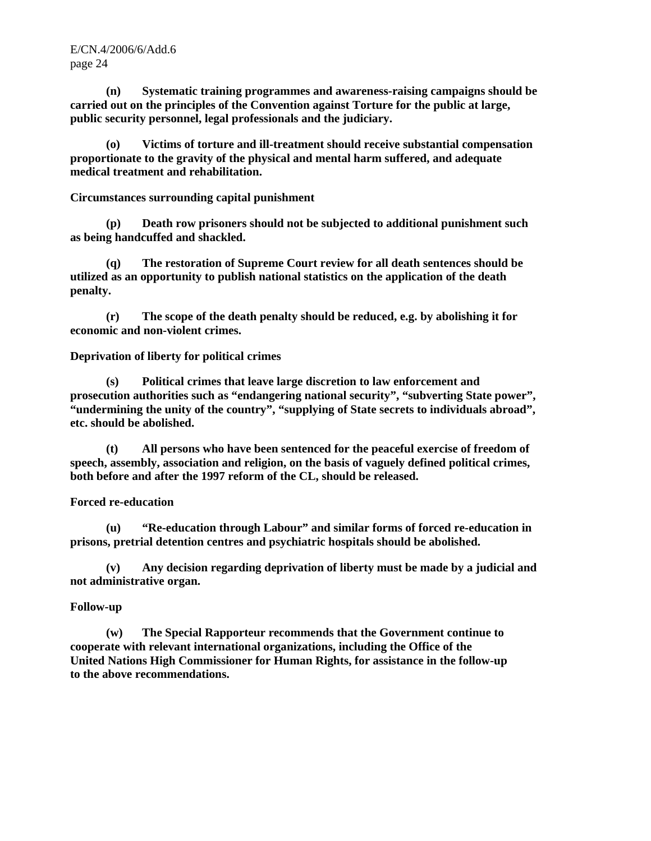**(n) Systematic training programmes and awareness-raising campaigns should be carried out on the principles of the Convention against Torture for the public at large, public security personnel, legal professionals and the judiciary.** 

 **(o) Victims of torture and ill-treatment should receive substantial compensation proportionate to the gravity of the physical and mental harm suffered, and adequate medical treatment and rehabilitation.** 

**Circumstances surrounding capital punishment** 

 **(p) Death row prisoners should not be subjected to additional punishment such as being handcuffed and shackled.** 

 **(q) The restoration of Supreme Court review for all death sentences should be utilized as an opportunity to publish national statistics on the application of the death penalty.** 

 **(r) The scope of the death penalty should be reduced, e.g. by abolishing it for economic and non-violent crimes.** 

**Deprivation of liberty for political crimes** 

 **(s) Political crimes that leave large discretion to law enforcement and prosecution authorities such as "endangering national security", "subverting State power", "undermining the unity of the country", "supplying of State secrets to individuals abroad", etc. should be abolished.** 

 **(t) All persons who have been sentenced for the peaceful exercise of freedom of speech, assembly, association and religion, on the basis of vaguely defined political crimes, both before and after the 1997 reform of the CL, should be released.** 

# **Forced re-education**

 **(u) "Re-education through Labour" and similar forms of forced re-education in prisons, pretrial detention centres and psychiatric hospitals should be abolished.** 

 **(v) Any decision regarding deprivation of liberty must be made by a judicial and not administrative organ.** 

# **Follow-up**

 **(w) The Special Rapporteur recommends that the Government continue to cooperate with relevant international organizations, including the Office of the United Nations High Commissioner for Human Rights, for assistance in the follow-up to the above recommendations.**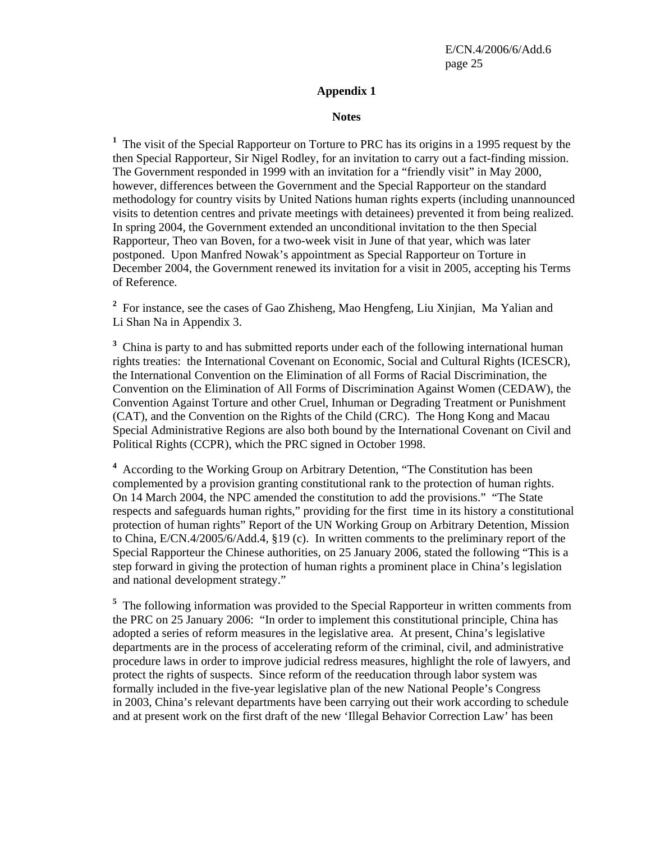# **Appendix 1**

#### **Notes**

<sup>1</sup> The visit of the Special Rapporteur on Torture to PRC has its origins in a 1995 request by the then Special Rapporteur, Sir Nigel Rodley, for an invitation to carry out a fact-finding mission. The Government responded in 1999 with an invitation for a "friendly visit" in May 2000, however, differences between the Government and the Special Rapporteur on the standard methodology for country visits by United Nations human rights experts (including unannounced visits to detention centres and private meetings with detainees) prevented it from being realized. In spring 2004, the Government extended an unconditional invitation to the then Special Rapporteur, Theo van Boven, for a two-week visit in June of that year, which was later postponed. Upon Manfred Nowak's appointment as Special Rapporteur on Torture in December 2004, the Government renewed its invitation for a visit in 2005, accepting his Terms of Reference.

**<sup>2</sup>** For instance, see the cases of Gao Zhisheng, Mao Hengfeng, Liu Xinjian, Ma Yalian and Li Shan Na in Appendix 3.

<sup>3</sup> China is party to and has submitted reports under each of the following international human rights treaties: the International Covenant on Economic, Social and Cultural Rights (ICESCR), the International Convention on the Elimination of all Forms of Racial Discrimination, the Convention on the Elimination of All Forms of Discrimination Against Women (CEDAW), the Convention Against Torture and other Cruel, Inhuman or Degrading Treatment or Punishment (CAT), and the Convention on the Rights of the Child (CRC). The Hong Kong and Macau Special Administrative Regions are also both bound by the International Covenant on Civil and Political Rights (CCPR), which the PRC signed in October 1998.

<sup>4</sup> According to the Working Group on Arbitrary Detention, "The Constitution has been complemented by a provision granting constitutional rank to the protection of human rights. On 14 March 2004, the NPC amended the constitution to add the provisions." "The State respects and safeguards human rights," providing for the first time in its history a constitutional protection of human rights" Report of the UN Working Group on Arbitrary Detention, Mission to China, E/CN.4/2005/6/Add.4, §19 (c). In written comments to the preliminary report of the Special Rapporteur the Chinese authorities, on 25 January 2006, stated the following "This is a step forward in giving the protection of human rights a prominent place in China's legislation and national development strategy."

<sup>5</sup> The following information was provided to the Special Rapporteur in written comments from the PRC on 25 January 2006: "In order to implement this constitutional principle, China has adopted a series of reform measures in the legislative area. At present, China's legislative departments are in the process of accelerating reform of the criminal, civil, and administrative procedure laws in order to improve judicial redress measures, highlight the role of lawyers, and protect the rights of suspects. Since reform of the reeducation through labor system was formally included in the five-year legislative plan of the new National People's Congress in 2003, China's relevant departments have been carrying out their work according to schedule and at present work on the first draft of the new 'Illegal Behavior Correction Law' has been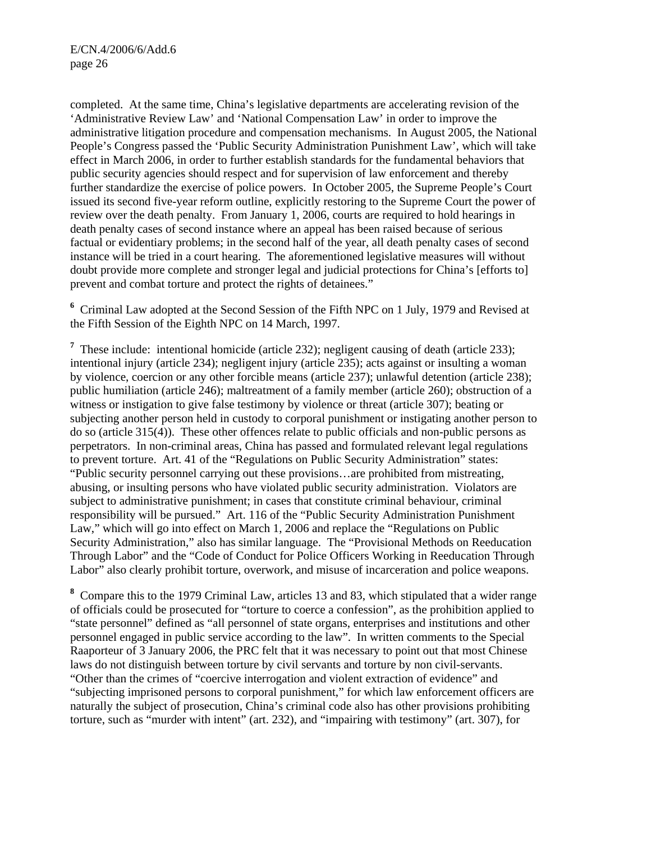completed. At the same time, China's legislative departments are accelerating revision of the 'Administrative Review Law' and 'National Compensation Law' in order to improve the administrative litigation procedure and compensation mechanisms. In August 2005, the National People's Congress passed the 'Public Security Administration Punishment Law', which will take effect in March 2006, in order to further establish standards for the fundamental behaviors that public security agencies should respect and for supervision of law enforcement and thereby further standardize the exercise of police powers. In October 2005, the Supreme People's Court issued its second five-year reform outline, explicitly restoring to the Supreme Court the power of review over the death penalty. From January 1, 2006, courts are required to hold hearings in death penalty cases of second instance where an appeal has been raised because of serious factual or evidentiary problems; in the second half of the year, all death penalty cases of second instance will be tried in a court hearing. The aforementioned legislative measures will without doubt provide more complete and stronger legal and judicial protections for China's [efforts to] prevent and combat torture and protect the rights of detainees."

**6** Criminal Law adopted at the Second Session of the Fifth NPC on 1 July, 1979 and Revised at the Fifth Session of the Eighth NPC on 14 March, 1997.

<sup>7</sup> These include: intentional homicide (article 232); negligent causing of death (article 233); intentional injury (article 234); negligent injury (article 235); acts against or insulting a woman by violence, coercion or any other forcible means (article 237); unlawful detention (article 238); public humiliation (article 246); maltreatment of a family member (article 260); obstruction of a witness or instigation to give false testimony by violence or threat (article 307); beating or subjecting another person held in custody to corporal punishment or instigating another person to do so (article 315(4)). These other offences relate to public officials and non-public persons as perpetrators. In non-criminal areas, China has passed and formulated relevant legal regulations to prevent torture. Art. 41 of the "Regulations on Public Security Administration" states: "Public security personnel carrying out these provisions…are prohibited from mistreating, abusing, or insulting persons who have violated public security administration. Violators are subject to administrative punishment; in cases that constitute criminal behaviour, criminal responsibility will be pursued." Art. 116 of the "Public Security Administration Punishment Law," which will go into effect on March 1, 2006 and replace the "Regulations on Public Security Administration," also has similar language. The "Provisional Methods on Reeducation Through Labor" and the "Code of Conduct for Police Officers Working in Reeducation Through Labor" also clearly prohibit torture, overwork, and misuse of incarceration and police weapons.

**8** Compare this to the 1979 Criminal Law, articles 13 and 83, which stipulated that a wider range of officials could be prosecuted for "torture to coerce a confession", as the prohibition applied to "state personnel" defined as "all personnel of state organs, enterprises and institutions and other personnel engaged in public service according to the law". In written comments to the Special Raaporteur of 3 January 2006, the PRC felt that it was necessary to point out that most Chinese laws do not distinguish between torture by civil servants and torture by non civil-servants. "Other than the crimes of "coercive interrogation and violent extraction of evidence" and "subjecting imprisoned persons to corporal punishment," for which law enforcement officers are naturally the subject of prosecution, China's criminal code also has other provisions prohibiting torture, such as "murder with intent" (art. 232), and "impairing with testimony" (art. 307), for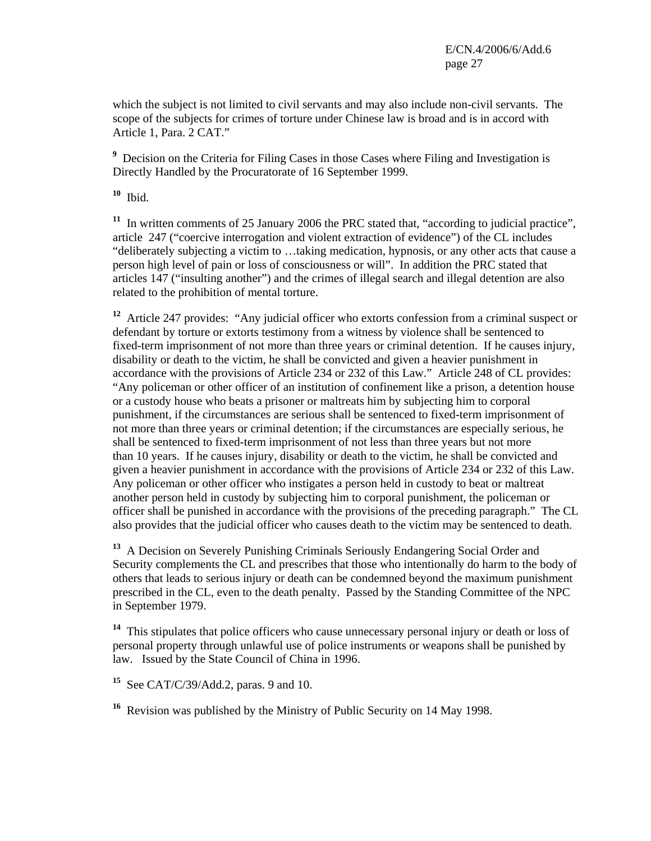which the subject is not limited to civil servants and may also include non-civil servants. The scope of the subjects for crimes of torture under Chinese law is broad and is in accord with Article 1, Para. 2 CAT."

<sup>9</sup> Decision on the Criteria for Filing Cases in those Cases where Filing and Investigation is Directly Handled by the Procuratorate of 16 September 1999.

**<sup>10</sup>** Ibid.

<sup>11</sup> In written comments of 25 January 2006 the PRC stated that, "according to judicial practice", article 247 ("coercive interrogation and violent extraction of evidence") of the CL includes "deliberately subjecting a victim to …taking medication, hypnosis, or any other acts that cause a person high level of pain or loss of consciousness or will". In addition the PRC stated that articles 147 ("insulting another") and the crimes of illegal search and illegal detention are also related to the prohibition of mental torture.

**<sup>12</sup>** Article 247 provides: "Any judicial officer who extorts confession from a criminal suspect or defendant by torture or extorts testimony from a witness by violence shall be sentenced to fixed-term imprisonment of not more than three years or criminal detention. If he causes injury, disability or death to the victim, he shall be convicted and given a heavier punishment in accordance with the provisions of Article 234 or 232 of this Law." Article 248 of CL provides: "Any policeman or other officer of an institution of confinement like a prison, a detention house or a custody house who beats a prisoner or maltreats him by subjecting him to corporal punishment, if the circumstances are serious shall be sentenced to fixed-term imprisonment of not more than three years or criminal detention; if the circumstances are especially serious, he shall be sentenced to fixed-term imprisonment of not less than three years but not more than 10 years. If he causes injury, disability or death to the victim, he shall be convicted and given a heavier punishment in accordance with the provisions of Article 234 or 232 of this Law. Any policeman or other officer who instigates a person held in custody to beat or maltreat another person held in custody by subjecting him to corporal punishment, the policeman or officer shall be punished in accordance with the provisions of the preceding paragraph." The CL also provides that the judicial officer who causes death to the victim may be sentenced to death.

**<sup>13</sup>** A Decision on Severely Punishing Criminals Seriously Endangering Social Order and Security complements the CL and prescribes that those who intentionally do harm to the body of others that leads to serious injury or death can be condemned beyond the maximum punishment prescribed in the CL, even to the death penalty. Passed by the Standing Committee of the NPC in September 1979.

<sup>14</sup> This stipulates that police officers who cause unnecessary personal injury or death or loss of personal property through unlawful use of police instruments or weapons shall be punished by law. Issued by the State Council of China in 1996.

**<sup>15</sup>** See CAT/C/39/Add.2, paras. 9 and 10.

**<sup>16</sup>** Revision was published by the Ministry of Public Security on 14 May 1998.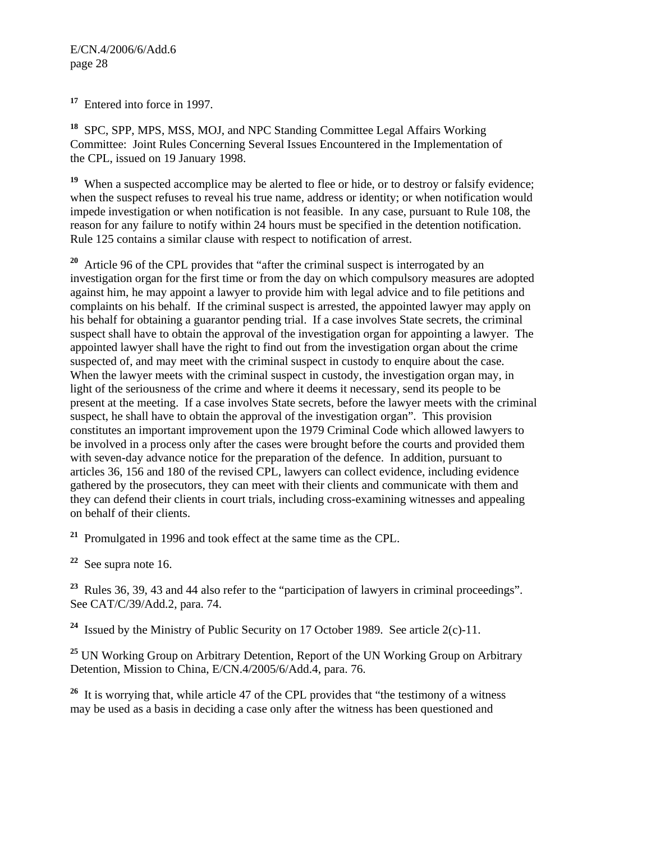**<sup>17</sup>** Entered into force in 1997.

**<sup>18</sup>** SPC, SPP, MPS, MSS, MOJ, and NPC Standing Committee Legal Affairs Working Committee: Joint Rules Concerning Several Issues Encountered in the Implementation of the CPL, issued on 19 January 1998.

<sup>19</sup> When a suspected accomplice may be alerted to flee or hide, or to destroy or falsify evidence; when the suspect refuses to reveal his true name, address or identity; or when notification would impede investigation or when notification is not feasible. In any case, pursuant to Rule 108, the reason for any failure to notify within 24 hours must be specified in the detention notification. Rule 125 contains a similar clause with respect to notification of arrest.

**<sup>20</sup>** Article 96 of the CPL provides that "after the criminal suspect is interrogated by an investigation organ for the first time or from the day on which compulsory measures are adopted against him, he may appoint a lawyer to provide him with legal advice and to file petitions and complaints on his behalf. If the criminal suspect is arrested, the appointed lawyer may apply on his behalf for obtaining a guarantor pending trial. If a case involves State secrets, the criminal suspect shall have to obtain the approval of the investigation organ for appointing a lawyer. The appointed lawyer shall have the right to find out from the investigation organ about the crime suspected of, and may meet with the criminal suspect in custody to enquire about the case. When the lawyer meets with the criminal suspect in custody, the investigation organ may, in light of the seriousness of the crime and where it deems it necessary, send its people to be present at the meeting. If a case involves State secrets, before the lawyer meets with the criminal suspect, he shall have to obtain the approval of the investigation organ". This provision constitutes an important improvement upon the 1979 Criminal Code which allowed lawyers to be involved in a process only after the cases were brought before the courts and provided them with seven-day advance notice for the preparation of the defence. In addition, pursuant to articles 36, 156 and 180 of the revised CPL, lawyers can collect evidence, including evidence gathered by the prosecutors, they can meet with their clients and communicate with them and they can defend their clients in court trials, including cross-examining witnesses and appealing on behalf of their clients.

**<sup>21</sup>** Promulgated in 1996 and took effect at the same time as the CPL.

**<sup>22</sup>** See supra note 16.

**<sup>23</sup>** Rules 36, 39, 43 and 44 also refer to the "participation of lawyers in criminal proceedings". See CAT/C/39/Add.2, para. 74.

<sup>24</sup> Issued by the Ministry of Public Security on 17 October 1989. See article 2(c)-11.

**<sup>25</sup>** UN Working Group on Arbitrary Detention, Report of the UN Working Group on Arbitrary Detention, Mission to China, E/CN.4/2005/6/Add.4, para. 76.

<sup>26</sup> It is worrying that, while article 47 of the CPL provides that "the testimony of a witness" may be used as a basis in deciding a case only after the witness has been questioned and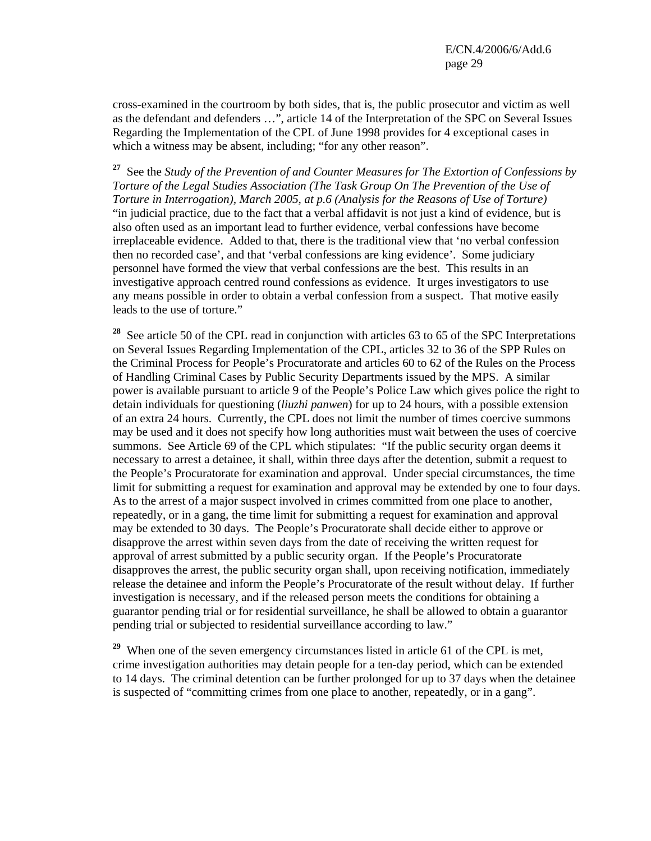cross-examined in the courtroom by both sides, that is, the public prosecutor and victim as well as the defendant and defenders …", article 14 of the Interpretation of the SPC on Several Issues Regarding the Implementation of the CPL of June 1998 provides for 4 exceptional cases in which a witness may be absent, including; "for any other reason".

**<sup>27</sup>** See the *Study of the Prevention of and Counter Measures for The Extortion of Confessions by Torture of the Legal Studies Association (The Task Group On The Prevention of the Use of Torture in Interrogation), March 2005, at p.6 (Analysis for the Reasons of Use of Torture)* "in judicial practice, due to the fact that a verbal affidavit is not just a kind of evidence, but is also often used as an important lead to further evidence, verbal confessions have become irreplaceable evidence. Added to that, there is the traditional view that 'no verbal confession then no recorded case', and that 'verbal confessions are king evidence'. Some judiciary personnel have formed the view that verbal confessions are the best. This results in an investigative approach centred round confessions as evidence. It urges investigators to use any means possible in order to obtain a verbal confession from a suspect. That motive easily leads to the use of torture."

<sup>28</sup> See article 50 of the CPL read in conjunction with articles 63 to 65 of the SPC Interpretations on Several Issues Regarding Implementation of the CPL, articles 32 to 36 of the SPP Rules on the Criminal Process for People's Procuratorate and articles 60 to 62 of the Rules on the Process of Handling Criminal Cases by Public Security Departments issued by the MPS. A similar power is available pursuant to article 9 of the People's Police Law which gives police the right to detain individuals for questioning (*liuzhi panwen*) for up to 24 hours, with a possible extension of an extra 24 hours. Currently, the CPL does not limit the number of times coercive summons may be used and it does not specify how long authorities must wait between the uses of coercive summons. See Article 69 of the CPL which stipulates: "If the public security organ deems it necessary to arrest a detainee, it shall, within three days after the detention, submit a request to the People's Procuratorate for examination and approval. Under special circumstances, the time limit for submitting a request for examination and approval may be extended by one to four days. As to the arrest of a major suspect involved in crimes committed from one place to another, repeatedly, or in a gang, the time limit for submitting a request for examination and approval may be extended to 30 days. The People's Procuratorate shall decide either to approve or disapprove the arrest within seven days from the date of receiving the written request for approval of arrest submitted by a public security organ. If the People's Procuratorate disapproves the arrest, the public security organ shall, upon receiving notification, immediately release the detainee and inform the People's Procuratorate of the result without delay. If further investigation is necessary, and if the released person meets the conditions for obtaining a guarantor pending trial or for residential surveillance, he shall be allowed to obtain a guarantor pending trial or subjected to residential surveillance according to law."

**<sup>29</sup>** When one of the seven emergency circumstances listed in article 61 of the CPL is met, crime investigation authorities may detain people for a ten-day period, which can be extended to 14 days. The criminal detention can be further prolonged for up to 37 days when the detainee is suspected of "committing crimes from one place to another, repeatedly, or in a gang".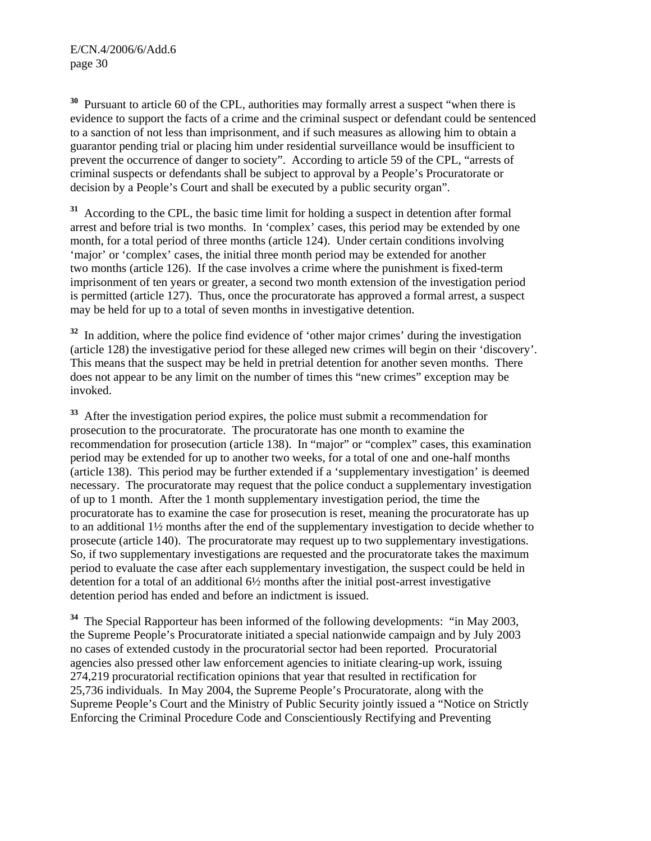**<sup>30</sup>** Pursuant to article 60 of the CPL, authorities may formally arrest a suspect "when there is evidence to support the facts of a crime and the criminal suspect or defendant could be sentenced to a sanction of not less than imprisonment, and if such measures as allowing him to obtain a guarantor pending trial or placing him under residential surveillance would be insufficient to prevent the occurrence of danger to society". According to article 59 of the CPL, "arrests of criminal suspects or defendants shall be subject to approval by a People's Procuratorate or decision by a People's Court and shall be executed by a public security organ".

**<sup>31</sup>** According to the CPL, the basic time limit for holding a suspect in detention after formal arrest and before trial is two months. In 'complex' cases, this period may be extended by one month, for a total period of three months (article 124). Under certain conditions involving 'major' or 'complex' cases, the initial three month period may be extended for another two months (article 126). If the case involves a crime where the punishment is fixed-term imprisonment of ten years or greater, a second two month extension of the investigation period is permitted (article 127). Thus, once the procuratorate has approved a formal arrest, a suspect may be held for up to a total of seven months in investigative detention.

<sup>32</sup> In addition, where the police find evidence of 'other major crimes' during the investigation (article 128) the investigative period for these alleged new crimes will begin on their 'discovery'. This means that the suspect may be held in pretrial detention for another seven months. There does not appear to be any limit on the number of times this "new crimes" exception may be invoked.

**<sup>33</sup>** After the investigation period expires, the police must submit a recommendation for prosecution to the procuratorate. The procuratorate has one month to examine the recommendation for prosecution (article 138). In "major" or "complex" cases, this examination period may be extended for up to another two weeks, for a total of one and one-half months (article 138). This period may be further extended if a 'supplementary investigation' is deemed necessary. The procuratorate may request that the police conduct a supplementary investigation of up to 1 month. After the 1 month supplementary investigation period, the time the procuratorate has to examine the case for prosecution is reset, meaning the procuratorate has up to an additional 1½ months after the end of the supplementary investigation to decide whether to prosecute (article 140). The procuratorate may request up to two supplementary investigations. So, if two supplementary investigations are requested and the procuratorate takes the maximum period to evaluate the case after each supplementary investigation, the suspect could be held in detention for a total of an additional 6½ months after the initial post-arrest investigative detention period has ended and before an indictment is issued.

**<sup>34</sup>** The Special Rapporteur has been informed of the following developments: "in May 2003, the Supreme People's Procuratorate initiated a special nationwide campaign and by July 2003 no cases of extended custody in the procuratorial sector had been reported. Procuratorial agencies also pressed other law enforcement agencies to initiate clearing-up work, issuing 274,219 procuratorial rectification opinions that year that resulted in rectification for 25,736 individuals. In May 2004, the Supreme People's Procuratorate, along with the Supreme People's Court and the Ministry of Public Security jointly issued a "Notice on Strictly Enforcing the Criminal Procedure Code and Conscientiously Rectifying and Preventing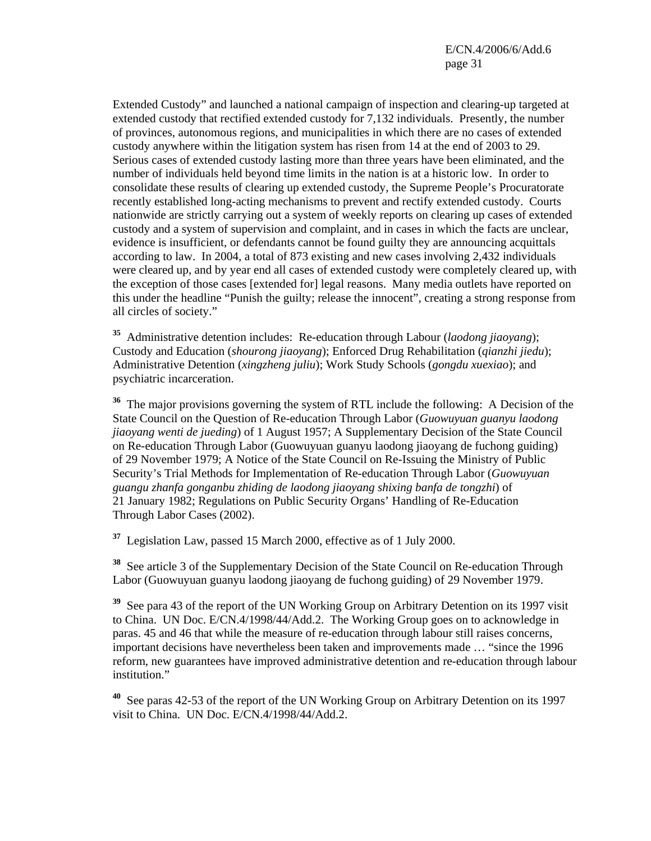Extended Custody" and launched a national campaign of inspection and clearing-up targeted at extended custody that rectified extended custody for 7,132 individuals. Presently, the number of provinces, autonomous regions, and municipalities in which there are no cases of extended custody anywhere within the litigation system has risen from 14 at the end of 2003 to 29. Serious cases of extended custody lasting more than three years have been eliminated, and the number of individuals held beyond time limits in the nation is at a historic low. In order to consolidate these results of clearing up extended custody, the Supreme People's Procuratorate recently established long-acting mechanisms to prevent and rectify extended custody. Courts nationwide are strictly carrying out a system of weekly reports on clearing up cases of extended custody and a system of supervision and complaint, and in cases in which the facts are unclear, evidence is insufficient, or defendants cannot be found guilty they are announcing acquittals according to law. In 2004, a total of 873 existing and new cases involving 2,432 individuals were cleared up, and by year end all cases of extended custody were completely cleared up, with the exception of those cases [extended for] legal reasons. Many media outlets have reported on this under the headline "Punish the guilty; release the innocent", creating a strong response from all circles of society."

**<sup>35</sup>** Administrative detention includes: Re-education through Labour (*laodong jiaoyang*); Custody and Education (*shourong jiaoyang*); Enforced Drug Rehabilitation (*qianzhi jiedu*); Administrative Detention (*xingzheng juliu*); Work Study Schools (*gongdu xuexiao*); and psychiatric incarceration.

**<sup>36</sup>** The major provisions governing the system of RTL include the following: A Decision of the State Council on the Question of Re-education Through Labor (*Guowuyuan guanyu laodong jiaoyang wenti de jueding*) of 1 August 1957; A Supplementary Decision of the State Council on Re-education Through Labor (Guowuyuan guanyu laodong jiaoyang de fuchong guiding) of 29 November 1979; A Notice of the State Council on Re-Issuing the Ministry of Public Security's Trial Methods for Implementation of Re-education Through Labor (*Guowuyuan guangu zhanfa gonganbu zhiding de laodong jiaoyang shixing banfa de tongzhi*) of 21 January 1982; Regulations on Public Security Organs' Handling of Re-Education Through Labor Cases (2002).

**<sup>37</sup>** Legislation Law, passed 15 March 2000, effective as of 1 July 2000.

**<sup>38</sup>** See article 3 of the Supplementary Decision of the State Council on Re-education Through Labor (Guowuyuan guanyu laodong jiaoyang de fuchong guiding) of 29 November 1979.

**<sup>39</sup>** See para 43 of the report of the UN Working Group on Arbitrary Detention on its 1997 visit to China. UN Doc. E/CN.4/1998/44/Add.2. The Working Group goes on to acknowledge in paras. 45 and 46 that while the measure of re-education through labour still raises concerns, important decisions have nevertheless been taken and improvements made … "since the 1996 reform, new guarantees have improved administrative detention and re-education through labour institution."

**<sup>40</sup>** See paras 42-53 of the report of the UN Working Group on Arbitrary Detention on its 1997 visit to China. UN Doc. E/CN.4/1998/44/Add.2.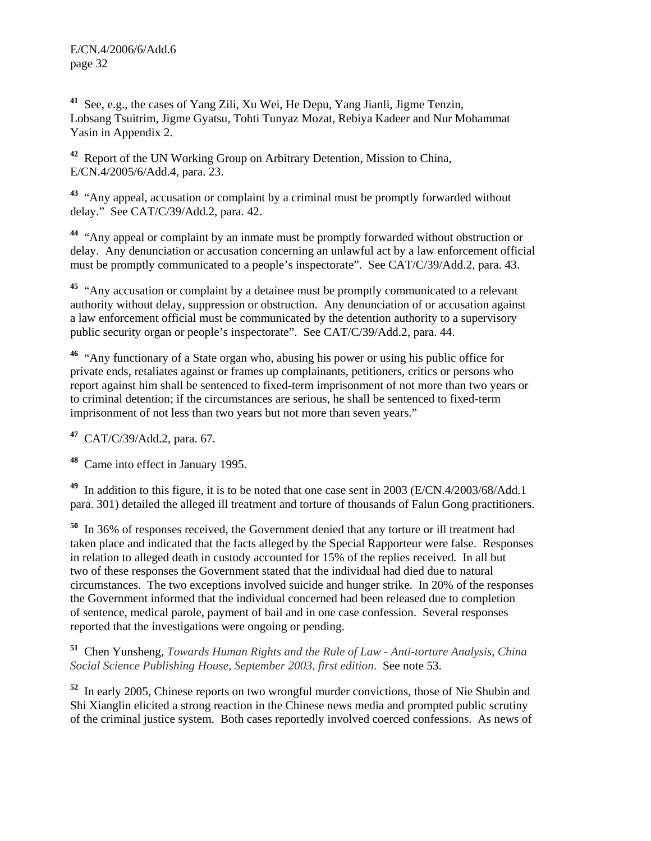**<sup>41</sup>** See, e.g., the cases of Yang Zili, Xu Wei, He Depu, Yang Jianli, Jigme Tenzin, Lobsang Tsuitrim, Jigme Gyatsu, Tohti Tunyaz Mozat, Rebiya Kadeer and Nur Mohammat Yasin in Appendix 2.

**<sup>42</sup>** Report of the UN Working Group on Arbitrary Detention, Mission to China, E/CN.4/2005/6/Add.4, para. 23.

**<sup>43</sup>** "Any appeal, accusation or complaint by a criminal must be promptly forwarded without delay." See CAT/C/39/Add.2, para. 42.

**<sup>44</sup>** "Any appeal or complaint by an inmate must be promptly forwarded without obstruction or delay. Any denunciation or accusation concerning an unlawful act by a law enforcement official must be promptly communicated to a people's inspectorate". See CAT/C/39/Add.2, para. 43.

**<sup>45</sup>** "Any accusation or complaint by a detainee must be promptly communicated to a relevant authority without delay, suppression or obstruction. Any denunciation of or accusation against a law enforcement official must be communicated by the detention authority to a supervisory public security organ or people's inspectorate". See CAT/C/39/Add.2, para. 44.

**<sup>46</sup>** "Any functionary of a State organ who, abusing his power or using his public office for private ends, retaliates against or frames up complainants, petitioners, critics or persons who report against him shall be sentenced to fixed-term imprisonment of not more than two years or to criminal detention; if the circumstances are serious, he shall be sentenced to fixed-term imprisonment of not less than two years but not more than seven years."

**<sup>47</sup>** CAT/C/39/Add.2, para. 67.

**<sup>48</sup>** Came into effect in January 1995.

<sup>49</sup> In addition to this figure, it is to be noted that one case sent in 2003 (E/CN.4/2003/68/Add.1) para. 301) detailed the alleged ill treatment and torture of thousands of Falun Gong practitioners.

**<sup>50</sup>** In 36% of responses received, the Government denied that any torture or ill treatment had taken place and indicated that the facts alleged by the Special Rapporteur were false. Responses in relation to alleged death in custody accounted for 15% of the replies received. In all but two of these responses the Government stated that the individual had died due to natural circumstances. The two exceptions involved suicide and hunger strike. In 20% of the responses the Government informed that the individual concerned had been released due to completion of sentence, medical parole, payment of bail and in one case confession. Several responses reported that the investigations were ongoing or pending.

**<sup>51</sup>** Chen Yunsheng, *Towards Human Rights and the Rule of Law - Anti-torture Analysis, China Social Science Publishing House, September 2003, first edition*. See note 53.

**<sup>52</sup>** In early 2005, Chinese reports on two wrongful murder convictions, those of Nie Shubin and Shi Xianglin elicited a strong reaction in the Chinese news media and prompted public scrutiny of the criminal justice system. Both cases reportedly involved coerced confessions. As news of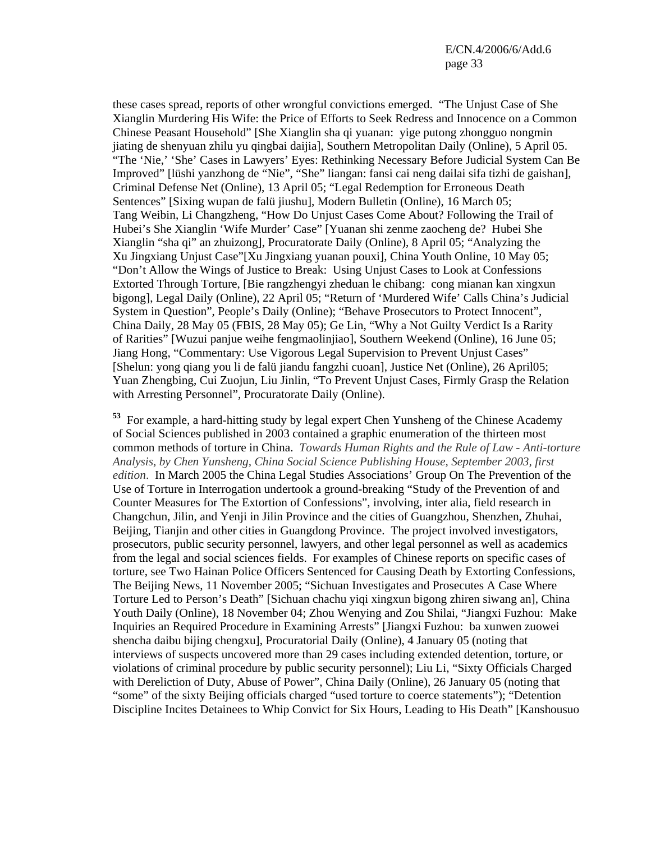these cases spread, reports of other wrongful convictions emerged. "The Unjust Case of She Xianglin Murdering His Wife: the Price of Efforts to Seek Redress and Innocence on a Common Chinese Peasant Household" [She Xianglin sha qi yuanan: yige putong zhongguo nongmin jiating de shenyuan zhilu yu qingbai daijia], Southern Metropolitan Daily (Online), 5 April 05. "The 'Nie,' 'She' Cases in Lawyers' Eyes: Rethinking Necessary Before Judicial System Can Be Improved" [lüshi yanzhong de "Nie", "She" liangan: fansi cai neng dailai sifa tizhi de gaishan], Criminal Defense Net (Online), 13 April 05; "Legal Redemption for Erroneous Death Sentences" [Sixing wupan de falü jiushu], Modern Bulletin (Online), 16 March 05; Tang Weibin, Li Changzheng, "How Do Unjust Cases Come About? Following the Trail of Hubei's She Xianglin 'Wife Murder' Case" [Yuanan shi zenme zaocheng de? Hubei She Xianglin "sha qi" an zhuizong], Procuratorate Daily (Online), 8 April 05; "Analyzing the Xu Jingxiang Unjust Case"[Xu Jingxiang yuanan pouxi], China Youth Online, 10 May 05; "Don't Allow the Wings of Justice to Break: Using Unjust Cases to Look at Confessions Extorted Through Torture, [Bie rangzhengyi zheduan le chibang: cong mianan kan xingxun bigong], Legal Daily (Online), 22 April 05; "Return of 'Murdered Wife' Calls China's Judicial System in Question", People's Daily (Online); "Behave Prosecutors to Protect Innocent", China Daily, 28 May 05 (FBIS, 28 May 05); Ge Lin, "Why a Not Guilty Verdict Is a Rarity of Rarities" [Wuzui panjue weihe fengmaolinjiao], Southern Weekend (Online), 16 June 05; Jiang Hong, "Commentary: Use Vigorous Legal Supervision to Prevent Unjust Cases" [Shelun: yong qiang you li de falü jiandu fangzhi cuoan], Justice Net (Online), 26 April05; Yuan Zhengbing, Cui Zuojun, Liu Jinlin, "To Prevent Unjust Cases, Firmly Grasp the Relation with Arresting Personnel", Procuratorate Daily (Online).

**<sup>53</sup>** For example, a hard-hitting study by legal expert Chen Yunsheng of the Chinese Academy of Social Sciences published in 2003 contained a graphic enumeration of the thirteen most common methods of torture in China. *Towards Human Rights and the Rule of Law - Anti-torture Analysis, by Chen Yunsheng, China Social Science Publishing House, September 2003, first edition*. In March 2005 the China Legal Studies Associations' Group On The Prevention of the Use of Torture in Interrogation undertook a ground-breaking "Study of the Prevention of and Counter Measures for The Extortion of Confessions", involving, inter alia, field research in Changchun, Jilin, and Yenji in Jilin Province and the cities of Guangzhou, Shenzhen, Zhuhai, Beijing, Tianjin and other cities in Guangdong Province. The project involved investigators, prosecutors, public security personnel, lawyers, and other legal personnel as well as academics from the legal and social sciences fields. For examples of Chinese reports on specific cases of torture, see Two Hainan Police Officers Sentenced for Causing Death by Extorting Confessions, The Beijing News, 11 November 2005; "Sichuan Investigates and Prosecutes A Case Where Torture Led to Person's Death" [Sichuan chachu yiqi xingxun bigong zhiren siwang an], China Youth Daily (Online), 18 November 04; Zhou Wenying and Zou Shilai, "Jiangxi Fuzhou: Make Inquiries an Required Procedure in Examining Arrests" [Jiangxi Fuzhou: ba xunwen zuowei shencha daibu bijing chengxu], Procuratorial Daily (Online), 4 January 05 (noting that interviews of suspects uncovered more than 29 cases including extended detention, torture, or violations of criminal procedure by public security personnel); Liu Li, "Sixty Officials Charged with Dereliction of Duty, Abuse of Power", China Daily (Online), 26 January 05 (noting that "some" of the sixty Beijing officials charged "used torture to coerce statements"); "Detention Discipline Incites Detainees to Whip Convict for Six Hours, Leading to His Death" [Kanshousuo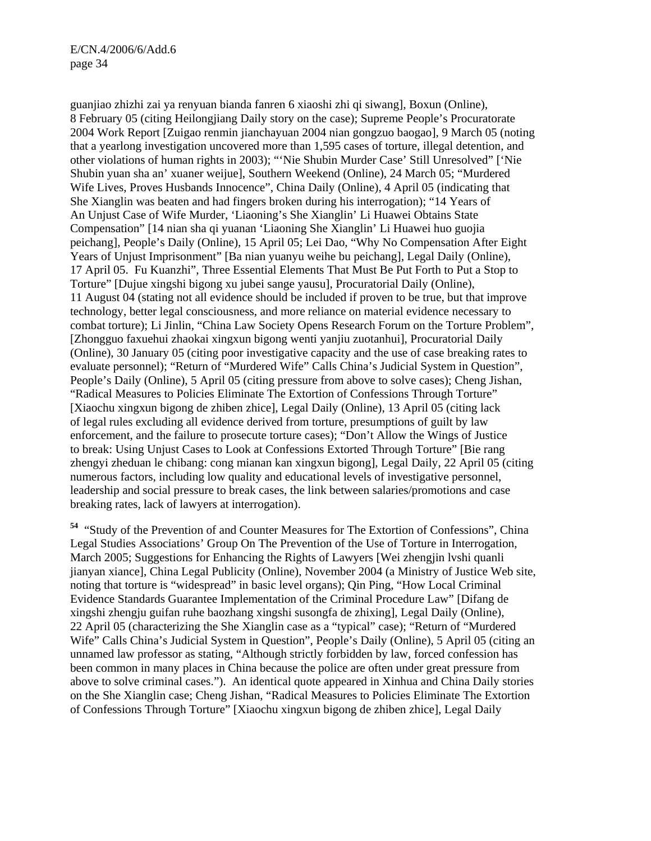guanjiao zhizhi zai ya renyuan bianda fanren 6 xiaoshi zhi qi siwang], Boxun (Online), 8 February 05 (citing Heilongjiang Daily story on the case); Supreme People's Procuratorate 2004 Work Report [Zuigao renmin jianchayuan 2004 nian gongzuo baogao], 9 March 05 (noting that a yearlong investigation uncovered more than 1,595 cases of torture, illegal detention, and other violations of human rights in 2003); "'Nie Shubin Murder Case' Still Unresolved" ['Nie Shubin yuan sha an' xuaner weijue], Southern Weekend (Online), 24 March 05; "Murdered Wife Lives, Proves Husbands Innocence", China Daily (Online), 4 April 05 (indicating that She Xianglin was beaten and had fingers broken during his interrogation); "14 Years of An Unjust Case of Wife Murder, 'Liaoning's She Xianglin' Li Huawei Obtains State Compensation" [14 nian sha qi yuanan 'Liaoning She Xianglin' Li Huawei huo guojia peichang], People's Daily (Online), 15 April 05; Lei Dao, "Why No Compensation After Eight Years of Unjust Imprisonment" [Ba nian yuanyu weihe bu peichang], Legal Daily (Online), 17 April 05. Fu Kuanzhi", Three Essential Elements That Must Be Put Forth to Put a Stop to Torture" [Dujue xingshi bigong xu jubei sange yausu], Procuratorial Daily (Online), 11 August 04 (stating not all evidence should be included if proven to be true, but that improve technology, better legal consciousness, and more reliance on material evidence necessary to combat torture); Li Jinlin, "China Law Society Opens Research Forum on the Torture Problem", [Zhongguo faxuehui zhaokai xingxun bigong wenti yanjiu zuotanhui], Procuratorial Daily (Online), 30 January 05 (citing poor investigative capacity and the use of case breaking rates to evaluate personnel); "Return of "Murdered Wife" Calls China's Judicial System in Question", People's Daily (Online), 5 April 05 (citing pressure from above to solve cases); Cheng Jishan, "Radical Measures to Policies Eliminate The Extortion of Confessions Through Torture" [Xiaochu xingxun bigong de zhiben zhice], Legal Daily (Online), 13 April 05 (citing lack of legal rules excluding all evidence derived from torture, presumptions of guilt by law enforcement, and the failure to prosecute torture cases); "Don't Allow the Wings of Justice to break: Using Unjust Cases to Look at Confessions Extorted Through Torture" [Bie rang zhengyi zheduan le chibang: cong mianan kan xingxun bigong], Legal Daily, 22 April 05 (citing numerous factors, including low quality and educational levels of investigative personnel, leadership and social pressure to break cases, the link between salaries/promotions and case breaking rates, lack of lawyers at interrogation).

**<sup>54</sup>** "Study of the Prevention of and Counter Measures for The Extortion of Confessions", China Legal Studies Associations' Group On The Prevention of the Use of Torture in Interrogation, March 2005; Suggestions for Enhancing the Rights of Lawyers [Wei zhengjin lvshi quanli jianyan xiance], China Legal Publicity (Online), November 2004 (a Ministry of Justice Web site, noting that torture is "widespread" in basic level organs); Qin Ping, "How Local Criminal Evidence Standards Guarantee Implementation of the Criminal Procedure Law" [Difang de xingshi zhengju guifan ruhe baozhang xingshi susongfa de zhixing], Legal Daily (Online), 22 April 05 (characterizing the She Xianglin case as a "typical" case); "Return of "Murdered Wife" Calls China's Judicial System in Question", People's Daily (Online), 5 April 05 (citing an unnamed law professor as stating, "Although strictly forbidden by law, forced confession has been common in many places in China because the police are often under great pressure from above to solve criminal cases."). An identical quote appeared in Xinhua and China Daily stories on the She Xianglin case; Cheng Jishan, "Radical Measures to Policies Eliminate The Extortion of Confessions Through Torture" [Xiaochu xingxun bigong de zhiben zhice], Legal Daily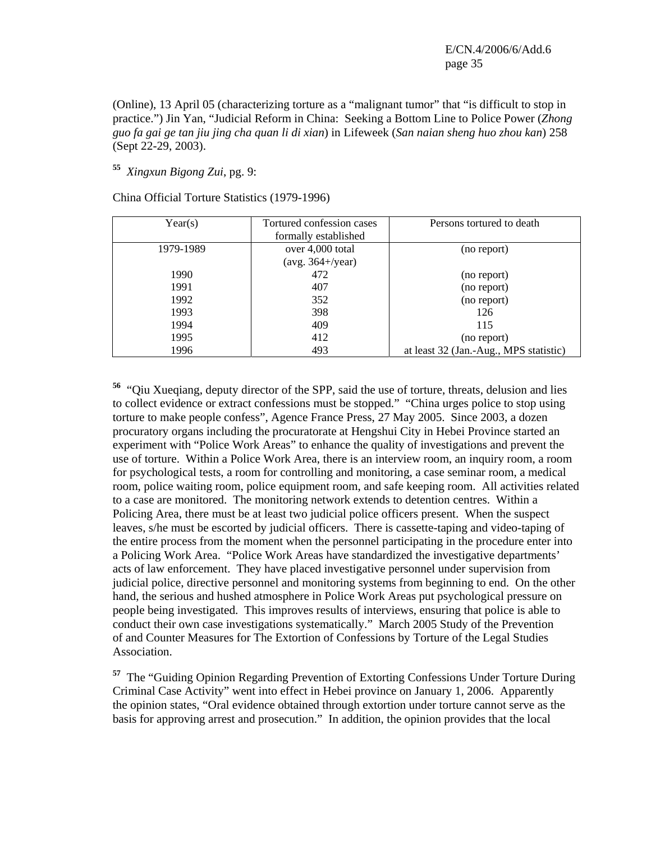(Online), 13 April 05 (characterizing torture as a "malignant tumor" that "is difficult to stop in practice.") Jin Yan, "Judicial Reform in China: Seeking a Bottom Line to Police Power (*Zhong guo fa gai ge tan jiu jing cha quan li di xian*) in Lifeweek (*San naian sheng huo zhou kan*) 258 (Sept 22-29, 2003).

**<sup>55</sup>** *Xingxun Bigong Zui*, pg. 9:

China Official Torture Statistics (1979-1996)

| Year(s)   | Tortured confession cases<br>formally established | Persons tortured to death              |
|-----------|---------------------------------------------------|----------------------------------------|
| 1979-1989 | over 4,000 total                                  | (no report)                            |
|           | $(\text{avg. } 364 + \text{/year})$               |                                        |
| 1990      | 472                                               | (no report)                            |
| 1991      | 407                                               | (no report)                            |
| 1992      | 352                                               | (no report)                            |
| 1993      | 398                                               | 126                                    |
| 1994      | 409                                               | 115                                    |
| 1995      | 412                                               | (no report)                            |
| 1996      | 493                                               | at least 32 (Jan.-Aug., MPS statistic) |

**<sup>56</sup>** "Qiu Xueqiang, deputy director of the SPP, said the use of torture, threats, delusion and lies to collect evidence or extract confessions must be stopped." "China urges police to stop using torture to make people confess", Agence France Press, 27 May 2005. Since 2003, a dozen procuratory organs including the procuratorate at Hengshui City in Hebei Province started an experiment with "Police Work Areas" to enhance the quality of investigations and prevent the use of torture. Within a Police Work Area, there is an interview room, an inquiry room, a room for psychological tests, a room for controlling and monitoring, a case seminar room, a medical room, police waiting room, police equipment room, and safe keeping room. All activities related to a case are monitored. The monitoring network extends to detention centres. Within a Policing Area, there must be at least two judicial police officers present. When the suspect leaves, s/he must be escorted by judicial officers. There is cassette-taping and video-taping of the entire process from the moment when the personnel participating in the procedure enter into a Policing Work Area. "Police Work Areas have standardized the investigative departments' acts of law enforcement. They have placed investigative personnel under supervision from judicial police, directive personnel and monitoring systems from beginning to end. On the other hand, the serious and hushed atmosphere in Police Work Areas put psychological pressure on people being investigated. This improves results of interviews, ensuring that police is able to conduct their own case investigations systematically." March 2005 Study of the Prevention of and Counter Measures for The Extortion of Confessions by Torture of the Legal Studies Association.

**<sup>57</sup>** The "Guiding Opinion Regarding Prevention of Extorting Confessions Under Torture During Criminal Case Activity" went into effect in Hebei province on January 1, 2006. Apparently the opinion states, "Oral evidence obtained through extortion under torture cannot serve as the basis for approving arrest and prosecution." In addition, the opinion provides that the local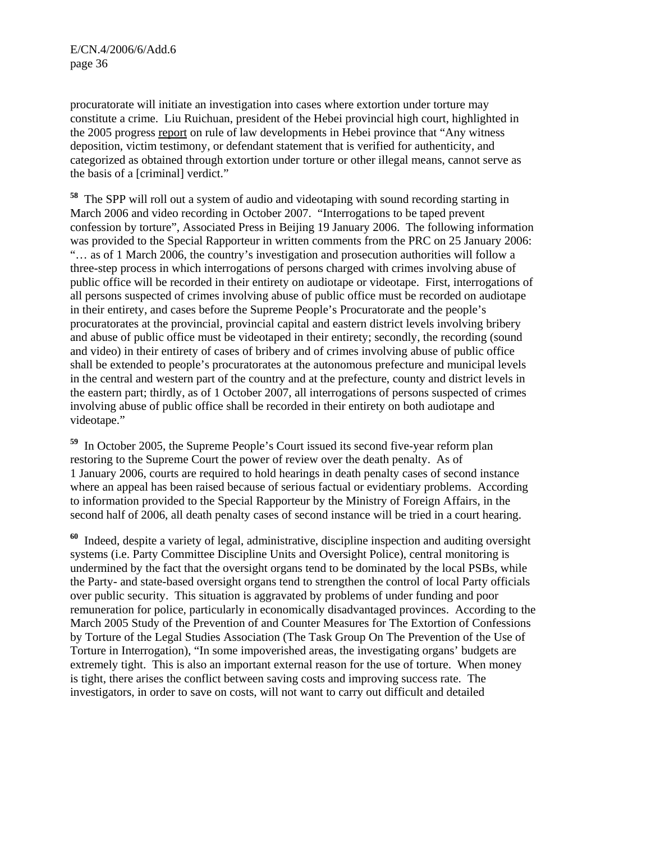procuratorate will initiate an investigation into cases where extortion under torture may constitute a crime. Liu Ruichuan, president of the Hebei provincial high court, highlighted in the 2005 progress report on rule of law developments in Hebei province that "Any witness deposition, victim testimony, or defendant statement that is verified for authenticity, and categorized as obtained through extortion under torture or other illegal means, cannot serve as the basis of a [criminal] verdict."

**<sup>58</sup>** The SPP will roll out a system of audio and videotaping with sound recording starting in March 2006 and video recording in October 2007. "Interrogations to be taped prevent confession by torture", Associated Press in Beijing 19 January 2006. The following information was provided to the Special Rapporteur in written comments from the PRC on 25 January 2006: "… as of 1 March 2006, the country's investigation and prosecution authorities will follow a three-step process in which interrogations of persons charged with crimes involving abuse of public office will be recorded in their entirety on audiotape or videotape. First, interrogations of all persons suspected of crimes involving abuse of public office must be recorded on audiotape in their entirety, and cases before the Supreme People's Procuratorate and the people's procuratorates at the provincial, provincial capital and eastern district levels involving bribery and abuse of public office must be videotaped in their entirety; secondly, the recording (sound and video) in their entirety of cases of bribery and of crimes involving abuse of public office shall be extended to people's procuratorates at the autonomous prefecture and municipal levels in the central and western part of the country and at the prefecture, county and district levels in the eastern part; thirdly, as of 1 October 2007, all interrogations of persons suspected of crimes involving abuse of public office shall be recorded in their entirety on both audiotape and videotape."

**<sup>59</sup>** In October 2005, the Supreme People's Court issued its second five-year reform plan restoring to the Supreme Court the power of review over the death penalty. As of 1 January 2006, courts are required to hold hearings in death penalty cases of second instance where an appeal has been raised because of serious factual or evidentiary problems. According to information provided to the Special Rapporteur by the Ministry of Foreign Affairs, in the second half of 2006, all death penalty cases of second instance will be tried in a court hearing.

**<sup>60</sup>** Indeed, despite a variety of legal, administrative, discipline inspection and auditing oversight systems (i.e. Party Committee Discipline Units and Oversight Police), central monitoring is undermined by the fact that the oversight organs tend to be dominated by the local PSBs, while the Party- and state-based oversight organs tend to strengthen the control of local Party officials over public security. This situation is aggravated by problems of under funding and poor remuneration for police, particularly in economically disadvantaged provinces. According to the March 2005 Study of the Prevention of and Counter Measures for The Extortion of Confessions by Torture of the Legal Studies Association (The Task Group On The Prevention of the Use of Torture in Interrogation), "In some impoverished areas, the investigating organs' budgets are extremely tight. This is also an important external reason for the use of torture. When money is tight, there arises the conflict between saving costs and improving success rate. The investigators, in order to save on costs, will not want to carry out difficult and detailed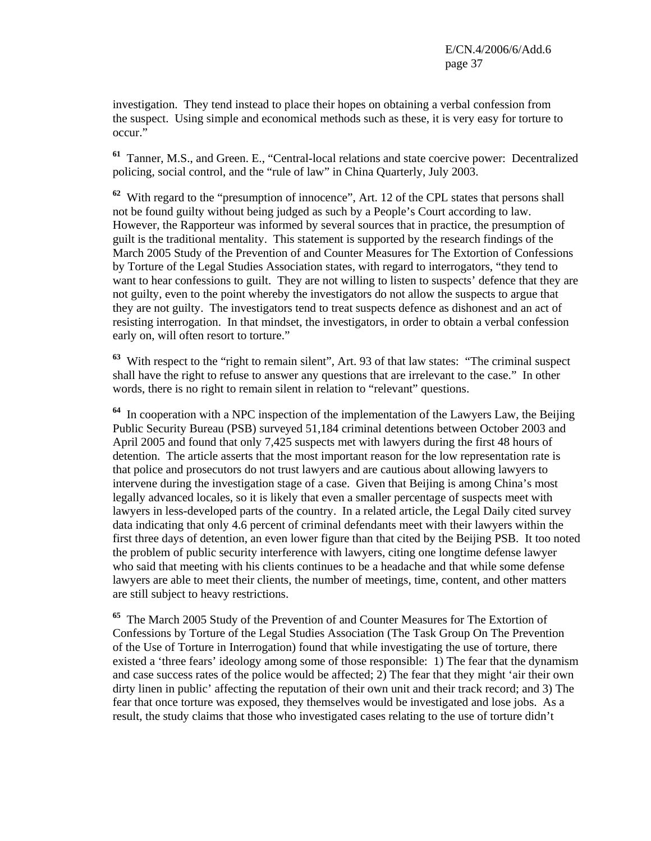investigation. They tend instead to place their hopes on obtaining a verbal confession from the suspect. Using simple and economical methods such as these, it is very easy for torture to occur."

**<sup>61</sup>** Tanner, M.S., and Green. E., "Central-local relations and state coercive power: Decentralized policing, social control, and the "rule of law" in China Quarterly, July 2003.

**<sup>62</sup>** With regard to the "presumption of innocence", Art. 12 of the CPL states that persons shall not be found guilty without being judged as such by a People's Court according to law. However, the Rapporteur was informed by several sources that in practice, the presumption of guilt is the traditional mentality. This statement is supported by the research findings of the March 2005 Study of the Prevention of and Counter Measures for The Extortion of Confessions by Torture of the Legal Studies Association states, with regard to interrogators, "they tend to want to hear confessions to guilt. They are not willing to listen to suspects' defence that they are not guilty, even to the point whereby the investigators do not allow the suspects to argue that they are not guilty. The investigators tend to treat suspects defence as dishonest and an act of resisting interrogation. In that mindset, the investigators, in order to obtain a verbal confession early on, will often resort to torture."

**<sup>63</sup>** With respect to the "right to remain silent", Art. 93 of that law states: "The criminal suspect shall have the right to refuse to answer any questions that are irrelevant to the case." In other words, there is no right to remain silent in relation to "relevant" questions.

**<sup>64</sup>** In cooperation with a NPC inspection of the implementation of the Lawyers Law, the Beijing Public Security Bureau (PSB) surveyed 51,184 criminal detentions between October 2003 and April 2005 and found that only 7,425 suspects met with lawyers during the first 48 hours of detention. The article asserts that the most important reason for the low representation rate is that police and prosecutors do not trust lawyers and are cautious about allowing lawyers to intervene during the investigation stage of a case. Given that Beijing is among China's most legally advanced locales, so it is likely that even a smaller percentage of suspects meet with lawyers in less-developed parts of the country. In a related article, the Legal Daily cited survey data indicating that only 4.6 percent of criminal defendants meet with their lawyers within the first three days of detention, an even lower figure than that cited by the Beijing PSB. It too noted the problem of public security interference with lawyers, citing one longtime defense lawyer who said that meeting with his clients continues to be a headache and that while some defense lawyers are able to meet their clients, the number of meetings, time, content, and other matters are still subject to heavy restrictions.

**<sup>65</sup>** The March 2005 Study of the Prevention of and Counter Measures for The Extortion of Confessions by Torture of the Legal Studies Association (The Task Group On The Prevention of the Use of Torture in Interrogation) found that while investigating the use of torture, there existed a 'three fears' ideology among some of those responsible: 1) The fear that the dynamism and case success rates of the police would be affected; 2) The fear that they might 'air their own dirty linen in public' affecting the reputation of their own unit and their track record; and 3) The fear that once torture was exposed, they themselves would be investigated and lose jobs. As a result, the study claims that those who investigated cases relating to the use of torture didn't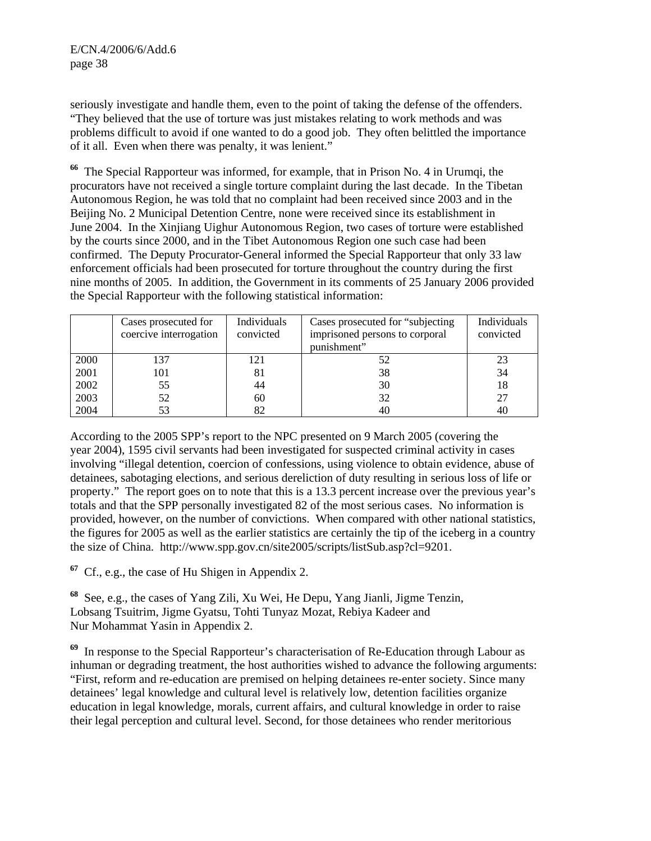seriously investigate and handle them, even to the point of taking the defense of the offenders. "They believed that the use of torture was just mistakes relating to work methods and was problems difficult to avoid if one wanted to do a good job. They often belittled the importance of it all. Even when there was penalty, it was lenient."

**66** The Special Rapporteur was informed, for example, that in Prison No. 4 in Urumqi, the procurators have not received a single torture complaint during the last decade. In the Tibetan Autonomous Region, he was told that no complaint had been received since 2003 and in the Beijing No. 2 Municipal Detention Centre, none were received since its establishment in June 2004. In the Xinjiang Uighur Autonomous Region, two cases of torture were established by the courts since 2000, and in the Tibet Autonomous Region one such case had been confirmed. The Deputy Procurator-General informed the Special Rapporteur that only 33 law enforcement officials had been prosecuted for torture throughout the country during the first nine months of 2005. In addition, the Government in its comments of 25 January 2006 provided the Special Rapporteur with the following statistical information:

|      | Cases prosecuted for<br>coercive interrogation | Individuals<br>convicted | Cases prosecuted for "subjecting"<br>imprisoned persons to corporal<br>punishment" | Individuals<br>convicted |
|------|------------------------------------------------|--------------------------|------------------------------------------------------------------------------------|--------------------------|
| 2000 | 137                                            | 121                      | 52                                                                                 |                          |
| 2001 | 101                                            | 81                       | 38                                                                                 | 34                       |
| 2002 | 55                                             | 44                       | 30                                                                                 | 18                       |
| 2003 | 52                                             | 60                       | 32                                                                                 |                          |
| 2004 |                                                | 82                       | 40                                                                                 |                          |

According to the 2005 SPP's report to the NPC presented on 9 March 2005 (covering the year 2004), 1595 civil servants had been investigated for suspected criminal activity in cases involving "illegal detention, coercion of confessions, using violence to obtain evidence, abuse of detainees, sabotaging elections, and serious dereliction of duty resulting in serious loss of life or property." The report goes on to note that this is a 13.3 percent increase over the previous year's totals and that the SPP personally investigated 82 of the most serious cases. No information is provided, however, on the number of convictions. When compared with other national statistics, the figures for 2005 as well as the earlier statistics are certainly the tip of the iceberg in a country the size of China. http://www.spp.gov.cn/site2005/scripts/listSub.asp?cl=9201.

**<sup>67</sup>** Cf., e.g., the case of Hu Shigen in Appendix 2.

**<sup>68</sup>** See, e.g., the cases of Yang Zili, Xu Wei, He Depu, Yang Jianli, Jigme Tenzin, Lobsang Tsuitrim, Jigme Gyatsu, Tohti Tunyaz Mozat, Rebiya Kadeer and Nur Mohammat Yasin in Appendix 2.

**<sup>69</sup>** In response to the Special Rapporteur's characterisation of Re-Education through Labour as inhuman or degrading treatment, the host authorities wished to advance the following arguments: "First, reform and re-education are premised on helping detainees re-enter society. Since many detainees' legal knowledge and cultural level is relatively low, detention facilities organize education in legal knowledge, morals, current affairs, and cultural knowledge in order to raise their legal perception and cultural level. Second, for those detainees who render meritorious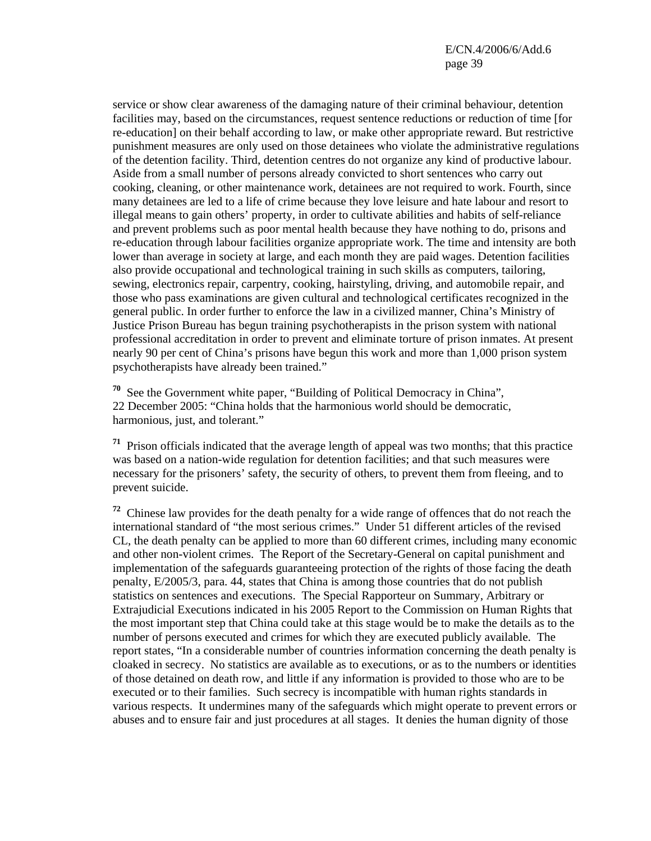service or show clear awareness of the damaging nature of their criminal behaviour, detention facilities may, based on the circumstances, request sentence reductions or reduction of time [for re-education] on their behalf according to law, or make other appropriate reward. But restrictive punishment measures are only used on those detainees who violate the administrative regulations of the detention facility. Third, detention centres do not organize any kind of productive labour. Aside from a small number of persons already convicted to short sentences who carry out cooking, cleaning, or other maintenance work, detainees are not required to work. Fourth, since many detainees are led to a life of crime because they love leisure and hate labour and resort to illegal means to gain others' property, in order to cultivate abilities and habits of self-reliance and prevent problems such as poor mental health because they have nothing to do, prisons and re-education through labour facilities organize appropriate work. The time and intensity are both lower than average in society at large, and each month they are paid wages. Detention facilities also provide occupational and technological training in such skills as computers, tailoring, sewing, electronics repair, carpentry, cooking, hairstyling, driving, and automobile repair, and those who pass examinations are given cultural and technological certificates recognized in the general public. In order further to enforce the law in a civilized manner, China's Ministry of Justice Prison Bureau has begun training psychotherapists in the prison system with national professional accreditation in order to prevent and eliminate torture of prison inmates. At present nearly 90 per cent of China's prisons have begun this work and more than 1,000 prison system psychotherapists have already been trained."

**<sup>70</sup>** See the Government white paper, "Building of Political Democracy in China", 22 December 2005: "China holds that the harmonious world should be democratic, harmonious, just, and tolerant."

**<sup>71</sup>** Prison officials indicated that the average length of appeal was two months; that this practice was based on a nation-wide regulation for detention facilities; and that such measures were necessary for the prisoners' safety, the security of others, to prevent them from fleeing, and to prevent suicide.

**<sup>72</sup>** Chinese law provides for the death penalty for a wide range of offences that do not reach the international standard of "the most serious crimes." Under 51 different articles of the revised CL, the death penalty can be applied to more than 60 different crimes, including many economic and other non-violent crimes. The Report of the Secretary-General on capital punishment and implementation of the safeguards guaranteeing protection of the rights of those facing the death penalty, E/2005/3, para. 44, states that China is among those countries that do not publish statistics on sentences and executions. The Special Rapporteur on Summary, Arbitrary or Extrajudicial Executions indicated in his 2005 Report to the Commission on Human Rights that the most important step that China could take at this stage would be to make the details as to the number of persons executed and crimes for which they are executed publicly available. The report states, "In a considerable number of countries information concerning the death penalty is cloaked in secrecy. No statistics are available as to executions, or as to the numbers or identities of those detained on death row, and little if any information is provided to those who are to be executed or to their families. Such secrecy is incompatible with human rights standards in various respects. It undermines many of the safeguards which might operate to prevent errors or abuses and to ensure fair and just procedures at all stages. It denies the human dignity of those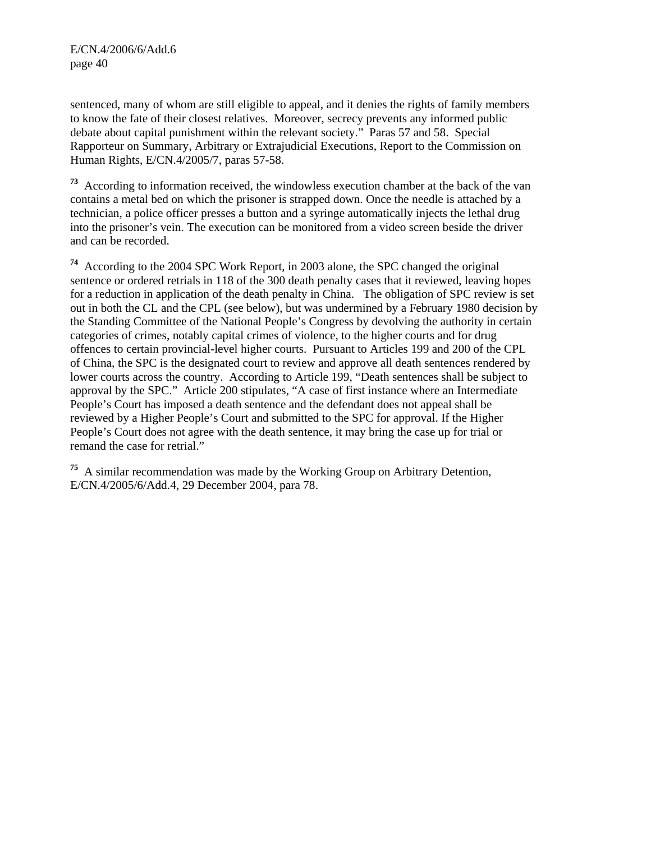sentenced, many of whom are still eligible to appeal, and it denies the rights of family members to know the fate of their closest relatives. Moreover, secrecy prevents any informed public debate about capital punishment within the relevant society." Paras 57 and 58. Special Rapporteur on Summary, Arbitrary or Extrajudicial Executions, Report to the Commission on Human Rights, E/CN.4/2005/7, paras 57-58.

**<sup>73</sup>** According to information received, the windowless execution chamber at the back of the van contains a metal bed on which the prisoner is strapped down. Once the needle is attached by a technician, a police officer presses a button and a syringe automatically injects the lethal drug into the prisoner's vein. The execution can be monitored from a video screen beside the driver and can be recorded.

**<sup>74</sup>** According to the 2004 SPC Work Report, in 2003 alone, the SPC changed the original sentence or ordered retrials in 118 of the 300 death penalty cases that it reviewed, leaving hopes for a reduction in application of the death penalty in China. The obligation of SPC review is set out in both the CL and the CPL (see below), but was undermined by a February 1980 decision by the Standing Committee of the National People's Congress by devolving the authority in certain categories of crimes, notably capital crimes of violence, to the higher courts and for drug offences to certain provincial-level higher courts. Pursuant to Articles 199 and 200 of the CPL of China, the SPC is the designated court to review and approve all death sentences rendered by lower courts across the country. According to Article 199, "Death sentences shall be subject to approval by the SPC." Article 200 stipulates, "A case of first instance where an Intermediate People's Court has imposed a death sentence and the defendant does not appeal shall be reviewed by a Higher People's Court and submitted to the SPC for approval. If the Higher People's Court does not agree with the death sentence, it may bring the case up for trial or remand the case for retrial."

**<sup>75</sup>** A similar recommendation was made by the Working Group on Arbitrary Detention, E/CN.4/2005/6/Add.4, 29 December 2004, para 78.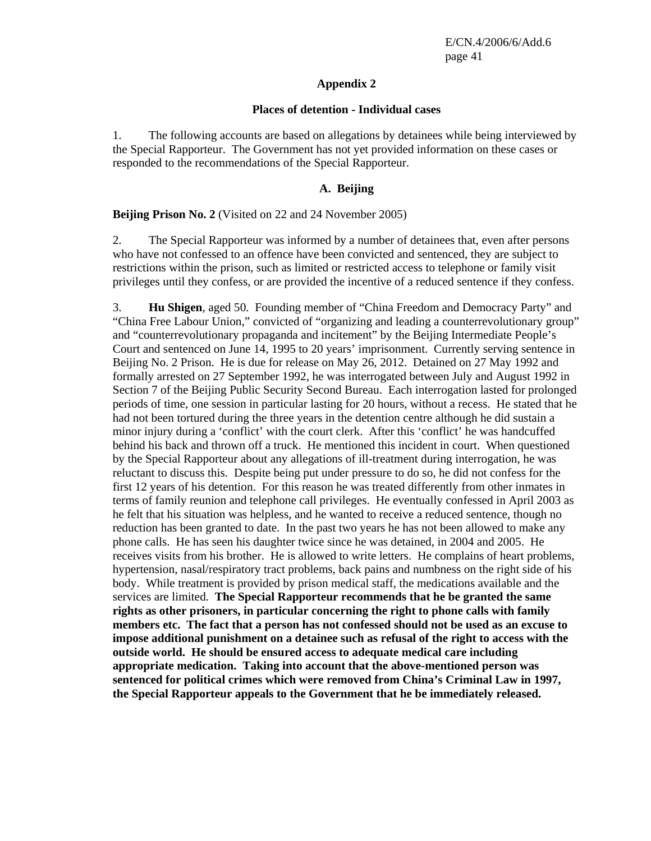#### **Appendix 2**

#### **Places of detention - Individual cases**

1. The following accounts are based on allegations by detainees while being interviewed by the Special Rapporteur. The Government has not yet provided information on these cases or responded to the recommendations of the Special Rapporteur.

#### **A. Beijing**

#### **Beijing Prison No. 2** (Visited on 22 and 24 November 2005)

2. The Special Rapporteur was informed by a number of detainees that, even after persons who have not confessed to an offence have been convicted and sentenced, they are subject to restrictions within the prison, such as limited or restricted access to telephone or family visit privileges until they confess, or are provided the incentive of a reduced sentence if they confess.

3. **Hu Shigen**, aged 50. Founding member of "China Freedom and Democracy Party" and "China Free Labour Union," convicted of "organizing and leading a counterrevolutionary group" and "counterrevolutionary propaganda and incitement" by the Beijing Intermediate People's Court and sentenced on June 14, 1995 to 20 years' imprisonment. Currently serving sentence in Beijing No. 2 Prison. He is due for release on May 26, 2012. Detained on 27 May 1992 and formally arrested on 27 September 1992, he was interrogated between July and August 1992 in Section 7 of the Beijing Public Security Second Bureau. Each interrogation lasted for prolonged periods of time, one session in particular lasting for 20 hours, without a recess. He stated that he had not been tortured during the three years in the detention centre although he did sustain a minor injury during a 'conflict' with the court clerk. After this 'conflict' he was handcuffed behind his back and thrown off a truck. He mentioned this incident in court. When questioned by the Special Rapporteur about any allegations of ill-treatment during interrogation, he was reluctant to discuss this. Despite being put under pressure to do so, he did not confess for the first 12 years of his detention. For this reason he was treated differently from other inmates in terms of family reunion and telephone call privileges. He eventually confessed in April 2003 as he felt that his situation was helpless, and he wanted to receive a reduced sentence, though no reduction has been granted to date. In the past two years he has not been allowed to make any phone calls. He has seen his daughter twice since he was detained, in 2004 and 2005. He receives visits from his brother. He is allowed to write letters. He complains of heart problems, hypertension, nasal/respiratory tract problems, back pains and numbness on the right side of his body. While treatment is provided by prison medical staff, the medications available and the services are limited. **The Special Rapporteur recommends that he be granted the same rights as other prisoners, in particular concerning the right to phone calls with family members etc. The fact that a person has not confessed should not be used as an excuse to impose additional punishment on a detainee such as refusal of the right to access with the outside world. He should be ensured access to adequate medical care including appropriate medication. Taking into account that the above-mentioned person was sentenced for political crimes which were removed from China's Criminal Law in 1997, the Special Rapporteur appeals to the Government that he be immediately released.**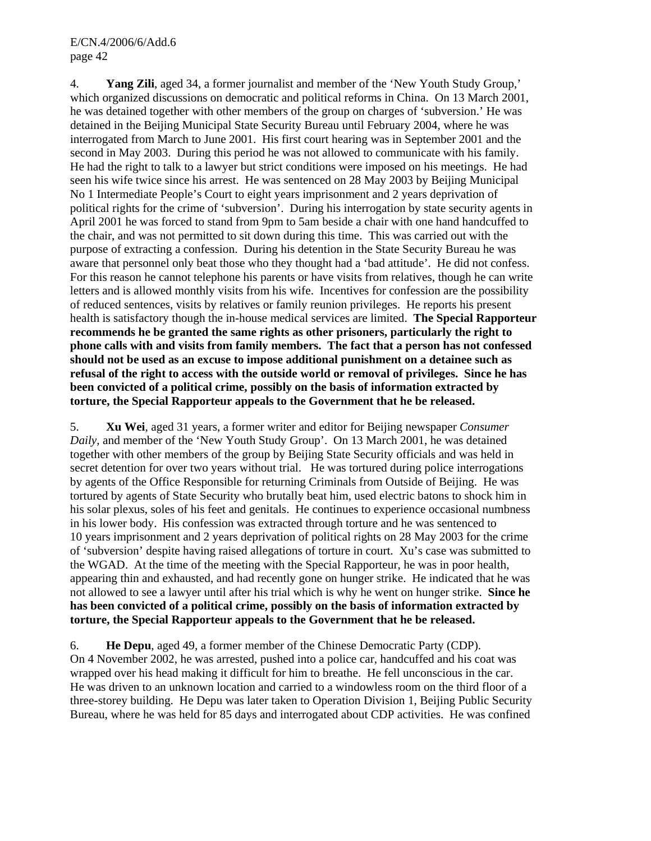4. **Yang Zili**, aged 34, a former journalist and member of the 'New Youth Study Group,' which organized discussions on democratic and political reforms in China. On 13 March 2001, he was detained together with other members of the group on charges of 'subversion.' He was detained in the Beijing Municipal State Security Bureau until February 2004, where he was interrogated from March to June 2001.His first court hearing was in September 2001 and the second in May 2003.During this period he was not allowed to communicate with his family. He had the right to talk to a lawyer but strict conditions were imposed on his meetings.He had seen his wife twice since his arrest. He was sentenced on 28 May 2003 by Beijing Municipal No 1 Intermediate People's Court to eight years imprisonment and 2 years deprivation of political rights for the crime of 'subversion'. During his interrogation by state security agents in April 2001 he was forced to stand from 9pm to 5am beside a chair with one hand handcuffed to the chair, and was not permitted to sit down during this time. This was carried out with the purpose of extracting a confession. During his detention in the State Security Bureau he was aware that personnel only beat those who they thought had a 'bad attitude'. He did not confess. For this reason he cannot telephone his parents or have visits from relatives, though he can write letters and is allowed monthly visits from his wife. Incentives for confession are the possibility of reduced sentences, visits by relatives or family reunion privileges. He reports his present health is satisfactory though the in-house medical services are limited. **The Special Rapporteur recommends he be granted the same rights as other prisoners, particularly the right to phone calls with and visits from family members. The fact that a person has not confessed should not be used as an excuse to impose additional punishment on a detainee such as refusal of the right to access with the outside world or removal of privileges. Since he has been convicted of a political crime, possibly on the basis of information extracted by torture, the Special Rapporteur appeals to the Government that he be released.**

5. **Xu Wei**, aged 31 years, a former writer and editor for Beijing newspaper *Consumer Daily*, and member of the 'New Youth Study Group'. On 13 March 2001, he was detained together with other members of the group by Beijing State Security officials and was held in secret detention for over two years without trial. He was tortured during police interrogations by agents of the Office Responsible for returning Criminals from Outside of Beijing. He was tortured by agents of State Security who brutally beat him, used electric batons to shock him in his solar plexus, soles of his feet and genitals. He continues to experience occasional numbness in his lower body. His confession was extracted through torture and he was sentenced to 10 years imprisonment and 2 years deprivation of political rights on 28 May 2003 for the crime of 'subversion' despite having raised allegations of torture in court. Xu's case was submitted to the WGAD. At the time of the meeting with the Special Rapporteur, he was in poor health, appearing thin and exhausted, and had recently gone on hunger strike. He indicated that he was not allowed to see a lawyer until after his trial which is why he went on hunger strike. **Since he has been convicted of a political crime, possibly on the basis of information extracted by torture, the Special Rapporteur appeals to the Government that he be released.** 

6. **He Depu**, aged 49, a former member of the Chinese Democratic Party (CDP). On 4 November 2002, he was arrested, pushed into a police car, handcuffed and his coat was wrapped over his head making it difficult for him to breathe. He fell unconscious in the car. He was driven to an unknown location and carried to a windowless room on the third floor of a three-storey building. He Depu was later taken to Operation Division 1, Beijing Public Security Bureau, where he was held for 85 days and interrogated about CDP activities. He was confined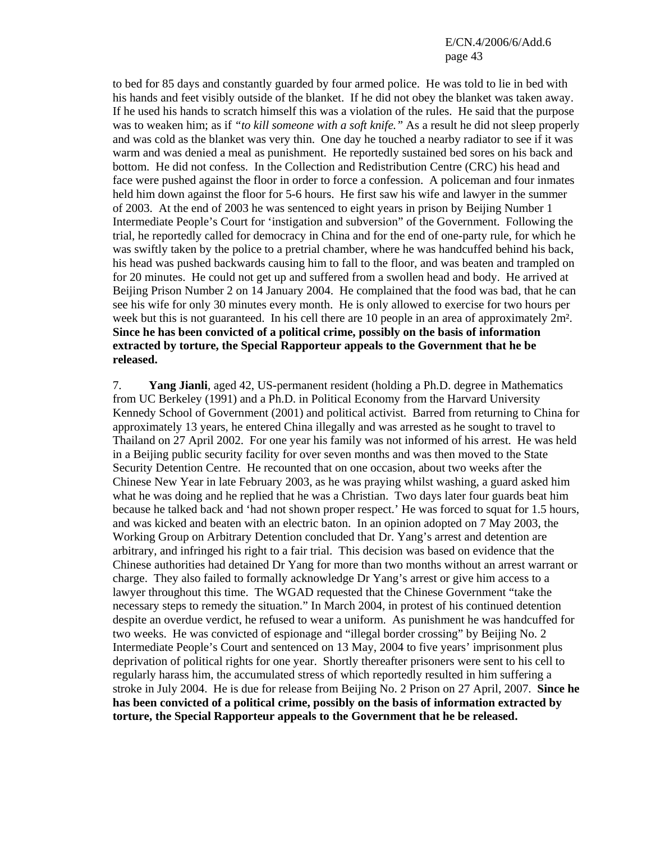to bed for 85 days and constantly guarded by four armed police. He was told to lie in bed with his hands and feet visibly outside of the blanket. If he did not obey the blanket was taken away. If he used his hands to scratch himself this was a violation of the rules. He said that the purpose was to weaken him; as if *"to kill someone with a soft knife."* As a result he did not sleep properly and was cold as the blanket was very thin. One day he touched a nearby radiator to see if it was warm and was denied a meal as punishment. He reportedly sustained bed sores on his back and bottom. He did not confess. In the Collection and Redistribution Centre (CRC) his head and face were pushed against the floor in order to force a confession. A policeman and four inmates held him down against the floor for 5-6 hours. He first saw his wife and lawyer in the summer of 2003. At the end of 2003 he was sentenced to eight years in prison by Beijing Number 1 Intermediate People's Court for 'instigation and subversion" of the Government. Following the trial, he reportedly called for democracy in China and for the end of one-party rule, for which he was swiftly taken by the police to a pretrial chamber, where he was handcuffed behind his back, his head was pushed backwards causing him to fall to the floor, and was beaten and trampled on for 20 minutes. He could not get up and suffered from a swollen head and body. He arrived at Beijing Prison Number 2 on 14 January 2004. He complained that the food was bad, that he can see his wife for only 30 minutes every month. He is only allowed to exercise for two hours per week but this is not guaranteed. In his cell there are 10 people in an area of approximately  $2m^2$ . **Since he has been convicted of a political crime, possibly on the basis of information extracted by torture, the Special Rapporteur appeals to the Government that he be released.**

7. **Yang Jianli**, aged 42, US-permanent resident (holding a Ph.D. degree in Mathematics from UC Berkeley (1991) and a Ph.D. in Political Economy from the Harvard University Kennedy School of Government (2001) and political activist. Barred from returning to China for approximately 13 years, he entered China illegally and was arrested as he sought to travel to Thailand on 27 April 2002. For one year his family was not informed of his arrest. He was held in a Beijing public security facility for over seven months and was then moved to the State Security Detention Centre. He recounted that on one occasion, about two weeks after the Chinese New Year in late February 2003, as he was praying whilst washing, a guard asked him what he was doing and he replied that he was a Christian. Two days later four guards beat him because he talked back and 'had not shown proper respect.' He was forced to squat for 1.5 hours, and was kicked and beaten with an electric baton. In an opinion adopted on 7 May 2003, the Working Group on Arbitrary Detention concluded that Dr. Yang's arrest and detention are arbitrary, and infringed his right to a fair trial. This decision was based on evidence that the Chinese authorities had detained Dr Yang for more than two months without an arrest warrant or charge. They also failed to formally acknowledge Dr Yang's arrest or give him access to a lawyer throughout this time. The WGAD requested that the Chinese Government "take the necessary steps to remedy the situation." In March 2004, in protest of his continued detention despite an overdue verdict, he refused to wear a uniform. As punishment he was handcuffed for two weeks. He was convicted of espionage and "illegal border crossing" by Beijing No. 2 Intermediate People's Court and sentenced on 13 May, 2004 to five years' imprisonment plus deprivation of political rights for one year. Shortly thereafter prisoners were sent to his cell to regularly harass him, the accumulated stress of which reportedly resulted in him suffering a stroke in July 2004. He is due for release from Beijing No. 2 Prison on 27 April, 2007. **Since he has been convicted of a political crime, possibly on the basis of information extracted by torture, the Special Rapporteur appeals to the Government that he be released.**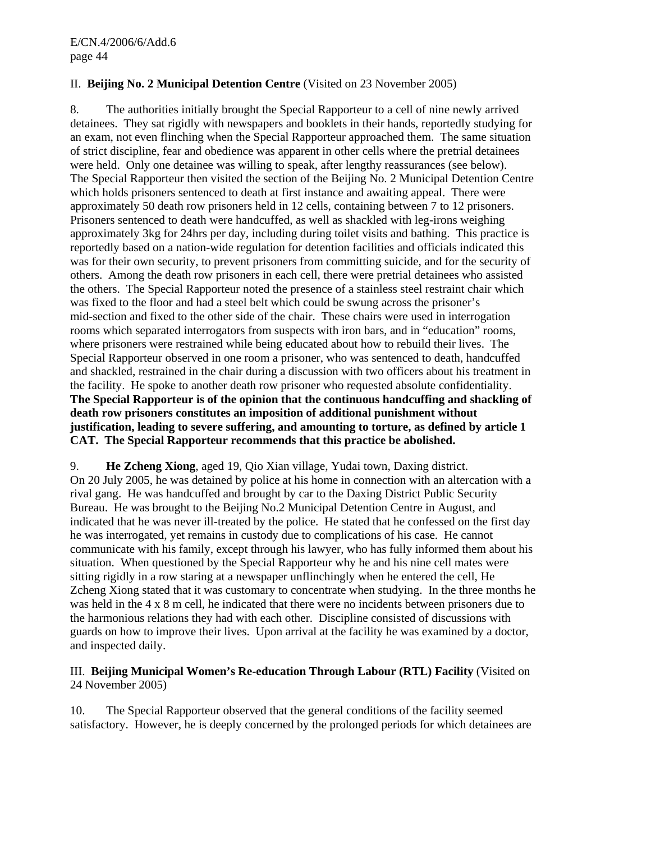# II. **Beijing No. 2 Municipal Detention Centre** (Visited on 23 November 2005)

8. The authorities initially brought the Special Rapporteur to a cell of nine newly arrived detainees. They sat rigidly with newspapers and booklets in their hands, reportedly studying for an exam, not even flinching when the Special Rapporteur approached them. The same situation of strict discipline, fear and obedience was apparent in other cells where the pretrial detainees were held. Only one detainee was willing to speak, after lengthy reassurances (see below). The Special Rapporteur then visited the section of the Beijing No. 2 Municipal Detention Centre which holds prisoners sentenced to death at first instance and awaiting appeal. There were approximately 50 death row prisoners held in 12 cells, containing between 7 to 12 prisoners. Prisoners sentenced to death were handcuffed, as well as shackled with leg-irons weighing approximately 3kg for 24hrs per day, including during toilet visits and bathing. This practice is reportedly based on a nation-wide regulation for detention facilities and officials indicated this was for their own security, to prevent prisoners from committing suicide, and for the security of others. Among the death row prisoners in each cell, there were pretrial detainees who assisted the others. The Special Rapporteur noted the presence of a stainless steel restraint chair which was fixed to the floor and had a steel belt which could be swung across the prisoner's mid-section and fixed to the other side of the chair. These chairs were used in interrogation rooms which separated interrogators from suspects with iron bars, and in "education" rooms, where prisoners were restrained while being educated about how to rebuild their lives. The Special Rapporteur observed in one room a prisoner, who was sentenced to death, handcuffed and shackled, restrained in the chair during a discussion with two officers about his treatment in the facility. He spoke to another death row prisoner who requested absolute confidentiality. **The Special Rapporteur is of the opinion that the continuous handcuffing and shackling of death row prisoners constitutes an imposition of additional punishment without justification, leading to severe suffering, and amounting to torture, as defined by article 1 CAT. The Special Rapporteur recommends that this practice be abolished.** 

9. **He Zcheng Xiong**, aged 19, Qio Xian village, Yudai town, Daxing district. On 20 July 2005, he was detained by police at his home in connection with an altercation with a rival gang. He was handcuffed and brought by car to the Daxing District Public Security Bureau. He was brought to the Beijing No.2 Municipal Detention Centre in August, and indicated that he was never ill-treated by the police. He stated that he confessed on the first day he was interrogated, yet remains in custody due to complications of his case. He cannot communicate with his family, except through his lawyer, who has fully informed them about his situation. When questioned by the Special Rapporteur why he and his nine cell mates were sitting rigidly in a row staring at a newspaper unflinchingly when he entered the cell, He Zcheng Xiong stated that it was customary to concentrate when studying. In the three months he was held in the 4 x 8 m cell, he indicated that there were no incidents between prisoners due to the harmonious relations they had with each other. Discipline consisted of discussions with guards on how to improve their lives. Upon arrival at the facility he was examined by a doctor, and inspected daily.

#### III. **Beijing Municipal Women's Re-education Through Labour (RTL) Facility** (Visited on 24 November 2005)

10. The Special Rapporteur observed that the general conditions of the facility seemed satisfactory. However, he is deeply concerned by the prolonged periods for which detainees are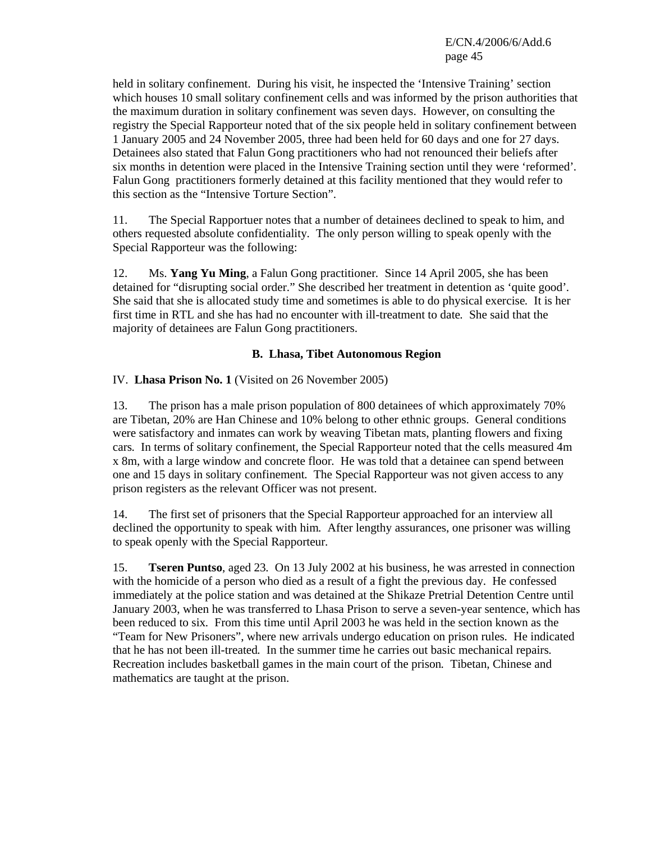held in solitary confinement. During his visit, he inspected the 'Intensive Training' section which houses 10 small solitary confinement cells and was informed by the prison authorities that the maximum duration in solitary confinement was seven days. However, on consulting the registry the Special Rapporteur noted that of the six people held in solitary confinement between 1 January 2005 and 24 November 2005, three had been held for 60 days and one for 27 days. Detainees also stated that Falun Gong practitioners who had not renounced their beliefs after six months in detention were placed in the Intensive Training section until they were 'reformed'*.*  Falun Gong practitioners formerly detained at this facility mentioned that they would refer to this section as the "Intensive Torture Section".

11. The Special Rapportuer notes that a number of detainees declined to speak to him, and others requested absolute confidentiality*.* The only person willing to speak openly with the Special Rapporteur was the following:

12. Ms. **Yang Yu Ming**, a Falun Gong practitioner*.* Since 14 April 2005, she has been detained for "disrupting social order." She described her treatment in detention as 'quite good'*.*  She said that she is allocated study time and sometimes is able to do physical exercise*.* It is her first time in RTL and she has had no encounter with ill-treatment to date*.* She said that the majority of detainees are Falun Gong practitioners.

# **B. Lhasa, Tibet Autonomous Region**

# IV. **Lhasa Prison No. 1** (Visited on 26 November 2005)

13. The prison has a male prison population of 800 detainees of which approximately 70% are Tibetan, 20% are Han Chinese and 10% belong to other ethnic groups. General conditions were satisfactory and inmates can work by weaving Tibetan mats, planting flowers and fixing cars*.* In terms of solitary confinement, the Special Rapporteur noted that the cells measured 4m x 8m, with a large window and concrete floor*.* He was told that a detainee can spend between one and 15 days in solitary confinement*.* The Special Rapporteur was not given access to any prison registers as the relevant Officer was not present.

14. The first set of prisoners that the Special Rapporteur approached for an interview all declined the opportunity to speak with him*.* After lengthy assurances, one prisoner was willing to speak openly with the Special Rapporteur*.* 

15. **Tseren Puntso**, aged 23*.* On 13 July 2002 at his business, he was arrested in connection with the homicide of a person who died as a result of a fight the previous day*.* He confessed immediately at the police station and was detained at the Shikaze Pretrial Detention Centre until January 2003, when he was transferred to Lhasa Prison to serve a seven-year sentence, which has been reduced to six*.* From this time until April 2003 he was held in the section known as the "Team for New Prisoners", where new arrivals undergo education on prison rules*.* He indicated that he has not been ill-treated*.* In the summer time he carries out basic mechanical repairs*.*  Recreation includes basketball games in the main court of the prison*.* Tibetan, Chinese and mathematics are taught at the prison.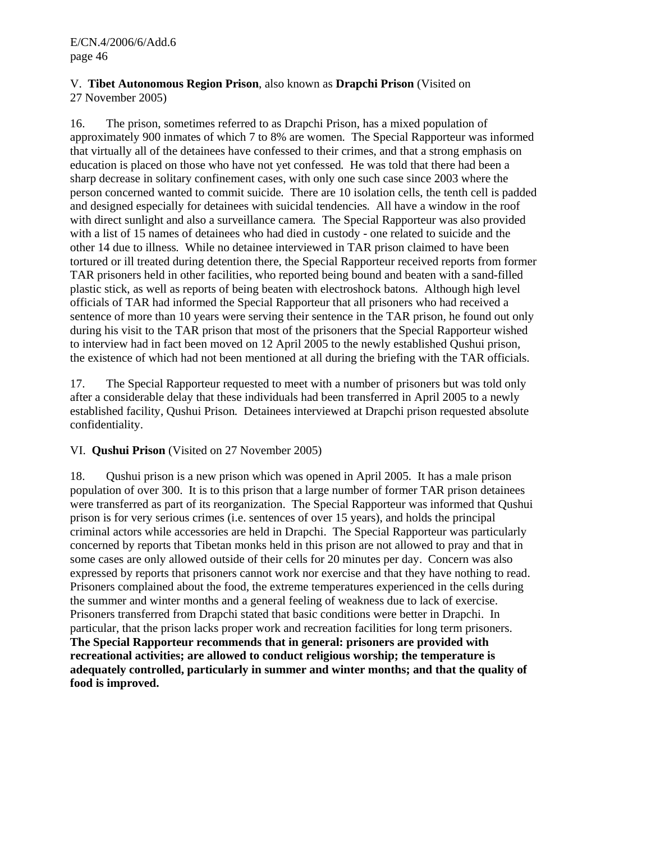# V. **Tibet Autonomous Region Prison**, also known as **Drapchi Prison** (Visited on

27 November 2005)

16. The prison, sometimes referred to as Drapchi Prison, has a mixed population of approximately 900 inmates of which 7 to 8% are women*.* The Special Rapporteur was informed that virtually all of the detainees have confessed to their crimes, and that a strong emphasis on education is placed on those who have not yet confessed*.* He was told that there had been a sharp decrease in solitary confinement cases, with only one such case since 2003 where the person concerned wanted to commit suicide*.* There are 10 isolation cells, the tenth cell is padded and designed especially for detainees with suicidal tendencies*.* All have a window in the roof with direct sunlight and also a surveillance camera*.* The Special Rapporteur was also provided with a list of 15 names of detainees who had died in custody - one related to suicide and the other 14 due to illness*.* While no detainee interviewed in TAR prison claimed to have been tortured or ill treated during detention there, the Special Rapporteur received reports from former TAR prisoners held in other facilities, who reported being bound and beaten with a sand-filled plastic stick, as well as reports of being beaten with electroshock batons*.* Although high level officials of TAR had informed the Special Rapporteur that all prisoners who had received a sentence of more than 10 years were serving their sentence in the TAR prison, he found out only during his visit to the TAR prison that most of the prisoners that the Special Rapporteur wished to interview had in fact been moved on 12 April 2005 to the newly established Qushui prison, the existence of which had not been mentioned at all during the briefing with the TAR officials.

17. The Special Rapporteur requested to meet with a number of prisoners but was told only after a considerable delay that these individuals had been transferred in April 2005 to a newly established facility, Qushui Prison*.* Detainees interviewed at Drapchi prison requested absolute confidentiality.

# VI. **Qushui Prison** (Visited on 27 November 2005)

18. Qushui prison is a new prison which was opened in April 2005. It has a male prison population of over 300. It is to this prison that a large number of former TAR prison detainees were transferred as part of its reorganization. The Special Rapporteur was informed that Qushui prison is for very serious crimes (i.e. sentences of over 15 years), and holds the principal criminal actors while accessories are held in Drapchi. The Special Rapporteur was particularly concerned by reports that Tibetan monks held in this prison are not allowed to pray and that in some cases are only allowed outside of their cells for 20 minutes per day. Concern was also expressed by reports that prisoners cannot work nor exercise and that they have nothing to read. Prisoners complained about the food, the extreme temperatures experienced in the cells during the summer and winter months and a general feeling of weakness due to lack of exercise. Prisoners transferred from Drapchi stated that basic conditions were better in Drapchi. In particular, that the prison lacks proper work and recreation facilities for long term prisoners. **The Special Rapporteur recommends that in general: prisoners are provided with recreational activities; are allowed to conduct religious worship; the temperature is adequately controlled, particularly in summer and winter months; and that the quality of food is improved.**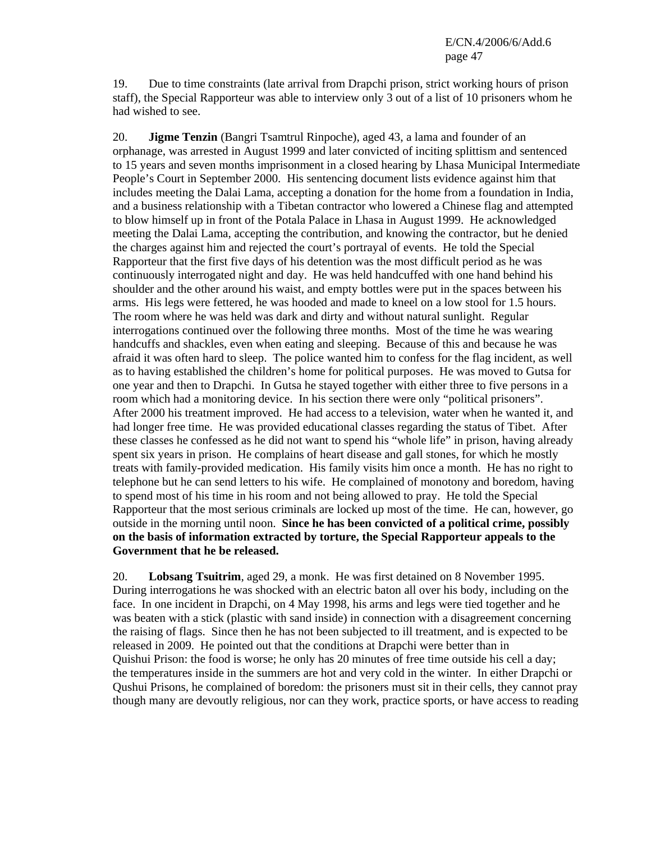19. Due to time constraints (late arrival from Drapchi prison, strict working hours of prison staff), the Special Rapporteur was able to interview only 3 out of a list of 10 prisoners whom he had wished to see.

20. **Jigme Tenzin** (Bangri Tsamtrul Rinpoche), aged 43, a lama and founder of an orphanage, was arrested in August 1999 and later convicted of inciting splittism and sentenced to 15 years and seven months imprisonment in a closed hearing by Lhasa Municipal Intermediate People's Court in September 2000. His sentencing document lists evidence against him that includes meeting the Dalai Lama, accepting a donation for the home from a foundation in India, and a business relationship with a Tibetan contractor who lowered a Chinese flag and attempted to blow himself up in front of the Potala Palace in Lhasa in August 1999. He acknowledged meeting the Dalai Lama, accepting the contribution, and knowing the contractor, but he denied the charges against him and rejected the court's portrayal of events. He told the Special Rapporteur that the first five days of his detention was the most difficult period as he was continuously interrogated night and day. He was held handcuffed with one hand behind his shoulder and the other around his waist, and empty bottles were put in the spaces between his arms. His legs were fettered, he was hooded and made to kneel on a low stool for 1.5 hours. The room where he was held was dark and dirty and without natural sunlight. Regular interrogations continued over the following three months. Most of the time he was wearing handcuffs and shackles, even when eating and sleeping. Because of this and because he was afraid it was often hard to sleep. The police wanted him to confess for the flag incident, as well as to having established the children's home for political purposes. He was moved to Gutsa for one year and then to Drapchi. In Gutsa he stayed together with either three to five persons in a room which had a monitoring device. In his section there were only "political prisoners". After 2000 his treatment improved. He had access to a television, water when he wanted it, and had longer free time. He was provided educational classes regarding the status of Tibet. After these classes he confessed as he did not want to spend his "whole life" in prison, having already spent six years in prison. He complains of heart disease and gall stones, for which he mostly treats with family-provided medication. His family visits him once a month. He has no right to telephone but he can send letters to his wife. He complained of monotony and boredom, having to spend most of his time in his room and not being allowed to pray. He told the Special Rapporteur that the most serious criminals are locked up most of the time. He can, however, go outside in the morning until noon. **Since he has been convicted of a political crime, possibly on the basis of information extracted by torture, the Special Rapporteur appeals to the Government that he be released.**

20. **Lobsang Tsuitrim**, aged 29, a monk. He was first detained on 8 November 1995. During interrogations he was shocked with an electric baton all over his body, including on the face. In one incident in Drapchi, on 4 May 1998, his arms and legs were tied together and he was beaten with a stick (plastic with sand inside) in connection with a disagreement concerning the raising of flags. Since then he has not been subjected to ill treatment, and is expected to be released in 2009. He pointed out that the conditions at Drapchi were better than in Quishui Prison: the food is worse; he only has 20 minutes of free time outside his cell a day; the temperatures inside in the summers are hot and very cold in the winter. In either Drapchi or Qushui Prisons, he complained of boredom: the prisoners must sit in their cells, they cannot pray though many are devoutly religious, nor can they work, practice sports, or have access to reading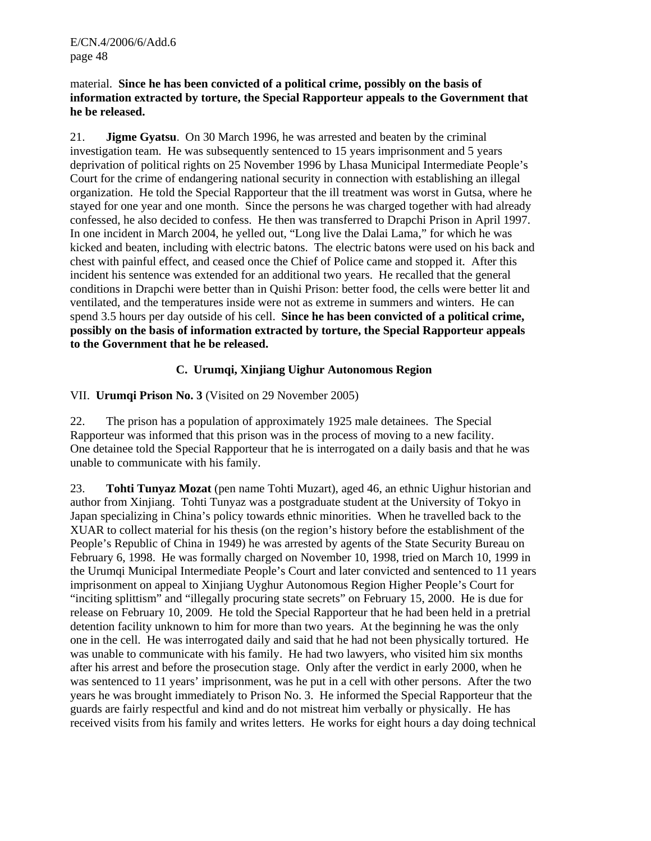# material. **Since he has been convicted of a political crime, possibly on the basis of information extracted by torture, the Special Rapporteur appeals to the Government that he be released.**

21. **Jigme Gyatsu**. On 30 March 1996, he was arrested and beaten by the criminal investigation team. He was subsequently sentenced to 15 years imprisonment and 5 years deprivation of political rights on 25 November 1996 by Lhasa Municipal Intermediate People's Court for the crime of endangering national security in connection with establishing an illegal organization. He told the Special Rapporteur that the ill treatment was worst in Gutsa, where he stayed for one year and one month. Since the persons he was charged together with had already confessed, he also decided to confess. He then was transferred to Drapchi Prison in April 1997. In one incident in March 2004, he yelled out, "Long live the Dalai Lama," for which he was kicked and beaten, including with electric batons. The electric batons were used on his back and chest with painful effect, and ceased once the Chief of Police came and stopped it. After this incident his sentence was extended for an additional two years. He recalled that the general conditions in Drapchi were better than in Quishi Prison: better food, the cells were better lit and ventilated, and the temperatures inside were not as extreme in summers and winters. He can spend 3.5 hours per day outside of his cell. **Since he has been convicted of a political crime, possibly on the basis of information extracted by torture, the Special Rapporteur appeals to the Government that he be released.**

# **C. Urumqi, Xinjiang Uighur Autonomous Region**

#### VII. **Urumqi Prison No. 3** (Visited on 29 November 2005)

22. The prison has a population of approximately 1925 male detainees. The Special Rapporteur was informed that this prison was in the process of moving to a new facility. One detainee told the Special Rapporteur that he is interrogated on a daily basis and that he was unable to communicate with his family.

23. **Tohti Tunyaz Mozat** (pen name Tohti Muzart), aged 46, an ethnic Uighur historian and author from Xinjiang. Tohti Tunyaz was a postgraduate student at the University of Tokyo in Japan specializing in China's policy towards ethnic minorities. When he travelled back to the XUAR to collect material for his thesis (on the region's history before the establishment of the People's Republic of China in 1949) he was arrested by agents of the State Security Bureau on February 6, 1998. He was formally charged on November 10, 1998, tried on March 10, 1999 in the Urumqi Municipal Intermediate People's Court and later convicted and sentenced to 11 years imprisonment on appeal to Xinjiang Uyghur Autonomous Region Higher People's Court for "inciting splittism" and "illegally procuring state secrets" on February 15, 2000. He is due for release on February 10, 2009. He told the Special Rapporteur that he had been held in a pretrial detention facility unknown to him for more than two years. At the beginning he was the only one in the cell. He was interrogated daily and said that he had not been physically tortured. He was unable to communicate with his family. He had two lawyers, who visited him six months after his arrest and before the prosecution stage. Only after the verdict in early 2000, when he was sentenced to 11 years' imprisonment, was he put in a cell with other persons. After the two years he was brought immediately to Prison No. 3. He informed the Special Rapporteur that the guards are fairly respectful and kind and do not mistreat him verbally or physically. He has received visits from his family and writes letters. He works for eight hours a day doing technical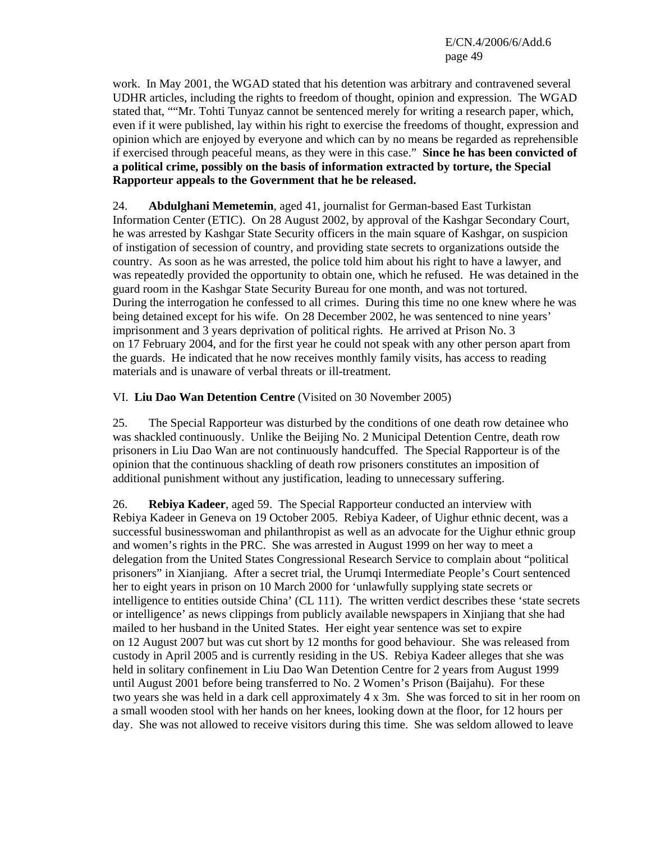work. In May 2001, the WGAD stated that his detention was arbitrary and contravened several UDHR articles, including the rights to freedom of thought, opinion and expression. The WGAD stated that, ""Mr. Tohti Tunyaz cannot be sentenced merely for writing a research paper, which, even if it were published, lay within his right to exercise the freedoms of thought, expression and opinion which are enjoyed by everyone and which can by no means be regarded as reprehensible if exercised through peaceful means, as they were in this case." **Since he has been convicted of a political crime, possibly on the basis of information extracted by torture, the Special Rapporteur appeals to the Government that he be released.** 

24. **Abdulghani Memetemin**, aged 41, journalist for German-based East Turkistan Information Center (ETIC). On 28 August 2002, by approval of the Kashgar Secondary Court, he was arrested by Kashgar State Security officers in the main square of Kashgar, on suspicion of instigation of secession of country, and providing state secrets to organizations outside the country. As soon as he was arrested, the police told him about his right to have a lawyer, and was repeatedly provided the opportunity to obtain one, which he refused. He was detained in the guard room in the Kashgar State Security Bureau for one month, and was not tortured. During the interrogation he confessed to all crimes. During this time no one knew where he was being detained except for his wife. On 28 December 2002, he was sentenced to nine years' imprisonment and 3 years deprivation of political rights. He arrived at Prison No. 3 on 17 February 2004, and for the first year he could not speak with any other person apart from the guards. He indicated that he now receives monthly family visits, has access to reading materials and is unaware of verbal threats or ill-treatment.

# VI. **Liu Dao Wan Detention Centre** (Visited on 30 November 2005)

25. The Special Rapporteur was disturbed by the conditions of one death row detainee who was shackled continuously. Unlike the Beijing No. 2 Municipal Detention Centre, death row prisoners in Liu Dao Wan are not continuously handcuffed. The Special Rapporteur is of the opinion that the continuous shackling of death row prisoners constitutes an imposition of additional punishment without any justification, leading to unnecessary suffering.

26. **Rebiya Kadeer**, aged 59. The Special Rapporteur conducted an interview with Rebiya Kadeer in Geneva on 19 October 2005. Rebiya Kadeer, of Uighur ethnic decent, was a successful businesswoman and philanthropist as well as an advocate for the Uighur ethnic group and women's rights in the PRC. She was arrested in August 1999 on her way to meet a delegation from the United States Congressional Research Service to complain about "political prisoners" in Xianjiang. After a secret trial, the Urumqi Intermediate People's Court sentenced her to eight years in prison on 10 March 2000 for 'unlawfully supplying state secrets or intelligence to entities outside China' (CL 111). The written verdict describes these 'state secrets or intelligence' as news clippings from publicly available newspapers in Xinjiang that she had mailed to her husband in the United States. Her eight year sentence was set to expire on 12 August 2007 but was cut short by 12 months for good behaviour. She was released from custody in April 2005 and is currently residing in the US. Rebiya Kadeer alleges that she was held in solitary confinement in Liu Dao Wan Detention Centre for 2 years from August 1999 until August 2001 before being transferred to No. 2 Women's Prison (Baijahu). For these two years she was held in a dark cell approximately 4 x 3m. She was forced to sit in her room on a small wooden stool with her hands on her knees, looking down at the floor, for 12 hours per day. She was not allowed to receive visitors during this time. She was seldom allowed to leave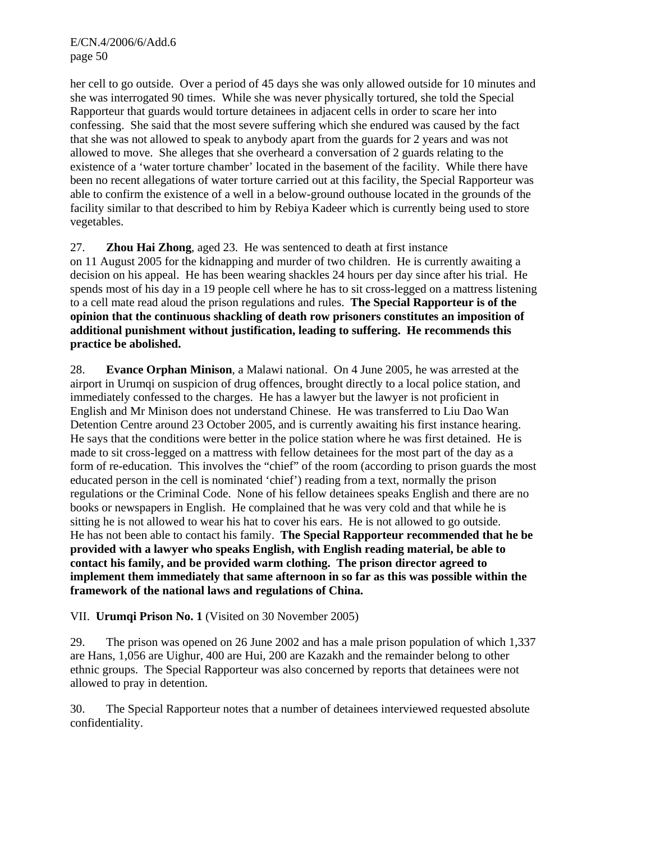her cell to go outside. Over a period of 45 days she was only allowed outside for 10 minutes and she was interrogated 90 times. While she was never physically tortured, she told the Special Rapporteur that guards would torture detainees in adjacent cells in order to scare her into confessing. She said that the most severe suffering which she endured was caused by the fact that she was not allowed to speak to anybody apart from the guards for 2 years and was not allowed to move. She alleges that she overheard a conversation of 2 guards relating to the existence of a 'water torture chamber' located in the basement of the facility. While there have been no recent allegations of water torture carried out at this facility, the Special Rapporteur was able to confirm the existence of a well in a below-ground outhouse located in the grounds of the facility similar to that described to him by Rebiya Kadeer which is currently being used to store vegetables.

27. **Zhou Hai Zhong**, aged 23. He was sentenced to death at first instance on 11 August 2005 for the kidnapping and murder of two children. He is currently awaiting a decision on his appeal. He has been wearing shackles 24 hours per day since after his trial. He spends most of his day in a 19 people cell where he has to sit cross-legged on a mattress listening to a cell mate read aloud the prison regulations and rules. **The Special Rapporteur is of the opinion that the continuous shackling of death row prisoners constitutes an imposition of additional punishment without justification, leading to suffering. He recommends this practice be abolished.** 

28. **Evance Orphan Minison**, a Malawi national. On 4 June 2005, he was arrested at the airport in Urumqi on suspicion of drug offences, brought directly to a local police station, and immediately confessed to the charges. He has a lawyer but the lawyer is not proficient in English and Mr Minison does not understand Chinese. He was transferred to Liu Dao Wan Detention Centre around 23 October 2005, and is currently awaiting his first instance hearing. He says that the conditions were better in the police station where he was first detained. He is made to sit cross-legged on a mattress with fellow detainees for the most part of the day as a form of re-education. This involves the "chief" of the room (according to prison guards the most educated person in the cell is nominated 'chief') reading from a text, normally the prison regulations or the Criminal Code. None of his fellow detainees speaks English and there are no books or newspapers in English. He complained that he was very cold and that while he is sitting he is not allowed to wear his hat to cover his ears. He is not allowed to go outside. He has not been able to contact his family. **The Special Rapporteur recommended that he be provided with a lawyer who speaks English, with English reading material, be able to contact his family, and be provided warm clothing. The prison director agreed to implement them immediately that same afternoon in so far as this was possible within the framework of the national laws and regulations of China.** 

VII. **Urumqi Prison No. 1** (Visited on 30 November 2005)

29. The prison was opened on 26 June 2002 and has a male prison population of which 1,337 are Hans, 1,056 are Uighur, 400 are Hui, 200 are Kazakh and the remainder belong to other ethnic groups. The Special Rapporteur was also concerned by reports that detainees were not allowed to pray in detention.

30. The Special Rapporteur notes that a number of detainees interviewed requested absolute confidentiality.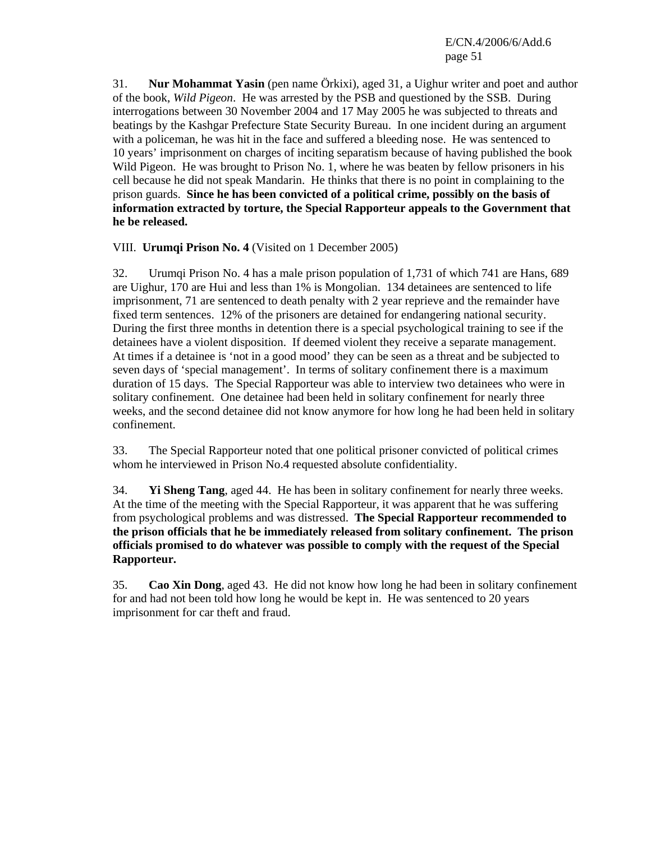31. **Nur Mohammat Yasin** (pen name Örkixi), aged 31, a Uighur writer and poet and author of the book, *Wild Pigeon*. He was arrested by the PSB and questioned by the SSB.During interrogations between 30 November 2004 and 17 May 2005 he was subjected to threats and beatings by the Kashgar Prefecture State Security Bureau.In one incident during an argument with a policeman, he was hit in the face and suffered a bleeding nose.He was sentenced to 10 years' imprisonment on charges of inciting separatism because of having published the book Wild Pigeon. He was brought to Prison No. 1, where he was beaten by fellow prisoners in his cell because he did not speak Mandarin.He thinks that there is no point in complaining to the prison guards. **Since he has been convicted of a political crime, possibly on the basis of information extracted by torture, the Special Rapporteur appeals to the Government that he be released.** 

VIII. **Urumqi Prison No. 4** (Visited on 1 December 2005)

32. Urumqi Prison No. 4 has a male prison population of 1,731 of which 741 are Hans, 689 are Uighur, 170 are Hui and less than 1% is Mongolian.134 detainees are sentenced to life imprisonment, 71 are sentenced to death penalty with 2 year reprieve and the remainder have fixed term sentences.12% of the prisoners are detained for endangering national security. During the first three months in detention there is a special psychological training to see if the detainees have a violent disposition. If deemed violent they receive a separate management. At times if a detainee is 'not in a good mood' they can be seen as a threat and be subjected to seven days of 'special management'. In terms of solitary confinement there is a maximum duration of 15 days. The Special Rapporteur was able to interview two detainees who were in solitary confinement. One detainee had been held in solitary confinement for nearly three weeks, and the second detainee did not know anymore for how long he had been held in solitary confinement.

33. The Special Rapporteur noted that one political prisoner convicted of political crimes whom he interviewed in Prison No.4 requested absolute confidentiality.

34. **Yi Sheng Tang**, aged 44. He has been in solitary confinement for nearly three weeks. At the time of the meeting with the Special Rapporteur, it was apparent that he was suffering from psychological problems and was distressed. **The Special Rapporteur recommended to the prison officials that he be immediately released from solitary confinement. The prison officials promised to do whatever was possible to comply with the request of the Special Rapporteur.** 

35. **Cao Xin Dong**, aged 43. He did not know how long he had been in solitary confinement for and had not been told how long he would be kept in.He was sentenced to 20 years imprisonment for car theft and fraud.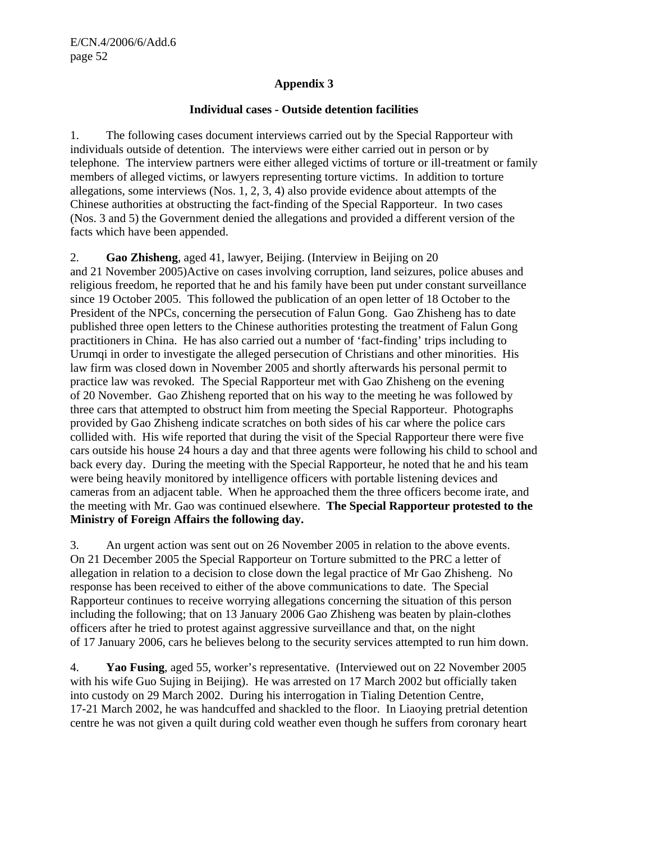# **Appendix 3**

#### **Individual cases - Outside detention facilities**

1. The following cases document interviews carried out by the Special Rapporteur with individuals outside of detention.The interviews were either carried out in person or by telephone.The interview partners were either alleged victims of torture or ill-treatment or family members of alleged victims, or lawyers representing torture victims.In addition to torture allegations, some interviews (Nos. 1, 2, 3, 4) also provide evidence about attempts of the Chinese authorities at obstructing the fact-finding of the Special Rapporteur.In two cases (Nos. 3 and 5) the Government denied the allegations and provided a different version of the facts which have been appended.

2. **Gao Zhisheng**, aged 41, lawyer, Beijing. (Interview in Beijing on 20 and 21 November 2005)Active on cases involving corruption, land seizures, police abuses and religious freedom, he reported that he and his family have been put under constant surveillance since 19 October 2005.This followed the publication of an open letter of 18 October to the President of the NPCs, concerning the persecution of Falun Gong.Gao Zhisheng has to date published three open letters to the Chinese authorities protesting the treatment of Falun Gong practitioners in China.He has also carried out a number of 'fact-finding' trips including to Urumqi in order to investigate the alleged persecution of Christians and other minorities.His law firm was closed down in November 2005 and shortly afterwards his personal permit to practice law was revoked.The Special Rapporteur met with Gao Zhisheng on the evening of 20 November.Gao Zhisheng reported that on his way to the meeting he was followed by three cars that attempted to obstruct him from meeting the Special Rapporteur.Photographs provided by Gao Zhisheng indicate scratches on both sides of his car where the police cars collided with.His wife reported that during the visit of the Special Rapporteur there were five cars outside his house 24 hours a day and that three agents were following his child to school and back every day. During the meeting with the Special Rapporteur, he noted that he and his team were being heavily monitored by intelligence officers with portable listening devices and cameras from an adjacent table.When he approached them the three officers become irate, and the meeting with Mr. Gao was continued elsewhere. **The Special Rapporteur protested to the Ministry of Foreign Affairs the following day.** 

3. An urgent action was sent out on 26 November 2005 in relation to the above events. On 21 December 2005 the Special Rapporteur on Torture submitted to the PRC a letter of allegation in relation to a decision to close down the legal practice of Mr Gao Zhisheng.No response has been received to either of the above communications to date.The Special Rapporteur continues to receive worrying allegations concerning the situation of this person including the following; that on 13 January 2006 Gao Zhisheng was beaten by plain-clothes officers after he tried to protest against aggressive surveillance and that, on the night of 17 January 2006, cars he believes belong to the security services attempted to run him down.

4. **Yao Fusing**, aged 55, worker's representative.(Interviewed out on 22 November 2005 with his wife Guo Sujing in Beijing).He was arrested on 17 March 2002 but officially taken into custody on 29 March 2002.During his interrogation in Tialing Detention Centre, 17-21 March 2002, he was handcuffed and shackled to the floor.In Liaoying pretrial detention centre he was not given a quilt during cold weather even though he suffers from coronary heart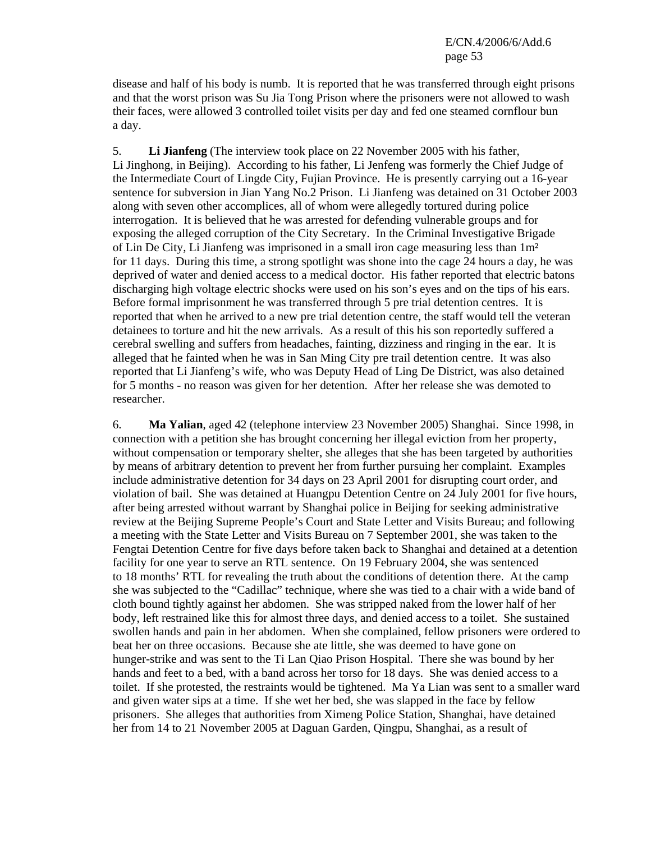disease and half of his body is numb.It is reported that he was transferred through eight prisons and that the worst prison was Su Jia Tong Prison where the prisoners were not allowed to wash their faces, were allowed 3 controlled toilet visits per day and fed one steamed cornflour bun a day.

5. **Li Jianfeng** (The interview took place on 22 November 2005 with his father, Li Jinghong, in Beijing).According to his father, Li Jenfeng was formerly the Chief Judge of the Intermediate Court of Lingde City, Fujian Province.He is presently carrying out a 16-year sentence for subversion in Jian Yang No.2 Prison.Li Jianfeng was detained on 31 October 2003 along with seven other accomplices, all of whom were allegedly tortured during police interrogation.It is believed that he was arrested for defending vulnerable groups and for exposing the alleged corruption of the City Secretary.In the Criminal Investigative Brigade of Lin De City, Li Jianfeng was imprisoned in a small iron cage measuring less than 1m² for 11 days.During this time, a strong spotlight was shone into the cage 24 hours a day, he was deprived of water and denied access to a medical doctor. His father reported that electric batons discharging high voltage electric shocks were used on his son's eyes and on the tips of his ears. Before formal imprisonment he was transferred through 5 pre trial detention centres. It is reported that when he arrived to a new pre trial detention centre, the staff would tell the veteran detainees to torture and hit the new arrivals. As a result of this his son reportedly suffered a cerebral swelling and suffers from headaches, fainting, dizziness and ringing in the ear. It is alleged that he fainted when he was in San Ming City pre trail detention centre. It was also reported that Li Jianfeng's wife, who was Deputy Head of Ling De District, was also detained for 5 months - no reason was given for her detention. After her release she was demoted to researcher.

6. **Ma Yalian**, aged 42 (telephone interview 23 November 2005) Shanghai. Since 1998, in connection with a petition she has brought concerning her illegal eviction from her property, without compensation or temporary shelter, she alleges that she has been targeted by authorities by means of arbitrary detention to prevent her from further pursuing her complaint. Examples include administrative detention for 34 days on 23 April 2001 for disrupting court order, and violation of bail. She was detained at Huangpu Detention Centre on 24 July 2001 for five hours, after being arrested without warrant by Shanghai police in Beijing for seeking administrative review at the Beijing Supreme People's Court and State Letter and Visits Bureau; and following a meeting with the State Letter and Visits Bureau on 7 September 2001, she was taken to the Fengtai Detention Centre for five days before taken back to Shanghai and detained at a detention facility for one year to serve an RTL sentence. On 19 February 2004, she was sentenced to 18 months' RTL for revealing the truth about the conditions of detention there. At the camp she was subjected to the "Cadillac" technique, where she was tied to a chair with a wide band of cloth bound tightly against her abdomen. She was stripped naked from the lower half of her body, left restrained like this for almost three days, and denied access to a toilet. She sustained swollen hands and pain in her abdomen. When she complained, fellow prisoners were ordered to beat her on three occasions. Because she ate little, she was deemed to have gone on hunger-strike and was sent to the Ti Lan Qiao Prison Hospital. There she was bound by her hands and feet to a bed, with a band across her torso for 18 days. She was denied access to a toilet. If she protested, the restraints would be tightened. Ma Ya Lian was sent to a smaller ward and given water sips at a time. If she wet her bed, she was slapped in the face by fellow prisoners. She alleges that authorities from Ximeng Police Station, Shanghai, have detained her from 14 to 21 November 2005 at Daguan Garden, Qingpu, Shanghai, as a result of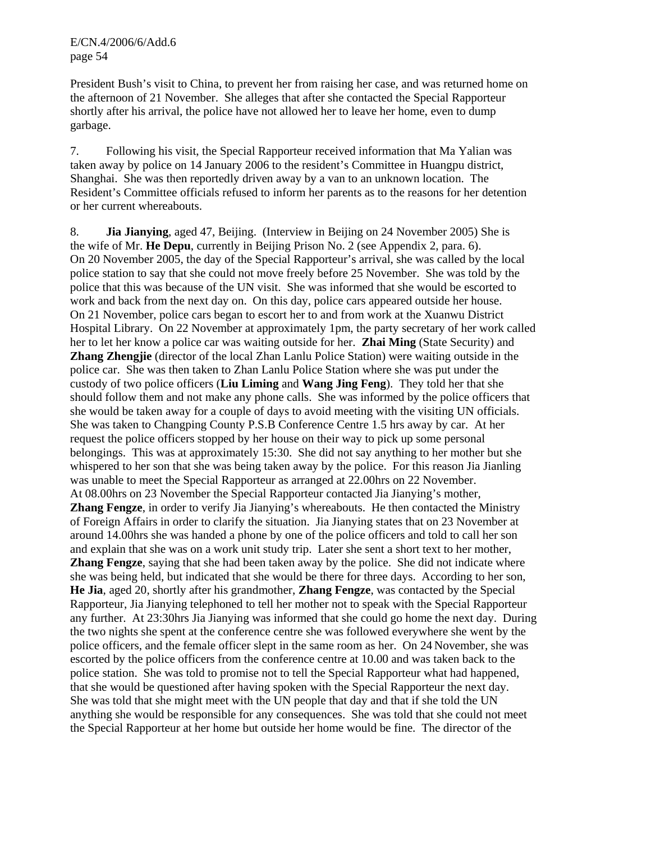President Bush's visit to China, to prevent her from raising her case, and was returned home on the afternoon of 21 November. She alleges that after she contacted the Special Rapporteur shortly after his arrival, the police have not allowed her to leave her home, even to dump garbage.

7. Following his visit, the Special Rapporteur received information that Ma Yalian was taken away by police on 14 January 2006 to the resident's Committee in Huangpu district, Shanghai. She was then reportedly driven away by a van to an unknown location. The Resident's Committee officials refused to inform her parents as to the reasons for her detention or her current whereabouts.

8. **Jia Jianying**, aged 47, Beijing. (Interview in Beijing on 24 November 2005) She is the wife of Mr. **He Depu**, currently in Beijing Prison No. 2 (see Appendix 2, para. 6). On 20 November 2005, the day of the Special Rapporteur's arrival, she was called by the local police station to say that she could not move freely before 25 November. She was told by the police that this was because of the UN visit. She was informed that she would be escorted to work and back from the next day on. On this day, police cars appeared outside her house. On 21 November, police cars began to escort her to and from work at the Xuanwu District Hospital Library. On 22 November at approximately 1pm, the party secretary of her work called her to let her know a police car was waiting outside for her. **Zhai Ming** (State Security) and **Zhang Zhengjie** (director of the local Zhan Lanlu Police Station) were waiting outside in the police car. She was then taken to Zhan Lanlu Police Station where she was put under the custody of two police officers (**Liu Liming** and **Wang Jing Feng**). They told her that she should follow them and not make any phone calls. She was informed by the police officers that she would be taken away for a couple of days to avoid meeting with the visiting UN officials. She was taken to Changping County P.S.B Conference Centre 1.5 hrs away by car. At her request the police officers stopped by her house on their way to pick up some personal belongings. This was at approximately 15:30. She did not say anything to her mother but she whispered to her son that she was being taken away by the police. For this reason Jia Jianling was unable to meet the Special Rapporteur as arranged at 22.00hrs on 22 November. At 08.00hrs on 23 November the Special Rapporteur contacted Jia Jianying's mother, **Zhang Fengze**, in order to verify Jia Jianying's whereabouts. He then contacted the Ministry of Foreign Affairs in order to clarify the situation. Jia Jianying states that on 23 November at around 14.00hrs she was handed a phone by one of the police officers and told to call her son and explain that she was on a work unit study trip. Later she sent a short text to her mother, **Zhang Fengze**, saying that she had been taken away by the police. She did not indicate where she was being held, but indicated that she would be there for three days. According to her son, **He Jia**, aged 20, shortly after his grandmother, **Zhang Fengze**, was contacted by the Special Rapporteur, Jia Jianying telephoned to tell her mother not to speak with the Special Rapporteur any further. At 23:30hrs Jia Jianying was informed that she could go home the next day. During the two nights she spent at the conference centre she was followed everywhere she went by the police officers, and the female officer slept in the same room as her. On 24 November, she was escorted by the police officers from the conference centre at 10.00 and was taken back to the police station. She was told to promise not to tell the Special Rapporteur what had happened, that she would be questioned after having spoken with the Special Rapporteur the next day. She was told that she might meet with the UN people that day and that if she told the UN anything she would be responsible for any consequences. She was told that she could not meet the Special Rapporteur at her home but outside her home would be fine. The director of the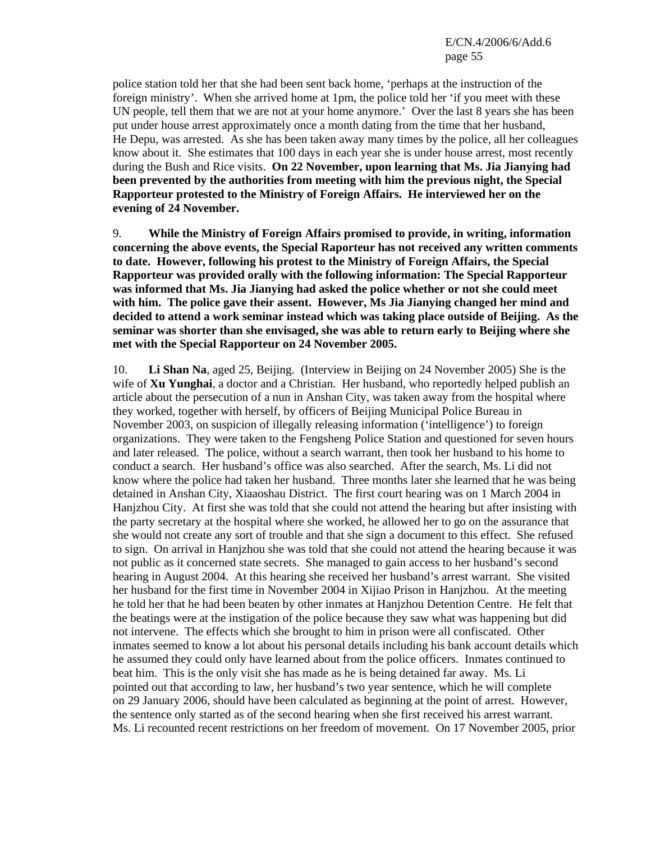police station told her that she had been sent back home, 'perhaps at the instruction of the foreign ministry'. When she arrived home at 1pm, the police told her 'if you meet with these UN people, tell them that we are not at your home anymore.' Over the last 8 years she has been put under house arrest approximately once a month dating from the time that her husband, He Depu, was arrested. As she has been taken away many times by the police, all her colleagues know about it. She estimates that 100 days in each year she is under house arrest, most recently during the Bush and Rice visits. **On 22 November, upon learning that Ms. Jia Jianying had been prevented by the authorities from meeting with him the previous night, the Special Rapporteur protested to the Ministry of Foreign Affairs. He interviewed her on the evening of 24 November.** 

9. **While the Ministry of Foreign Affairs promised to provide, in writing, information concerning the above events, the Special Raporteur has not received any written comments to date. However, following his protest to the Ministry of Foreign Affairs, the Special Rapporteur was provided orally with the following information: The Special Rapporteur was informed that Ms. Jia Jianying had asked the police whether or not she could meet with him. The police gave their assent. However, Ms Jia Jianying changed her mind and decided to attend a work seminar instead which was taking place outside of Beijing. As the seminar was shorter than she envisaged, she was able to return early to Beijing where she met with the Special Rapporteur on 24 November 2005.**

10. **Li Shan Na**, aged 25, Beijing.(Interview in Beijing on 24 November 2005) She is the wife of **Xu Yunghai**, a doctor and a Christian.Her husband, who reportedly helped publish an article about the persecution of a nun in Anshan City, was taken away from the hospital where they worked, together with herself, by officers of Beijing Municipal Police Bureau in November 2003, on suspicion of illegally releasing information ('intelligence') to foreign organizations. They were taken to the Fengsheng Police Station and questioned for seven hours and later released. The police, without a search warrant, then took her husband to his home to conduct a search. Her husband's office was also searched. After the search, Ms. Li did not know where the police had taken her husband. Three months later she learned that he was being detained in Anshan City, Xiaaoshau District. The first court hearing was on 1 March 2004 in Hanjzhou City. At first she was told that she could not attend the hearing but after insisting with the party secretary at the hospital where she worked, he allowed her to go on the assurance that she would not create any sort of trouble and that she sign a document to this effect. She refused to sign.On arrival in Hanjzhou she was told that she could not attend the hearing because it was not public as it concerned state secrets. She managed to gain access to her husband's second hearing in August 2004. At this hearing she received her husband's arrest warrant. She visited her husband for the first time in November 2004 in Xijiao Prison in Hanjzhou. At the meeting he told her that he had been beaten by other inmates at Hanjzhou Detention Centre. He felt that the beatings were at the instigation of the police because they saw what was happening but did not intervene. The effects which she brought to him in prison were all confiscated. Other inmates seemed to know a lot about his personal details including his bank account details which he assumed they could only have learned about from the police officers. Inmates continued to beat him.This is the only visit she has made as he is being detained far away. Ms. Li pointed out that according to law, her husband's two year sentence, which he will complete on 29 January 2006, should have been calculated as beginning at the point of arrest. However, the sentence only started as of the second hearing when she first received his arrest warrant. Ms. Li recounted recent restrictions on her freedom of movement. On 17 November 2005, prior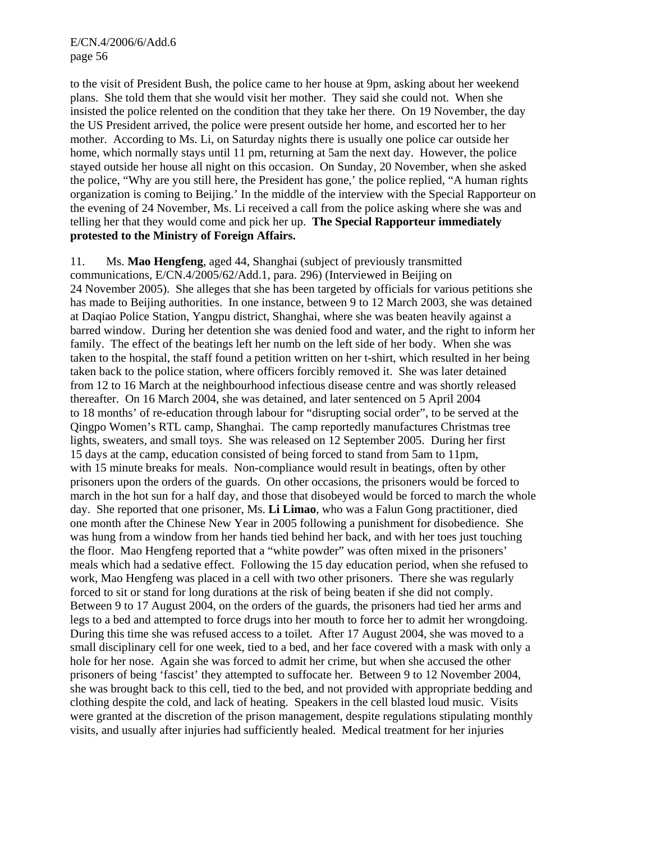to the visit of President Bush, the police came to her house at 9pm, asking about her weekend plans. She told them that she would visit her mother. They said she could not. When she insisted the police relented on the condition that they take her there. On 19 November, the day the US President arrived, the police were present outside her home, and escorted her to her mother. According to Ms. Li, on Saturday nights there is usually one police car outside her home, which normally stays until 11 pm, returning at 5am the next day. However, the police stayed outside her house all night on this occasion. On Sunday, 20 November, when she asked the police, "Why are you still here, the President has gone,' the police replied, "A human rights organization is coming to Beijing.' In the middle of the interview with the Special Rapporteur on the evening of 24 November, Ms. Li received a call from the police asking where she was and telling her that they would come and pick her up. **The Special Rapporteur immediately protested to the Ministry of Foreign Affairs.** 

11. Ms. **Mao Hengfeng**, aged 44, Shanghai (subject of previously transmitted communications, E/CN.4/2005/62/Add.1, para. 296) (Interviewed in Beijing on 24 November 2005). She alleges that she has been targeted by officials for various petitions she has made to Beijing authorities. In one instance, between 9 to 12 March 2003, she was detained at Daqiao Police Station, Yangpu district, Shanghai, where she was beaten heavily against a barred window. During her detention she was denied food and water, and the right to inform her family. The effect of the beatings left her numb on the left side of her body. When she was taken to the hospital, the staff found a petition written on her t-shirt, which resulted in her being taken back to the police station, where officers forcibly removed it. She was later detained from 12 to 16 March at the neighbourhood infectious disease centre and was shortly released thereafter. On 16 March 2004, she was detained, and later sentenced on 5 April 2004 to 18 months' of re-education through labour for "disrupting social order", to be served at the Qingpo Women's RTL camp, Shanghai. The camp reportedly manufactures Christmas tree lights, sweaters, and small toys. She was released on 12 September 2005. During her first 15 days at the camp, education consisted of being forced to stand from 5am to 11pm, with 15 minute breaks for meals. Non-compliance would result in beatings, often by other prisoners upon the orders of the guards. On other occasions, the prisoners would be forced to march in the hot sun for a half day, and those that disobeyed would be forced to march the whole day. She reported that one prisoner, Ms. **Li Limao**, who was a Falun Gong practitioner, died one month after the Chinese New Year in 2005 following a punishment for disobedience. She was hung from a window from her hands tied behind her back, and with her toes just touching the floor. Mao Hengfeng reported that a "white powder" was often mixed in the prisoners' meals which had a sedative effect. Following the 15 day education period, when she refused to work, Mao Hengfeng was placed in a cell with two other prisoners. There she was regularly forced to sit or stand for long durations at the risk of being beaten if she did not comply. Between 9 to 17 August 2004, on the orders of the guards, the prisoners had tied her arms and legs to a bed and attempted to force drugs into her mouth to force her to admit her wrongdoing. During this time she was refused access to a toilet. After 17 August 2004, she was moved to a small disciplinary cell for one week, tied to a bed, and her face covered with a mask with only a hole for her nose. Again she was forced to admit her crime, but when she accused the other prisoners of being 'fascist' they attempted to suffocate her. Between 9 to 12 November 2004, she was brought back to this cell, tied to the bed, and not provided with appropriate bedding and clothing despite the cold, and lack of heating. Speakers in the cell blasted loud music. Visits were granted at the discretion of the prison management, despite regulations stipulating monthly visits, and usually after injuries had sufficiently healed. Medical treatment for her injuries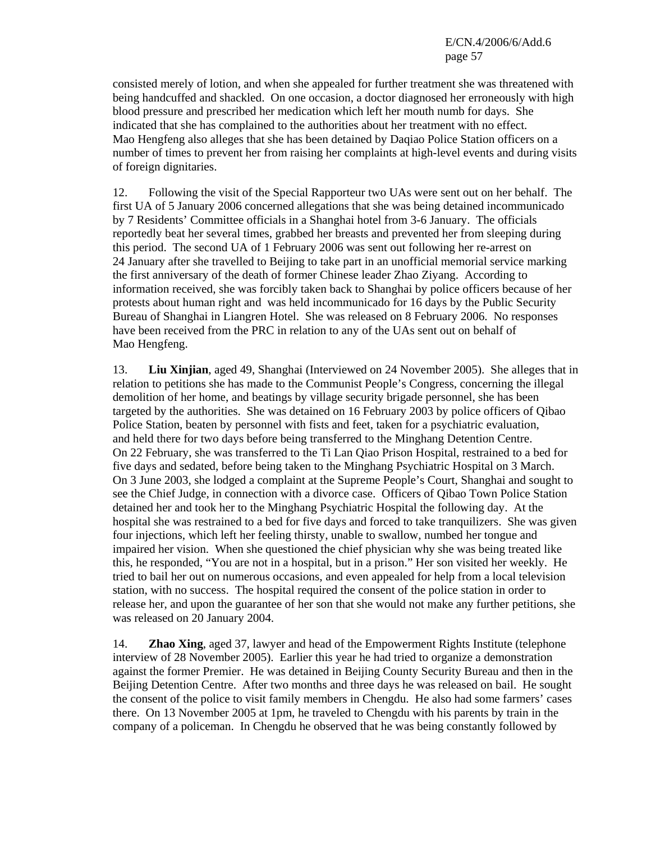consisted merely of lotion, and when she appealed for further treatment she was threatened with being handcuffed and shackled. On one occasion, a doctor diagnosed her erroneously with high blood pressure and prescribed her medication which left her mouth numb for days. She indicated that she has complained to the authorities about her treatment with no effect. Mao Hengfeng also alleges that she has been detained by Daqiao Police Station officers on a number of times to prevent her from raising her complaints at high-level events and during visits of foreign dignitaries.

12. Following the visit of the Special Rapporteur two UAs were sent out on her behalf. The first UA of 5 January 2006 concerned allegations that she was being detained incommunicado by 7 Residents' Committee officials in a Shanghai hotel from 3-6 January. The officials reportedly beat her several times, grabbed her breasts and prevented her from sleeping during this period. The second UA of 1 February 2006 was sent out following her re-arrest on 24 January after she travelled to Beijing to take part in an unofficial memorial service marking the first anniversary of the death of former Chinese leader Zhao Ziyang. According to information received, she was forcibly taken back to Shanghai by police officers because of her protests about human right and was held incommunicado for 16 days by the Public Security Bureau of Shanghai in Liangren Hotel. She was released on 8 February 2006. No responses have been received from the PRC in relation to any of the UAs sent out on behalf of Mao Hengfeng.

13. **Liu Xinjian**, aged 49, Shanghai (Interviewed on 24 November 2005). She alleges that in relation to petitions she has made to the Communist People's Congress, concerning the illegal demolition of her home, and beatings by village security brigade personnel, she has been targeted by the authorities. She was detained on 16 February 2003 by police officers of Qibao Police Station, beaten by personnel with fists and feet, taken for a psychiatric evaluation, and held there for two days before being transferred to the Minghang Detention Centre. On 22 February, she was transferred to the Ti Lan Qiao Prison Hospital, restrained to a bed for five days and sedated, before being taken to the Minghang Psychiatric Hospital on 3 March. On 3 June 2003, she lodged a complaint at the Supreme People's Court, Shanghai and sought to see the Chief Judge, in connection with a divorce case. Officers of Qibao Town Police Station detained her and took her to the Minghang Psychiatric Hospital the following day. At the hospital she was restrained to a bed for five days and forced to take tranquilizers. She was given four injections, which left her feeling thirsty, unable to swallow, numbed her tongue and impaired her vision. When she questioned the chief physician why she was being treated like this, he responded, "You are not in a hospital, but in a prison." Her son visited her weekly. He tried to bail her out on numerous occasions, and even appealed for help from a local television station, with no success. The hospital required the consent of the police station in order to release her, and upon the guarantee of her son that she would not make any further petitions, she was released on 20 January 2004.

14. **Zhao Xing**, aged 37, lawyer and head of the Empowerment Rights Institute (telephone interview of 28 November 2005). Earlier this year he had tried to organize a demonstration against the former Premier. He was detained in Beijing County Security Bureau and then in the Beijing Detention Centre. After two months and three days he was released on bail. He sought the consent of the police to visit family members in Chengdu. He also had some farmers' cases there. On 13 November 2005 at 1pm, he traveled to Chengdu with his parents by train in the company of a policeman. In Chengdu he observed that he was being constantly followed by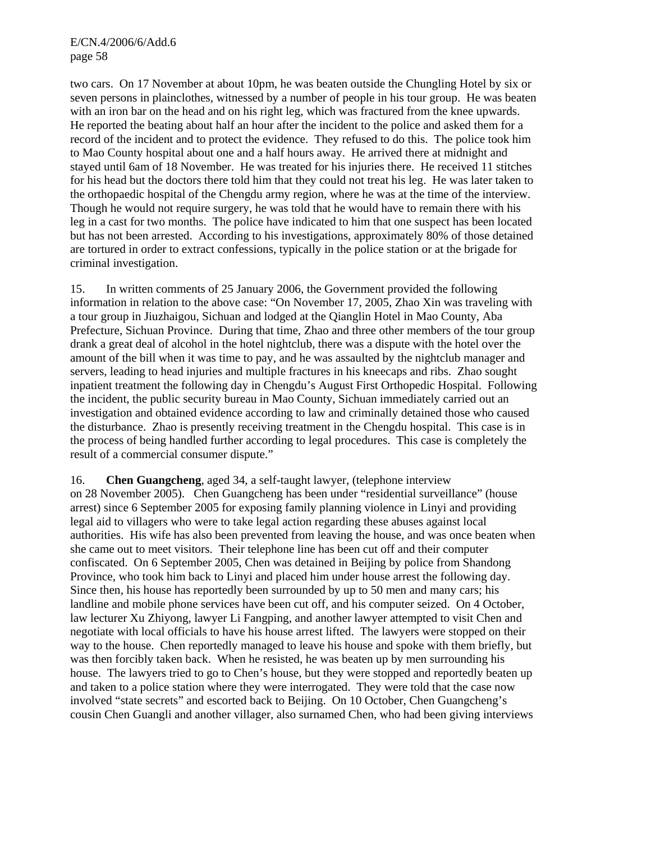two cars. On 17 November at about 10pm, he was beaten outside the Chungling Hotel by six or seven persons in plainclothes, witnessed by a number of people in his tour group. He was beaten with an iron bar on the head and on his right leg, which was fractured from the knee upwards. He reported the beating about half an hour after the incident to the police and asked them for a record of the incident and to protect the evidence. They refused to do this. The police took him to Mao County hospital about one and a half hours away. He arrived there at midnight and stayed until 6am of 18 November. He was treated for his injuries there. He received 11 stitches for his head but the doctors there told him that they could not treat his leg. He was later taken to the orthopaedic hospital of the Chengdu army region, where he was at the time of the interview. Though he would not require surgery, he was told that he would have to remain there with his leg in a cast for two months. The police have indicated to him that one suspect has been located but has not been arrested. According to his investigations, approximately 80% of those detained are tortured in order to extract confessions, typically in the police station or at the brigade for criminal investigation.

15. In written comments of 25 January 2006, the Government provided the following information in relation to the above case: "On November 17, 2005, Zhao Xin was traveling with a tour group in Jiuzhaigou, Sichuan and lodged at the Qianglin Hotel in Mao County, Aba Prefecture, Sichuan Province. During that time, Zhao and three other members of the tour group drank a great deal of alcohol in the hotel nightclub, there was a dispute with the hotel over the amount of the bill when it was time to pay, and he was assaulted by the nightclub manager and servers, leading to head injuries and multiple fractures in his kneecaps and ribs. Zhao sought inpatient treatment the following day in Chengdu's August First Orthopedic Hospital. Following the incident, the public security bureau in Mao County, Sichuan immediately carried out an investigation and obtained evidence according to law and criminally detained those who caused the disturbance. Zhao is presently receiving treatment in the Chengdu hospital. This case is in the process of being handled further according to legal procedures. This case is completely the result of a commercial consumer dispute."

16. **Chen Guangcheng**, aged 34, a self-taught lawyer, (telephone interview on 28 November 2005). Chen Guangcheng has been under "residential surveillance" (house arrest) since 6 September 2005 for exposing family planning violence in Linyi and providing legal aid to villagers who were to take legal action regarding these abuses against local authorities. His wife has also been prevented from leaving the house, and was once beaten when she came out to meet visitors. Their telephone line has been cut off and their computer confiscated. On 6 September 2005, Chen was detained in Beijing by police from Shandong Province, who took him back to Linyi and placed him under house arrest the following day. Since then, his house has reportedly been surrounded by up to 50 men and many cars; his landline and mobile phone services have been cut off, and his computer seized. On 4 October, law lecturer Xu Zhiyong, lawyer Li Fangping, and another lawyer attempted to visit Chen and negotiate with local officials to have his house arrest lifted. The lawyers were stopped on their way to the house. Chen reportedly managed to leave his house and spoke with them briefly, but was then forcibly taken back. When he resisted, he was beaten up by men surrounding his house. The lawyers tried to go to Chen's house, but they were stopped and reportedly beaten up and taken to a police station where they were interrogated. They were told that the case now involved "state secrets" and escorted back to Beijing. On 10 October, Chen Guangcheng's cousin Chen Guangli and another villager, also surnamed Chen, who had been giving interviews